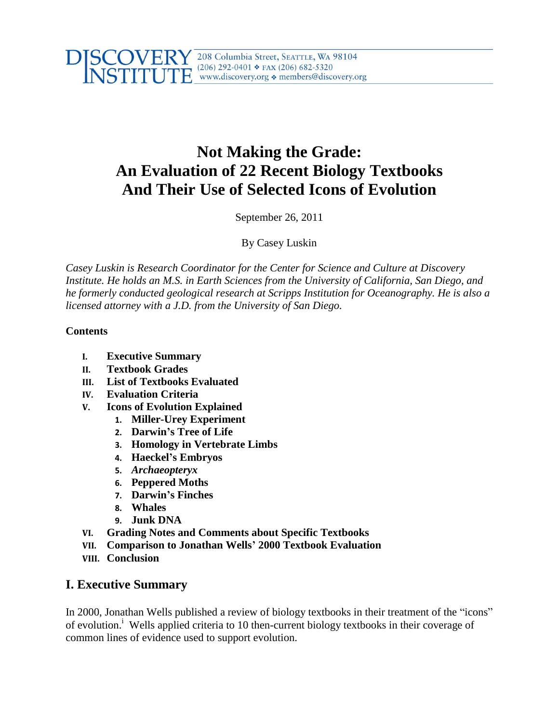

# **Not Making the Grade: An Evaluation of 22 Recent Biology Textbooks And Their Use of Selected Icons of Evolution**

September 26, 2011

By Casey Luskin

*Casey Luskin is Research Coordinator for the Center for Science and Culture at Discovery Institute. He holds an M.S. in Earth Sciences from the University of California, San Diego, and he formerly conducted geological research at Scripps Institution for Oceanography. He is also a licensed attorney with a J.D. from the University of San Diego.* 

## **Contents**

- **I. Executive Summary**
- **II. Textbook Grades**
- **III. List of Textbooks Evaluated**
- **IV. Evaluation Criteria**
- **V. Icons of Evolution Explained**
	- **1. Miller-Urey Experiment**
	- **2. Darwin's Tree of Life**
	- **3. Homology in Vertebrate Limbs**
	- **4. Haeckel's Embryos**
	- **5.** *Archaeopteryx*
	- **6. Peppered Moths**
	- **7. Darwin's Finches**
	- **8. Whales**
	- **9. Junk DNA**
- **VI. Grading Notes and Comments about Specific Textbooks**
- **VII. Comparison to Jonathan Wells' 2000 Textbook Evaluation**
- **VIII. Conclusion**

# **I. Executive Summary**

In 2000, Jonathan Wells published a review of biology textbooks in their treatment of the "icons" of evolution.<sup>i</sup> Wells applied criteria to 10 then-current biology textbooks in their coverage of common lines of evidence used to support evolution.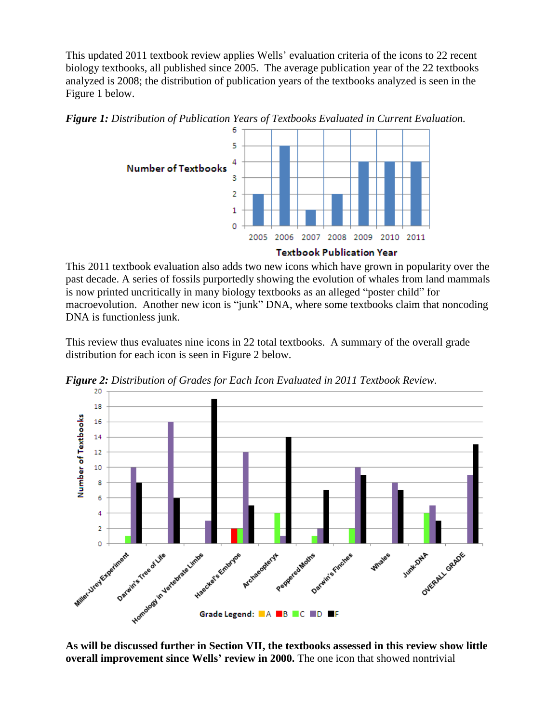This updated 2011 textbook review applies Wells' evaluation criteria of the icons to 22 recent biology textbooks, all published since 2005. The average publication year of the 22 textbooks analyzed is 2008; the distribution of publication years of the textbooks analyzed is seen in the Figure 1 below.





This 2011 textbook evaluation also adds two new icons which have grown in popularity over the past decade. A series of fossils purportedly showing the evolution of whales from land mammals is now printed uncritically in many biology textbooks as an alleged "poster child" for macroevolution. Another new icon is "junk" DNA, where some textbooks claim that noncoding DNA is functionless junk.

This review thus evaluates nine icons in 22 total textbooks. A summary of the overall grade distribution for each icon is seen in Figure 2 below.



*Figure 2: Distribution of Grades for Each Icon Evaluated in 2011 Textbook Review.*

**As will be discussed further in Section VII, the textbooks assessed in this review show little overall improvement since Wells' review in 2000.** The one icon that showed nontrivial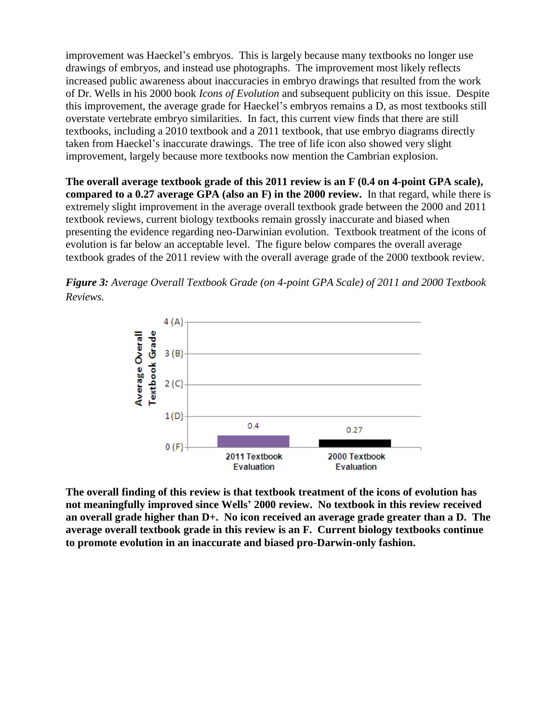improvement was Haeckel's embryos. This is largely because many textbooks no longer use drawings of embryos, and instead use photographs. The improvement most likely reflects increased public awareness about inaccuracies in embryo drawings that resulted from the work of Dr. Wells in his 2000 book *Icons of Evolution* and subsequent publicity on this issue. Despite this improvement, the average grade for Haeckel's embryos remains a D, as most textbooks still overstate vertebrate embryo similarities. In fact, this current view finds that there are still textbooks, including a 2010 textbook and a 2011 textbook, that use embryo diagrams directly taken from Haeckel's inaccurate drawings. The tree of life icon also showed very slight improvement, largely because more textbooks now mention the Cambrian explosion.

**The overall average textbook grade of this 2011 review is an F (0.4 on 4-point GPA scale), compared to a 0.27 average GPA (also an F) in the 2000 review.** In that regard, while there is extremely slight improvement in the average overall textbook grade between the 2000 and 2011 textbook reviews, current biology textbooks remain grossly inaccurate and biased when presenting the evidence regarding neo-Darwinian evolution. Textbook treatment of the icons of evolution is far below an acceptable level. The figure below compares the overall average textbook grades of the 2011 review with the overall average grade of the 2000 textbook review.





**The overall finding of this review is that textbook treatment of the icons of evolution has not meaningfully improved since Wells' 2000 review. No textbook in this review received an overall grade higher than D+. No icon received an average grade greater than a D. The average overall textbook grade in this review is an F. Current biology textbooks continue to promote evolution in an inaccurate and biased pro-Darwin-only fashion.**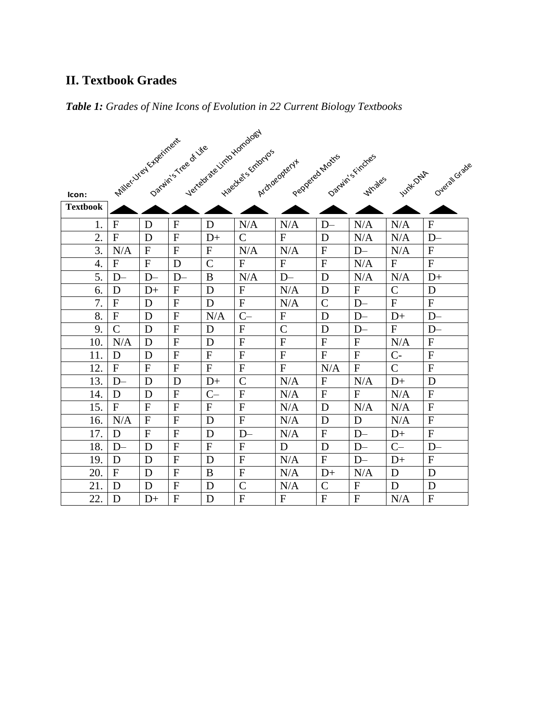# **II. Textbook Grades**

# *Table 1: Grades of Nine Icons of Evolution in 22 Current Biology Textbooks*

|                 | Miller Viel Kheriment |              |                      |                | Vertebrate Limb Homology |                |                |                  |                |                |
|-----------------|-----------------------|--------------|----------------------|----------------|--------------------------|----------------|----------------|------------------|----------------|----------------|
|                 |                       |              | Darwin's ree of Life |                | Haectes Schmydos         |                |                |                  |                |                |
|                 |                       |              |                      |                |                          | Archaeoptery+  | Peppered Moths | Darwin's Findres |                | Overal Grade   |
|                 |                       |              |                      |                |                          |                |                | <b>Whales</b>    | Juint-Olde     |                |
| Icon:           |                       |              |                      |                |                          |                |                |                  |                |                |
| <b>Textbook</b> |                       |              |                      |                |                          |                |                |                  |                |                |
| 1.              | $\mathbf F$           | D            | $\mathbf{F}$         | D              | N/A                      | N/A            | $D-$           | N/A              | N/A            | $\mathbf{F}$   |
| 2.              | $\mathbf{F}$          | D            | $\mathbf{F}$         | $D+$           | $\mathcal{C}$            | ${\bf F}$      | D              | N/A              | N/A            | $D-$           |
| 3.              | N/A                   | $\mathbf{F}$ | $\mathbf{F}$         | $\mathbf F$    | N/A                      | N/A            | $\mathbf F$    | $D-$             | N/A            | $\mathbf{F}$   |
| 4.              | ${\bf F}$             | $\mathbf{F}$ | D                    | $\overline{C}$ | $\mathbf{F}$             | ${\bf F}$      | ${\bf F}$      | N/A              | ${\bf F}$      | $\mathbf{F}$   |
| 5.              | $D-$                  | $D-$         | $D-$                 | $\bf{B}$       | N/A                      | $D-$           | D              | N/A              | N/A            | $D+$           |
| 6.              | D                     | $D+$         | ${\bf F}$            | D              | $\mathbf{F}$             | N/A            | D              | ${\bf F}$        | $\mathcal{C}$  | D              |
| 7.              | $\overline{F}$        | D            | $\mathbf{F}$         | D              | ${\bf F}$                | N/A            | $\mathcal{C}$  | $D-$             | ${\bf F}$      | $\overline{F}$ |
| 8.              | ${\bf F}$             | D            | ${\bf F}$            | N/A            | $C-$                     | ${\bf F}$      | D              | $D-$             | $D+$           | $D-$           |
| 9.              | $\overline{C}$        | D            | ${\bf F}$            | D              | $\mathbf{F}$             | $\mathcal{C}$  | D              | $D-$             | ${\bf F}$      | $D-$           |
| 10.             | N/A                   | D            | ${\bf F}$            | D              | $\mathbf{F}$             | ${\bf F}$      | $\mathbf F$    | $\mathbf F$      | N/A            | $\mathbf{F}$   |
| 11.             | D                     | D            | $\mathbf{F}$         | $\mathbf{F}$   | ${\bf F}$                | $\overline{F}$ | ${\bf F}$      | ${\bf F}$        | $C-$           | $\overline{F}$ |
| 12.             | $\mathbf{F}$          | $\mathbf{F}$ | ${\bf F}$            | ${\bf F}$      | ${\bf F}$                | ${\bf F}$      | N/A            | $\mathbf{F}$     | $\overline{C}$ | $\mathbf{F}$   |
| 13.             | $D-$                  | D            | D                    | $D+$           | $\overline{C}$           | N/A            | ${\bf F}$      | N/A              | $D+$           | D              |
| 14.             | D                     | D            | $\mathbf{F}$         | $C-$           | $\mathbf{F}$             | N/A            | ${\bf F}$      | $\overline{F}$   | N/A            | $\mathbf{F}$   |
| 15.             | ${\bf F}$             | $\mathbf F$  | ${\bf F}$            | $\mathbf F$    | $\mathbf F$              | N/A            | D              | N/A              | N/A            | $\mathbf F$    |
| 16.             | N/A                   | $\mathbf F$  | $\mathbf{F}$         | D              | $\mathbf{F}$             | N/A            | D              | D                | N/A            | $\mathbf{F}$   |
| 17.             | D                     | $\mathbf{F}$ | $\mathbf{F}$         | D              | $D-$                     | N/A            | $\mathbf{F}$   | $D-$             | $D+$           | $\mathbf{F}$   |
| 18.             | $D-$                  | D            | $\overline{F}$       | $\mathbf{F}$   | $\mathbf{F}$             | D              | D              | $D-$             | $C-$           | $D-$           |
| 19.             | D                     | D            | $\mathbf{F}$         | D              | F                        | N/A            | $\mathbf{F}$   | $D-$             | $D+$           | $\mathbf{F}$   |
| 20.             | $\mathbf F$           | D            | $\overline{F}$       | B              | ${\bf F}$                | N/A            | $D+$           | N/A              | D              | D              |
| 21.             | D                     | D            | $\overline{F}$       | D              | $\overline{C}$           | N/A            | $\overline{C}$ | $\overline{F}$   | D              | D              |
| 22.             | D                     | $D+$         | $\mathbf{F}$         | D              | ${\bf F}$                | F              | $\mathbf{F}$   | $\mathbf F$      | N/A            | $\mathbf{F}$   |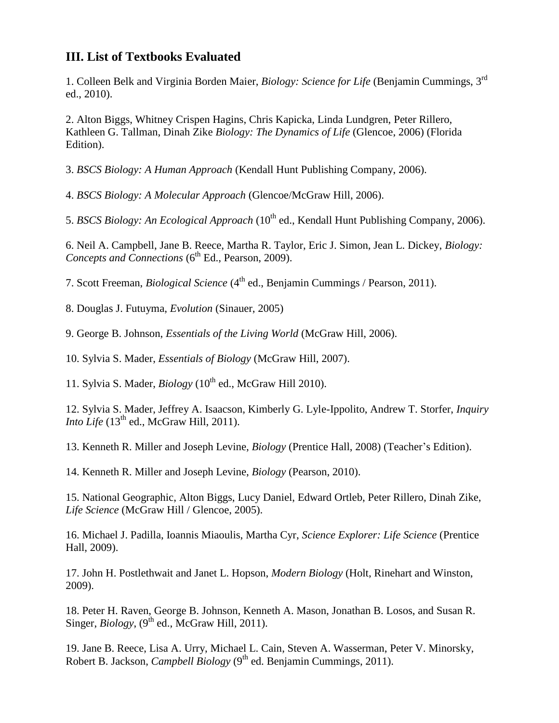# **III. List of Textbooks Evaluated**

1. Colleen Belk and Virginia Borden Maier, *Biology: Science for Life* (Benjamin Cummings, 3<sup>rd</sup> ed., 2010).

2. Alton Biggs, Whitney Crispen Hagins, Chris Kapicka, Linda Lundgren, Peter Rillero, Kathleen G. Tallman, Dinah Zike *Biology: The Dynamics of Life* (Glencoe, 2006) (Florida Edition).

3. *BSCS Biology: A Human Approach* (Kendall Hunt Publishing Company, 2006).

4. *BSCS Biology: A Molecular Approach* (Glencoe/McGraw Hill, 2006).

5. *BSCS Biology: An Ecological Approach* (10<sup>th</sup> ed., Kendall Hunt Publishing Company, 2006).

6. Neil A. Campbell, Jane B. Reece, Martha R. Taylor, Eric J. Simon, Jean L. Dickey, *Biology: Concepts and Connections* (6<sup>th</sup> Ed., Pearson, 2009).

7. Scott Freeman, *Biological Science* (4 th ed., Benjamin Cummings / Pearson, 2011).

8. Douglas J. Futuyma, *Evolution* (Sinauer, 2005)

9. George B. Johnson, *Essentials of the Living World* (McGraw Hill, 2006).

10. Sylvia S. Mader, *Essentials of Biology* (McGraw Hill, 2007).

11. Sylvia S. Mader, *Biology* (10th ed., McGraw Hill 2010).

12. Sylvia S. Mader, Jeffrey A. Isaacson, Kimberly G. Lyle-Ippolito, Andrew T. Storfer, *Inquiry Into Life*  $(13<sup>th</sup>$  ed., McGraw Hill, 2011).

13. Kenneth R. Miller and Joseph Levine, *Biology* (Prentice Hall, 2008) (Teacher's Edition).

14. Kenneth R. Miller and Joseph Levine, *Biology* (Pearson, 2010).

15. National Geographic, Alton Biggs, Lucy Daniel, Edward Ortleb, Peter Rillero, Dinah Zike, *Life Science* (McGraw Hill / Glencoe, 2005).

16. Michael J. Padilla, Ioannis Miaoulis, Martha Cyr, *Science Explorer: Life Science* (Prentice Hall, 2009).

17. John H. Postlethwait and Janet L. Hopson, *Modern Biology* (Holt, Rinehart and Winston, 2009).

18. Peter H. Raven, George B. Johnson, Kenneth A. Mason, Jonathan B. Losos, and Susan R. Singer,  $Biology$ ,  $(9^{th}$  ed., McGraw Hill, 2011).

19. Jane B. Reece, Lisa A. Urry, Michael L. Cain, Steven A. Wasserman, Peter V. Minorsky, Robert B. Jackson, *Campbell Biology* (9<sup>th</sup> ed. Benjamin Cummings, 2011).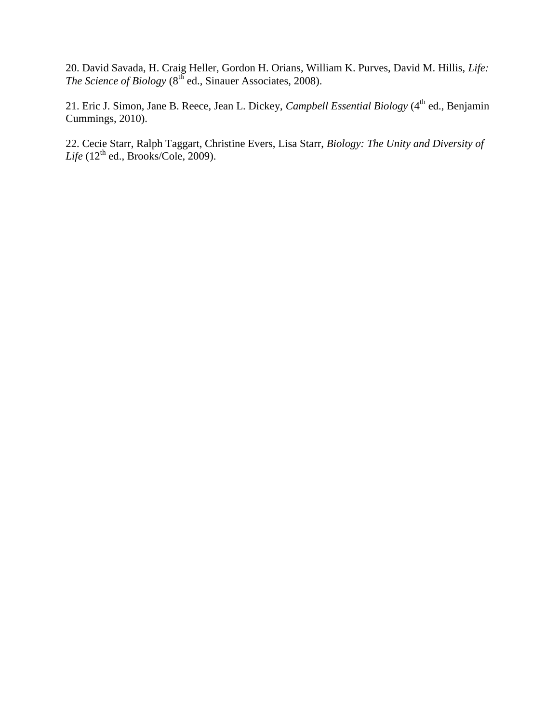20. David Savada, H. Craig Heller, Gordon H. Orians, William K. Purves, David M. Hillis, *Life: The Science of Biology* (8<sup>th</sup> ed., Sinauer Associates, 2008).

21. Eric J. Simon, Jane B. Reece, Jean L. Dickey, *Campbell Essential Biology* (4<sup>th</sup> ed., Benjamin Cummings, 2010).

22. Cecie Starr, Ralph Taggart, Christine Evers, Lisa Starr, *Biology: The Unity and Diversity of*   $Life (12<sup>th</sup> ed., Brooks/Cole, 2009).$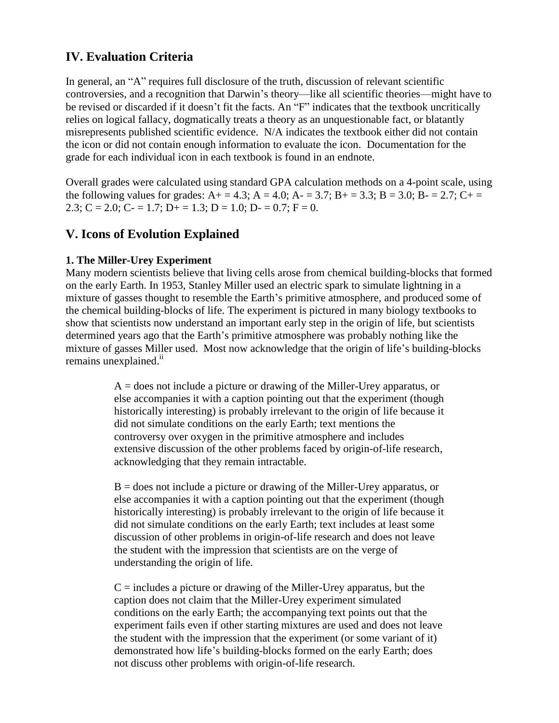# **IV. Evaluation Criteria**

In general, an "A" requires full disclosure of the truth, discussion of relevant scientific controversies, and a recognition that Darwin's theory—like all scientific theories—might have to be revised or discarded if it doesn't fit the facts. An "F" indicates that the textbook uncritically relies on logical fallacy, dogmatically treats a theory as an unquestionable fact, or blatantly misrepresents published scientific evidence. N/A indicates the textbook either did not contain the icon or did not contain enough information to evaluate the icon. Documentation for the grade for each individual icon in each textbook is found in an endnote.

Overall grades were calculated using standard GPA calculation methods on a 4-point scale, using the following values for grades:  $A+ = 4.3$ ;  $A = 4.0$ ;  $A- = 3.7$ ;  $B+ = 3.3$ ;  $B = 3.0$ ;  $B- = 2.7$ ;  $C+ =$ 2.3; C = 2.0; C - = 1.7; D + = 1.3; D = 1.0; D - = 0.7; F = 0.

# **V. Icons of Evolution Explained**

## **1. The Miller-Urey Experiment**

Many modern scientists believe that living cells arose from chemical building-blocks that formed on the early Earth. In 1953, Stanley Miller used an electric spark to simulate lightning in a mixture of gasses thought to resemble the Earth's primitive atmosphere, and produced some of the chemical building-blocks of life. The experiment is pictured in many biology textbooks to show that scientists now understand an important early step in the origin of life, but scientists determined years ago that the Earth's primitive atmosphere was probably nothing like the mixture of gasses Miller used. Most now acknowledge that the origin of life's building-blocks remains unexplained.<sup>11</sup>

> A = does not include a picture or drawing of the Miller-Urey apparatus, or else accompanies it with a caption pointing out that the experiment (though historically interesting) is probably irrelevant to the origin of life because it did not simulate conditions on the early Earth; text mentions the controversy over oxygen in the primitive atmosphere and includes extensive discussion of the other problems faced by origin-of-life research, acknowledging that they remain intractable.

> $B =$  does not include a picture or drawing of the Miller-Urey apparatus, or else accompanies it with a caption pointing out that the experiment (though historically interesting) is probably irrelevant to the origin of life because it did not simulate conditions on the early Earth; text includes at least some discussion of other problems in origin-of-life research and does not leave the student with the impression that scientists are on the verge of understanding the origin of life.

> $C =$  includes a picture or drawing of the Miller-Urey apparatus, but the caption does not claim that the Miller-Urey experiment simulated conditions on the early Earth; the accompanying text points out that the experiment fails even if other starting mixtures are used and does not leave the student with the impression that the experiment (or some variant of it) demonstrated how life's building-blocks formed on the early Earth; does not discuss other problems with origin-of-life research.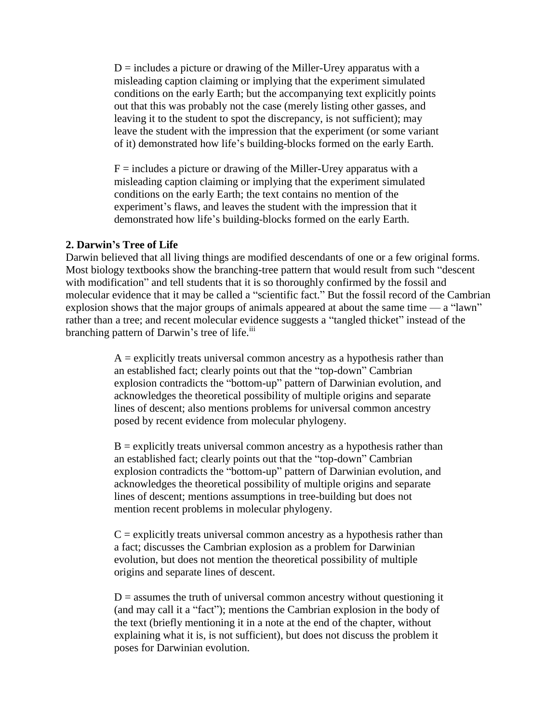$D =$  includes a picture or drawing of the Miller-Urey apparatus with a misleading caption claiming or implying that the experiment simulated conditions on the early Earth; but the accompanying text explicitly points out that this was probably not the case (merely listing other gasses, and leaving it to the student to spot the discrepancy, is not sufficient); may leave the student with the impression that the experiment (or some variant of it) demonstrated how life's building-blocks formed on the early Earth.

 $F =$  includes a picture or drawing of the Miller-Urey apparatus with a misleading caption claiming or implying that the experiment simulated conditions on the early Earth; the text contains no mention of the experiment's flaws, and leaves the student with the impression that it demonstrated how life's building-blocks formed on the early Earth.

#### **2. Darwin's Tree of Life**

Darwin believed that all living things are modified descendants of one or a few original forms. Most biology textbooks show the branching-tree pattern that would result from such "descent" with modification" and tell students that it is so thoroughly confirmed by the fossil and molecular evidence that it may be called a "scientific fact." But the fossil record of the Cambrian explosion shows that the major groups of animals appeared at about the same time — a "lawn" rather than a tree; and recent molecular evidence suggests a "tangled thicket" instead of the branching pattern of Darwin's tree of life.<sup>iii</sup>

> $A =$  explicitly treats universal common ancestry as a hypothesis rather than an established fact; clearly points out that the "top-down" Cambrian explosion contradicts the "bottom-up" pattern of Darwinian evolution, and acknowledges the theoretical possibility of multiple origins and separate lines of descent; also mentions problems for universal common ancestry posed by recent evidence from molecular phylogeny.

> $B =$  explicitly treats universal common ancestry as a hypothesis rather than an established fact; clearly points out that the "top-down" Cambrian explosion contradicts the "bottom-up" pattern of Darwinian evolution, and acknowledges the theoretical possibility of multiple origins and separate lines of descent; mentions assumptions in tree-building but does not mention recent problems in molecular phylogeny.

> $C =$  explicitly treats universal common ancestry as a hypothesis rather than a fact; discusses the Cambrian explosion as a problem for Darwinian evolution, but does not mention the theoretical possibility of multiple origins and separate lines of descent.

> $D =$  assumes the truth of universal common ancestry without questioning it (and may call it a "fact"); mentions the Cambrian explosion in the body of the text (briefly mentioning it in a note at the end of the chapter, without explaining what it is, is not sufficient), but does not discuss the problem it poses for Darwinian evolution.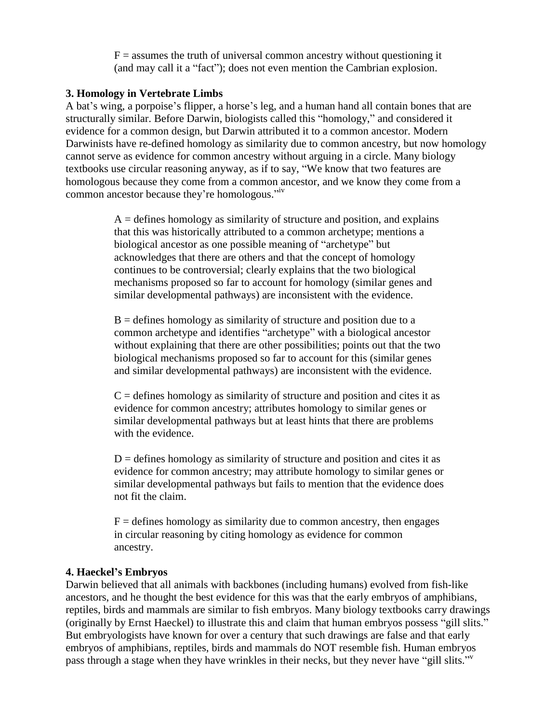$F =$  assumes the truth of universal common ancestry without questioning it (and may call it a "fact"); does not even mention the Cambrian explosion.

#### **3. Homology in Vertebrate Limbs**

A bat's wing, a porpoise's flipper, a horse's leg, and a human hand all contain bones that are structurally similar. Before Darwin, biologists called this "homology," and considered it evidence for a common design, but Darwin attributed it to a common ancestor. Modern Darwinists have re-defined homology as similarity due to common ancestry, but now homology cannot serve as evidence for common ancestry without arguing in a circle. Many biology textbooks use circular reasoning anyway, as if to say, "We know that two features are homologous because they come from a common ancestor, and we know they come from a common ancestor because they're homologous."<sup>iv</sup>

> $A =$  defines homology as similarity of structure and position, and explains that this was historically attributed to a common archetype; mentions a biological ancestor as one possible meaning of "archetype" but acknowledges that there are others and that the concept of homology continues to be controversial; clearly explains that the two biological mechanisms proposed so far to account for homology (similar genes and similar developmental pathways) are inconsistent with the evidence.

> $B =$  defines homology as similarity of structure and position due to a common archetype and identifies "archetype" with a biological ancestor without explaining that there are other possibilities; points out that the two biological mechanisms proposed so far to account for this (similar genes and similar developmental pathways) are inconsistent with the evidence.

> $C =$  defines homology as similarity of structure and position and cites it as evidence for common ancestry; attributes homology to similar genes or similar developmental pathways but at least hints that there are problems with the evidence.

 $D =$  defines homology as similarity of structure and position and cites it as evidence for common ancestry; may attribute homology to similar genes or similar developmental pathways but fails to mention that the evidence does not fit the claim.

 $F =$  defines homology as similarity due to common ancestry, then engages in circular reasoning by citing homology as evidence for common ancestry.

## **4. Haeckel's Embryos**

Darwin believed that all animals with backbones (including humans) evolved from fish-like ancestors, and he thought the best evidence for this was that the early embryos of amphibians, reptiles, birds and mammals are similar to fish embryos. Many biology textbooks carry drawings (originally by Ernst Haeckel) to illustrate this and claim that human embryos possess "gill slits." But embryologists have known for over a century that such drawings are false and that early embryos of amphibians, reptiles, birds and mammals do NOT resemble fish. Human embryos pass through a stage when they have wrinkles in their necks, but they never have "gill slits."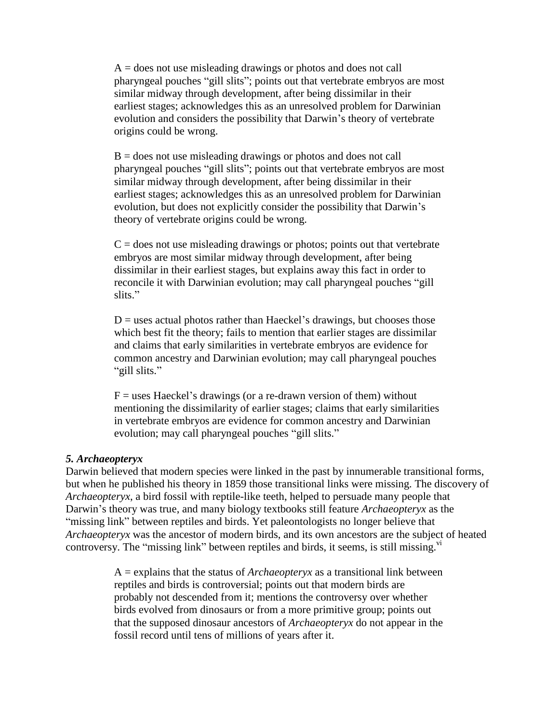$A =$  does not use misleading drawings or photos and does not call pharyngeal pouches "gill slits"; points out that vertebrate embryos are most similar midway through development, after being dissimilar in their earliest stages; acknowledges this as an unresolved problem for Darwinian evolution and considers the possibility that Darwin's theory of vertebrate origins could be wrong.

 $B =$  does not use misleading drawings or photos and does not call pharyngeal pouches "gill slits"; points out that vertebrate embryos are most similar midway through development, after being dissimilar in their earliest stages; acknowledges this as an unresolved problem for Darwinian evolution, but does not explicitly consider the possibility that Darwin's theory of vertebrate origins could be wrong.

 $C =$  does not use misleading drawings or photos; points out that vertebrate embryos are most similar midway through development, after being dissimilar in their earliest stages, but explains away this fact in order to reconcile it with Darwinian evolution; may call pharyngeal pouches "gill" slits."

 $D =$  uses actual photos rather than Haeckel's drawings, but chooses those which best fit the theory; fails to mention that earlier stages are dissimilar and claims that early similarities in vertebrate embryos are evidence for common ancestry and Darwinian evolution; may call pharyngeal pouches "gill slits."

 $F =$  uses Haeckel's drawings (or a re-drawn version of them) without mentioning the dissimilarity of earlier stages; claims that early similarities in vertebrate embryos are evidence for common ancestry and Darwinian evolution; may call pharyngeal pouches "gill slits."

#### *5. Archaeopteryx*

Darwin believed that modern species were linked in the past by innumerable transitional forms, but when he published his theory in 1859 those transitional links were missing. The discovery of *Archaeopteryx*, a bird fossil with reptile-like teeth, helped to persuade many people that Darwin's theory was true, and many biology textbooks still feature *Archaeopteryx* as the "missing link" between reptiles and birds. Yet paleontologists no longer believe that *Archaeopteryx* was the ancestor of modern birds, and its own ancestors are the subject of heated controversy. The "missing link" between reptiles and birds, it seems, is still missing.<sup>vi</sup>

> A = explains that the status of *Archaeopteryx* as a transitional link between reptiles and birds is controversial; points out that modern birds are probably not descended from it; mentions the controversy over whether birds evolved from dinosaurs or from a more primitive group; points out that the supposed dinosaur ancestors of *Archaeopteryx* do not appear in the fossil record until tens of millions of years after it.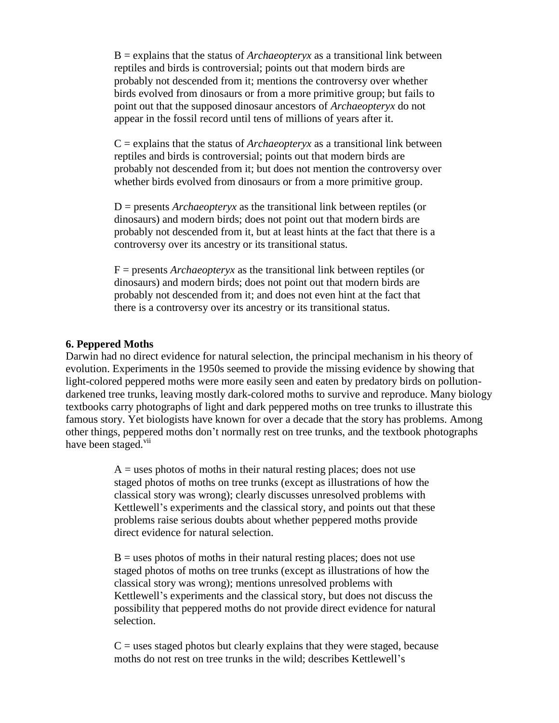B = explains that the status of *Archaeopteryx* as a transitional link between reptiles and birds is controversial; points out that modern birds are probably not descended from it; mentions the controversy over whether birds evolved from dinosaurs or from a more primitive group; but fails to point out that the supposed dinosaur ancestors of *Archaeopteryx* do not appear in the fossil record until tens of millions of years after it.

 $C =$  explains that the status of *Archaeopteryx* as a transitional link between reptiles and birds is controversial; points out that modern birds are probably not descended from it; but does not mention the controversy over whether birds evolved from dinosaurs or from a more primitive group.

D = presents *Archaeopteryx* as the transitional link between reptiles (or dinosaurs) and modern birds; does not point out that modern birds are probably not descended from it, but at least hints at the fact that there is a controversy over its ancestry or its transitional status.

F = presents *Archaeopteryx* as the transitional link between reptiles (or dinosaurs) and modern birds; does not point out that modern birds are probably not descended from it; and does not even hint at the fact that there is a controversy over its ancestry or its transitional status.

#### **6. Peppered Moths**

Darwin had no direct evidence for natural selection, the principal mechanism in his theory of evolution. Experiments in the 1950s seemed to provide the missing evidence by showing that light-colored peppered moths were more easily seen and eaten by predatory birds on pollutiondarkened tree trunks, leaving mostly dark-colored moths to survive and reproduce. Many biology textbooks carry photographs of light and dark peppered moths on tree trunks to illustrate this famous story. Yet biologists have known for over a decade that the story has problems. Among other things, peppered moths don't normally rest on tree trunks, and the textbook photographs have been staged.<sup>vii</sup>

> $A =$  uses photos of moths in their natural resting places; does not use staged photos of moths on tree trunks (except as illustrations of how the classical story was wrong); clearly discusses unresolved problems with Kettlewell's experiments and the classical story, and points out that these problems raise serious doubts about whether peppered moths provide direct evidence for natural selection.

> $B =$  uses photos of moths in their natural resting places; does not use staged photos of moths on tree trunks (except as illustrations of how the classical story was wrong); mentions unresolved problems with Kettlewell's experiments and the classical story, but does not discuss the possibility that peppered moths do not provide direct evidence for natural selection.

> $C$  = uses staged photos but clearly explains that they were staged, because moths do not rest on tree trunks in the wild; describes Kettlewell's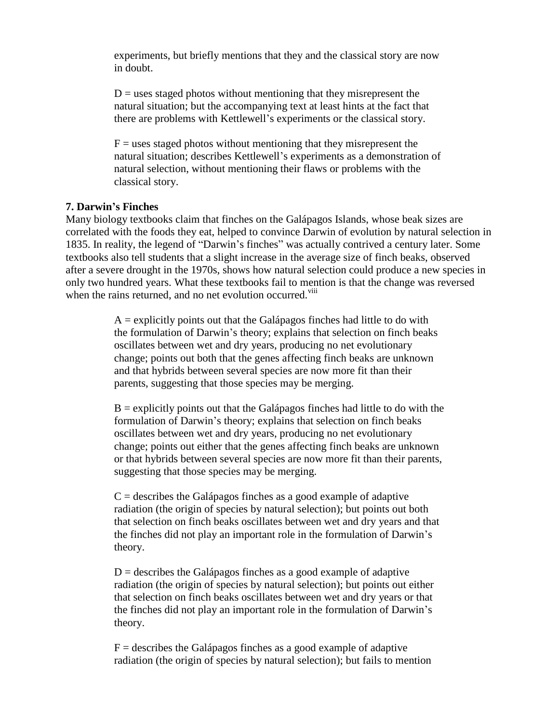experiments, but briefly mentions that they and the classical story are now in doubt.

 $D =$  uses staged photos without mentioning that they misrepresent the natural situation; but the accompanying text at least hints at the fact that there are problems with Kettlewell's experiments or the classical story.

 $F =$  uses staged photos without mentioning that they misrepresent the natural situation; describes Kettlewell's experiments as a demonstration of natural selection, without mentioning their flaws or problems with the classical story.

#### **7. Darwin's Finches**

Many biology textbooks claim that finches on the Galápagos Islands, whose beak sizes are correlated with the foods they eat, helped to convince Darwin of evolution by natural selection in 1835. In reality, the legend of "Darwin's finches" was actually contrived a century later. Some textbooks also tell students that a slight increase in the average size of finch beaks, observed after a severe drought in the 1970s, shows how natural selection could produce a new species in only two hundred years. What these textbooks fail to mention is that the change was reversed when the rains returned, and no net evolution occurred.<sup>viii</sup>

> $A =$  explicitly points out that the Galápagos finches had little to do with the formulation of Darwin's theory; explains that selection on finch beaks oscillates between wet and dry years, producing no net evolutionary change; points out both that the genes affecting finch beaks are unknown and that hybrids between several species are now more fit than their parents, suggesting that those species may be merging.

 $B =$  explicitly points out that the Galápagos finches had little to do with the formulation of Darwin's theory; explains that selection on finch beaks oscillates between wet and dry years, producing no net evolutionary change; points out either that the genes affecting finch beaks are unknown or that hybrids between several species are now more fit than their parents, suggesting that those species may be merging.

 $C =$  describes the Galápagos finches as a good example of adaptive radiation (the origin of species by natural selection); but points out both that selection on finch beaks oscillates between wet and dry years and that the finches did not play an important role in the formulation of Darwin's theory.

 $D =$  describes the Galápagos finches as a good example of adaptive radiation (the origin of species by natural selection); but points out either that selection on finch beaks oscillates between wet and dry years or that the finches did not play an important role in the formulation of Darwin's theory.

 $F =$  describes the Galápagos finches as a good example of adaptive radiation (the origin of species by natural selection); but fails to mention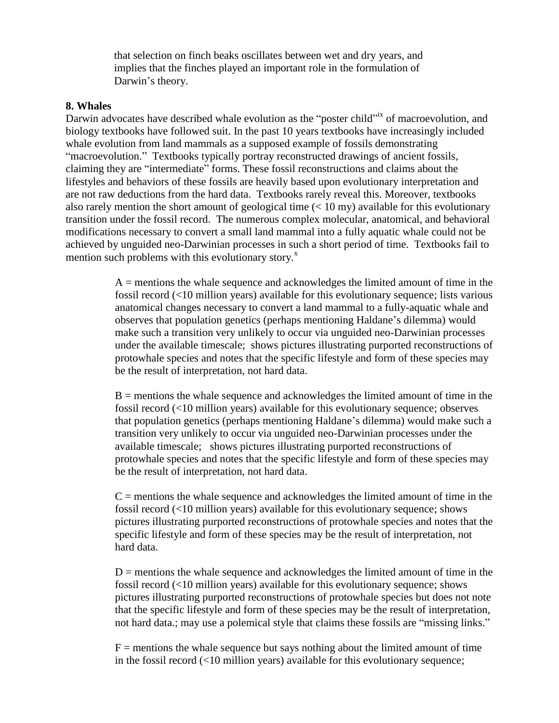that selection on finch beaks oscillates between wet and dry years, and implies that the finches played an important role in the formulation of Darwin's theory.

#### **8. Whales**

Darwin advocates have described whale evolution as the "poster child" of macroevolution, and biology textbooks have followed suit. In the past 10 years textbooks have increasingly included whale evolution from land mammals as a supposed example of fossils demonstrating "macroevolution." Textbooks typically portray reconstructed drawings of ancient fossils, claiming they are "intermediate" forms. These fossil reconstructions and claims about the lifestyles and behaviors of these fossils are heavily based upon evolutionary interpretation and are not raw deductions from the hard data. Textbooks rarely reveal this. Moreover, textbooks also rarely mention the short amount of geological time  $(< 10 \text{ my})$  available for this evolutionary transition under the fossil record. The numerous complex molecular, anatomical, and behavioral modifications necessary to convert a small land mammal into a fully aquatic whale could not be achieved by unguided neo-Darwinian processes in such a short period of time. Textbooks fail to mention such problems with this evolutionary story. $^x$ 

> $A =$  mentions the whale sequence and acknowledges the limited amount of time in the fossil record (<10 million years) available for this evolutionary sequence; lists various anatomical changes necessary to convert a land mammal to a fully-aquatic whale and observes that population genetics (perhaps mentioning Haldane's dilemma) would make such a transition very unlikely to occur via unguided neo-Darwinian processes under the available timescale; shows pictures illustrating purported reconstructions of protowhale species and notes that the specific lifestyle and form of these species may be the result of interpretation, not hard data.

> B = mentions the whale sequence and acknowledges the limited amount of time in the fossil record (<10 million years) available for this evolutionary sequence; observes that population genetics (perhaps mentioning Haldane's dilemma) would make such a transition very unlikely to occur via unguided neo-Darwinian processes under the available timescale; shows pictures illustrating purported reconstructions of protowhale species and notes that the specific lifestyle and form of these species may be the result of interpretation, not hard data.

> $C =$  mentions the whale sequence and acknowledges the limited amount of time in the fossil record (<10 million years) available for this evolutionary sequence; shows pictures illustrating purported reconstructions of protowhale species and notes that the specific lifestyle and form of these species may be the result of interpretation, not hard data.

> $D =$  mentions the whale sequence and acknowledges the limited amount of time in the fossil record (<10 million years) available for this evolutionary sequence; shows pictures illustrating purported reconstructions of protowhale species but does not note that the specific lifestyle and form of these species may be the result of interpretation, not hard data.; may use a polemical style that claims these fossils are "missing links."

 $F =$  mentions the whale sequence but says nothing about the limited amount of time in the fossil record (<10 million years) available for this evolutionary sequence;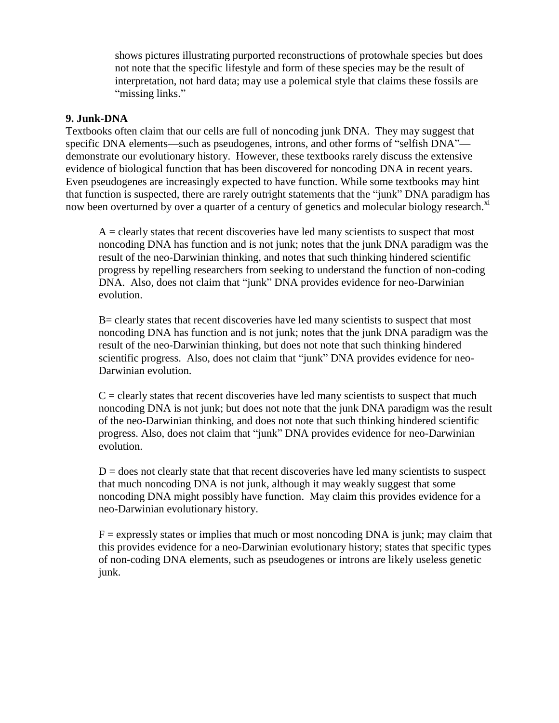shows pictures illustrating purported reconstructions of protowhale species but does not note that the specific lifestyle and form of these species may be the result of interpretation, not hard data; may use a polemical style that claims these fossils are "missing links."

#### **9. Junk-DNA**

Textbooks often claim that our cells are full of noncoding junk DNA. They may suggest that specific DNA elements—such as pseudogenes, introns, and other forms of "selfish DNA" demonstrate our evolutionary history. However, these textbooks rarely discuss the extensive evidence of biological function that has been discovered for noncoding DNA in recent years. Even pseudogenes are increasingly expected to have function. While some textbooks may hint that function is suspected, there are rarely outright statements that the "junk" DNA paradigm has now been overturned by over a quarter of a century of genetics and molecular biology research.<sup>xi</sup>

 $A =$  clearly states that recent discoveries have led many scientists to suspect that most noncoding DNA has function and is not junk; notes that the junk DNA paradigm was the result of the neo-Darwinian thinking, and notes that such thinking hindered scientific progress by repelling researchers from seeking to understand the function of non-coding DNA. Also, does not claim that "junk" DNA provides evidence for neo-Darwinian evolution.

B= clearly states that recent discoveries have led many scientists to suspect that most noncoding DNA has function and is not junk; notes that the junk DNA paradigm was the result of the neo-Darwinian thinking, but does not note that such thinking hindered scientific progress. Also, does not claim that "junk" DNA provides evidence for neo-Darwinian evolution.

 $C =$  clearly states that recent discoveries have led many scientists to suspect that much noncoding DNA is not junk; but does not note that the junk DNA paradigm was the result of the neo-Darwinian thinking, and does not note that such thinking hindered scientific progress. Also, does not claim that "junk" DNA provides evidence for neo-Darwinian evolution.

 $D =$  does not clearly state that that recent discoveries have led many scientists to suspect that much noncoding DNA is not junk, although it may weakly suggest that some noncoding DNA might possibly have function. May claim this provides evidence for a neo-Darwinian evolutionary history.

 $F =$  expressly states or implies that much or most noncoding DNA is junk; may claim that this provides evidence for a neo-Darwinian evolutionary history; states that specific types of non-coding DNA elements, such as pseudogenes or introns are likely useless genetic junk.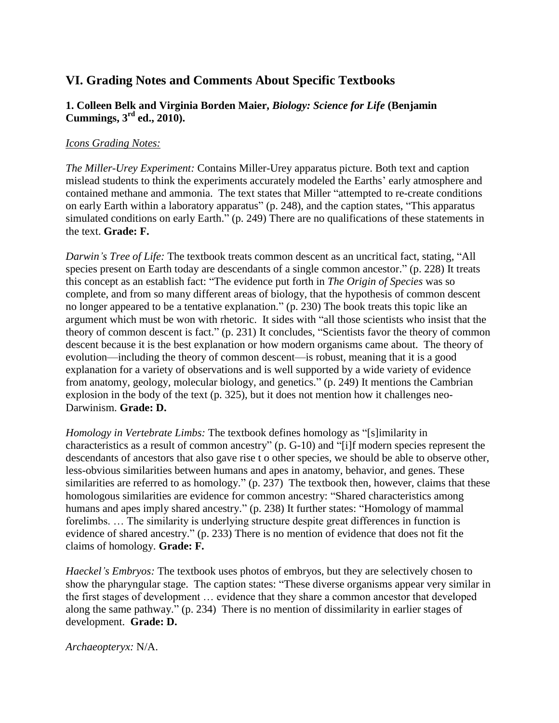## **VI. Grading Notes and Comments About Specific Textbooks**

## **1. Colleen Belk and Virginia Borden Maier,** *Biology: Science for Life* **(Benjamin Cummings, 3rd ed., 2010).**

#### *Icons Grading Notes:*

*The Miller-Urey Experiment:* Contains Miller-Urey apparatus picture. Both text and caption mislead students to think the experiments accurately modeled the Earths' early atmosphere and contained methane and ammonia. The text states that Miller "attempted to re-create conditions on early Earth within a laboratory apparatus" (p. 248), and the caption states, "This apparatus simulated conditions on early Earth." (p. 249) There are no qualifications of these statements in the text. **Grade: F.**

*Darwin's Tree of Life:* The textbook treats common descent as an uncritical fact, stating, "All species present on Earth today are descendants of a single common ancestor." (p. 228) It treats this concept as an establish fact: "The evidence put forth in *The Origin of Species* was so complete, and from so many different areas of biology, that the hypothesis of common descent no longer appeared to be a tentative explanation." (p. 230) The book treats this topic like an argument which must be won with rhetoric. It sides with "all those scientists who insist that the theory of common descent is fact." (p. 231) It concludes, "Scientists favor the theory of common descent because it is the best explanation or how modern organisms came about. The theory of evolution—including the theory of common descent—is robust, meaning that it is a good explanation for a variety of observations and is well supported by a wide variety of evidence from anatomy, geology, molecular biology, and genetics." (p. 249) It mentions the Cambrian explosion in the body of the text (p. 325), but it does not mention how it challenges neo-Darwinism. **Grade: D.**

*Homology in Vertebrate Limbs:* The textbook defines homology as "[s]imilarity in characteristics as a result of common ancestry" (p.  $G-10$ ) and "[i]f modern species represent the descendants of ancestors that also gave rise t o other species, we should be able to observe other, less-obvious similarities between humans and apes in anatomy, behavior, and genes. These similarities are referred to as homology."  $(p. 237)$  The textbook then, however, claims that these homologous similarities are evidence for common ancestry: "Shared characteristics among humans and apes imply shared ancestry." (p. 238) It further states: "Homology of mammal forelimbs. … The similarity is underlying structure despite great differences in function is evidence of shared ancestry." (p. 233) There is no mention of evidence that does not fit the claims of homology. **Grade: F.**

*Haeckel's Embryos:* The textbook uses photos of embryos, but they are selectively chosen to show the pharyngular stage. The caption states: "These diverse organisms appear very similar in the first stages of development … evidence that they share a common ancestor that developed along the same pathway." (p. 234) There is no mention of dissimilarity in earlier stages of development. **Grade: D.**

*Archaeopteryx:* N/A.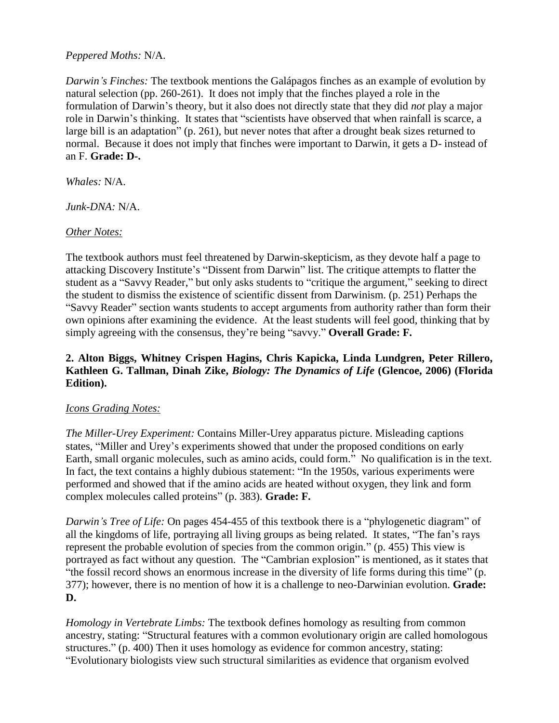#### *Peppered Moths:* N/A.

*Darwin's Finches:* The textbook mentions the Galápagos finches as an example of evolution by natural selection (pp. 260-261). It does not imply that the finches played a role in the formulation of Darwin's theory, but it also does not directly state that they did *not* play a major role in Darwin's thinking. It states that "scientists have observed that when rainfall is scarce, a large bill is an adaptation" (p. 261), but never notes that after a drought beak sizes returned to normal. Because it does not imply that finches were important to Darwin, it gets a D- instead of an F. **Grade: D-.**

*Whales:* N/A.

*Junk-DNA:* N/A.

#### *Other Notes:*

The textbook authors must feel threatened by Darwin-skepticism, as they devote half a page to attacking Discovery Institute's "Dissent from Darwin" list. The critique attempts to flatter the student as a "Savvy Reader," but only asks students to "critique the argument," seeking to direct the student to dismiss the existence of scientific dissent from Darwinism. (p. 251) Perhaps the "Savvy Reader" section wants students to accept arguments from authority rather than form their own opinions after examining the evidence. At the least students will feel good, thinking that by simply agreeing with the consensus, they're being "savvy." **Overall Grade: F.** 

## **2. Alton Biggs, Whitney Crispen Hagins, Chris Kapicka, Linda Lundgren, Peter Rillero, Kathleen G. Tallman, Dinah Zike,** *Biology: The Dynamics of Life* **(Glencoe, 2006) (Florida Edition).**

## *Icons Grading Notes:*

*The Miller-Urey Experiment:* Contains Miller-Urey apparatus picture. Misleading captions states, "Miller and Urey's experiments showed that under the proposed conditions on early Earth, small organic molecules, such as amino acids, could form." No qualification is in the text. In fact, the text contains a highly dubious statement: "In the 1950s, various experiments were performed and showed that if the amino acids are heated without oxygen, they link and form complex molecules called proteins" (p. 383). **Grade: F.** 

*Darwin's Tree of Life:* On pages 454-455 of this textbook there is a "phylogenetic diagram" of all the kingdoms of life, portraying all living groups as being related. It states, "The fan's rays represent the probable evolution of species from the common origin." (p. 455) This view is portrayed as fact without any question. The "Cambrian explosion" is mentioned, as it states that "the fossil record shows an enormous increase in the diversity of life forms during this time" (p. 377); however, there is no mention of how it is a challenge to neo-Darwinian evolution. **Grade: D.**

*Homology in Vertebrate Limbs:* The textbook defines homology as resulting from common ancestry, stating: "Structural features with a common evolutionary origin are called homologous structures." (p. 400) Then it uses homology as evidence for common ancestry, stating: ―Evolutionary biologists view such structural similarities as evidence that organism evolved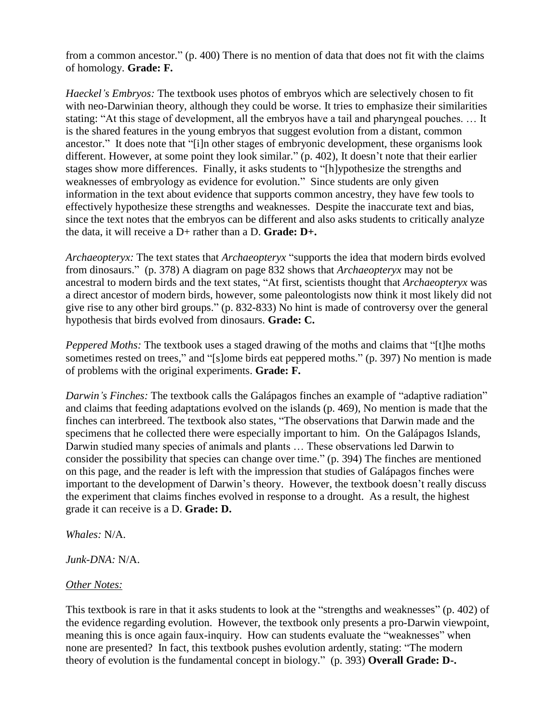from a common ancestor."  $(p. 400)$  There is no mention of data that does not fit with the claims of homology. **Grade: F.**

*Haeckel's Embryos:* The textbook uses photos of embryos which are selectively chosen to fit with neo-Darwinian theory, although they could be worse. It tries to emphasize their similarities stating: "At this stage of development, all the embryos have a tail and pharyngeal pouches. ... It is the shared features in the young embryos that suggest evolution from a distant, common ancestor." It does note that "[i]n other stages of embryonic development, these organisms look different. However, at some point they look similar."  $(p. 402)$ , It doesn't note that their earlier stages show more differences. Finally, it asks students to "[h]ypothesize the strengths and weaknesses of embryology as evidence for evolution." Since students are only given information in the text about evidence that supports common ancestry, they have few tools to effectively hypothesize these strengths and weaknesses. Despite the inaccurate text and bias, since the text notes that the embryos can be different and also asks students to critically analyze the data, it will receive a D+ rather than a D. **Grade: D+.**

*Archaeopteryx:* The text states that *Archaeopteryx* "supports the idea that modern birds evolved from dinosaurs.‖ (p. 378) A diagram on page 832 shows that *Archaeopteryx* may not be ancestral to modern birds and the text states, "At first, scientists thought that *Archaeopteryx* was a direct ancestor of modern birds, however, some paleontologists now think it most likely did not give rise to any other bird groups." (p. 832-833) No hint is made of controversy over the general hypothesis that birds evolved from dinosaurs. **Grade: C.**

*Peppered Moths:* The textbook uses a staged drawing of the moths and claims that "[t]he moths sometimes rested on trees," and "[s]ome birds eat peppered moths." (p. 397) No mention is made of problems with the original experiments. **Grade: F.**

*Darwin's Finches:* The textbook calls the Galápagos finches an example of "adaptive radiation" and claims that feeding adaptations evolved on the islands (p. 469), No mention is made that the finches can interbreed. The textbook also states, "The observations that Darwin made and the specimens that he collected there were especially important to him. On the Galápagos Islands, Darwin studied many species of animals and plants … These observations led Darwin to consider the possibility that species can change over time." (p. 394) The finches are mentioned on this page, and the reader is left with the impression that studies of Galápagos finches were important to the development of Darwin's theory. However, the textbook doesn't really discuss the experiment that claims finches evolved in response to a drought. As a result, the highest grade it can receive is a D. **Grade: D.**

*Whales:* N/A.

*Junk-DNA:* N/A.

## *Other Notes:*

This textbook is rare in that it asks students to look at the "strengths and weaknesses"  $(p. 402)$  of the evidence regarding evolution. However, the textbook only presents a pro-Darwin viewpoint, meaning this is once again faux-inquiry. How can students evaluate the "weaknesses" when none are presented? In fact, this textbook pushes evolution ardently, stating: "The modern theory of evolution is the fundamental concept in biology." (p. 393) **Overall Grade: D-.**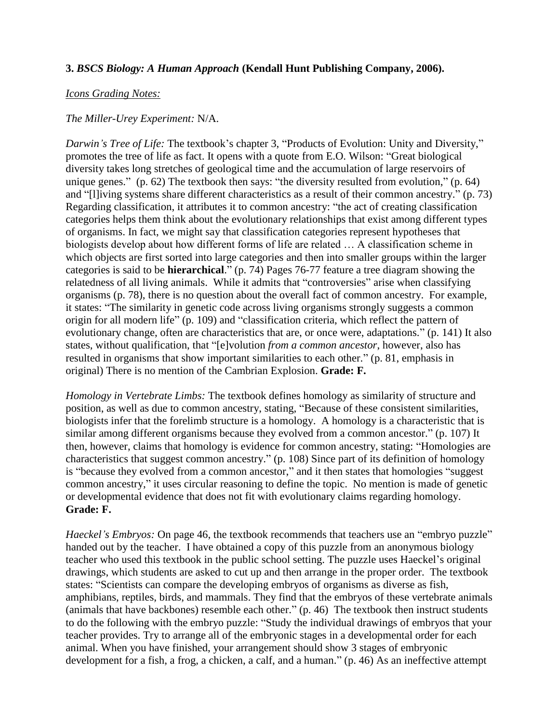#### **3.** *BSCS Biology: A Human Approach* **(Kendall Hunt Publishing Company, 2006).**

#### *Icons Grading Notes:*

#### *The Miller-Urey Experiment:* N/A.

*Darwin's Tree of Life:* The textbook's chapter 3, "Products of Evolution: Unity and Diversity," promotes the tree of life as fact. It opens with a quote from E.O. Wilson: "Great biological diversity takes long stretches of geological time and the accumulation of large reservoirs of unique genes." (p. 62) The textbook then says: "the diversity resulted from evolution," (p. 64) and "[l]iving systems share different characteristics as a result of their common ancestry." (p. 73) Regarding classification, it attributes it to common ancestry: "the act of creating classification categories helps them think about the evolutionary relationships that exist among different types of organisms. In fact, we might say that classification categories represent hypotheses that biologists develop about how different forms of life are related … A classification scheme in which objects are first sorted into large categories and then into smaller groups within the larger categories is said to be **hierarchical**." (p. 74) Pages 76-77 feature a tree diagram showing the relatedness of all living animals. While it admits that "controversies" arise when classifying organisms (p. 78), there is no question about the overall fact of common ancestry. For example, it states: "The similarity in genetic code across living organisms strongly suggests a common origin for all modern life" (p. 109) and "classification criteria, which reflect the pattern of evolutionary change, often are characteristics that are, or once were, adaptations." (p. 141) It also states, without qualification, that "[e]volution *from a common ancestor*, however, also has resulted in organisms that show important similarities to each other." (p. 81, emphasis in original) There is no mention of the Cambrian Explosion. **Grade: F.**

*Homology in Vertebrate Limbs:* The textbook defines homology as similarity of structure and position, as well as due to common ancestry, stating, "Because of these consistent similarities, biologists infer that the forelimb structure is a homology. A homology is a characteristic that is similar among different organisms because they evolved from a common ancestor." (p. 107) It then, however, claims that homology is evidence for common ancestry, stating: "Homologies are characteristics that suggest common ancestry." (p. 108) Since part of its definition of homology is "because they evolved from a common ancestor," and it then states that homologies "suggest common ancestry," it uses circular reasoning to define the topic. No mention is made of genetic or developmental evidence that does not fit with evolutionary claims regarding homology. **Grade: F.**

*Haeckel's Embryos:* On page 46, the textbook recommends that teachers use an "embryo puzzle" handed out by the teacher. I have obtained a copy of this puzzle from an anonymous biology teacher who used this textbook in the public school setting. The puzzle uses Haeckel's original drawings, which students are asked to cut up and then arrange in the proper order. The textbook states: "Scientists can compare the developing embryos of organisms as diverse as fish, amphibians, reptiles, birds, and mammals. They find that the embryos of these vertebrate animals (animals that have backbones) resemble each other."  $(p. 46)$  The textbook then instruct students to do the following with the embryo puzzle: "Study the individual drawings of embryos that your teacher provides. Try to arrange all of the embryonic stages in a developmental order for each animal. When you have finished, your arrangement should show 3 stages of embryonic development for a fish, a frog, a chicken, a calf, and a human." (p. 46) As an ineffective attempt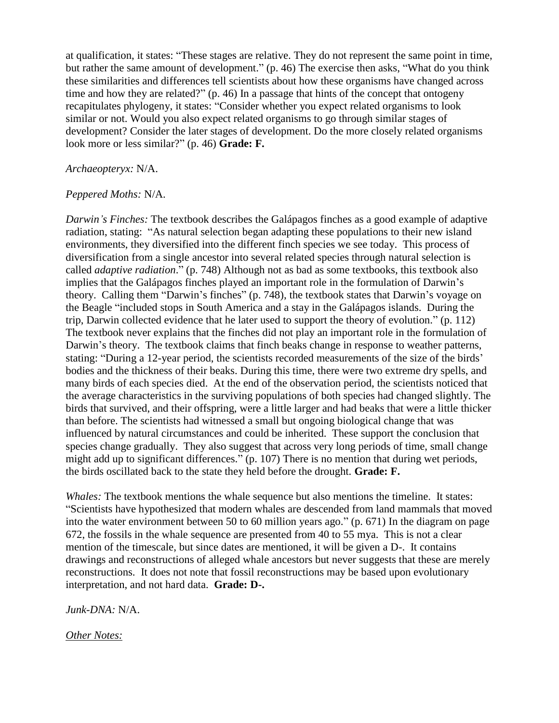at qualification, it states: "These stages are relative. They do not represent the same point in time, but rather the same amount of development." (p. 46) The exercise then asks, "What do you think these similarities and differences tell scientists about how these organisms have changed across time and how they are related?"  $(p. 46)$  In a passage that hints of the concept that ontogeny recapitulates phylogeny, it states: "Consider whether you expect related organisms to look similar or not. Would you also expect related organisms to go through similar stages of development? Consider the later stages of development. Do the more closely related organisms look more or less similar?" (p. 46) **Grade: F.** 

#### *Archaeopteryx:* N/A.

#### *Peppered Moths:* N/A.

*Darwin's Finches:* The textbook describes the Galápagos finches as a good example of adaptive radiation, stating: "As natural selection began adapting these populations to their new island environments, they diversified into the different finch species we see today. This process of diversification from a single ancestor into several related species through natural selection is called *adaptive radiation*." (p. 748) Although not as bad as some textbooks, this textbook also implies that the Galápagos finches played an important role in the formulation of Darwin's theory. Calling them "Darwin's finches" (p. 748), the textbook states that Darwin's voyage on the Beagle "included stops in South America and a stay in the Galápagos islands. During the trip, Darwin collected evidence that he later used to support the theory of evolution." (p. 112) The textbook never explains that the finches did not play an important role in the formulation of Darwin's theory. The textbook claims that finch beaks change in response to weather patterns, stating: "During a 12-year period, the scientists recorded measurements of the size of the birds' bodies and the thickness of their beaks. During this time, there were two extreme dry spells, and many birds of each species died. At the end of the observation period, the scientists noticed that the average characteristics in the surviving populations of both species had changed slightly. The birds that survived, and their offspring, were a little larger and had beaks that were a little thicker than before. The scientists had witnessed a small but ongoing biological change that was influenced by natural circumstances and could be inherited. These support the conclusion that species change gradually. They also suggest that across very long periods of time, small change might add up to significant differences." (p. 107) There is no mention that during wet periods, the birds oscillated back to the state they held before the drought. **Grade: F.**

*Whales:* The textbook mentions the whale sequence but also mentions the timeline. It states: ―Scientists have hypothesized that modern whales are descended from land mammals that moved into the water environment between 50 to 60 million years ago."  $(p. 671)$  In the diagram on page 672, the fossils in the whale sequence are presented from 40 to 55 mya. This is not a clear mention of the timescale, but since dates are mentioned, it will be given a D-. It contains drawings and reconstructions of alleged whale ancestors but never suggests that these are merely reconstructions. It does not note that fossil reconstructions may be based upon evolutionary interpretation, and not hard data. **Grade: D-.**

*Junk-DNA:* N/A.

*Other Notes:*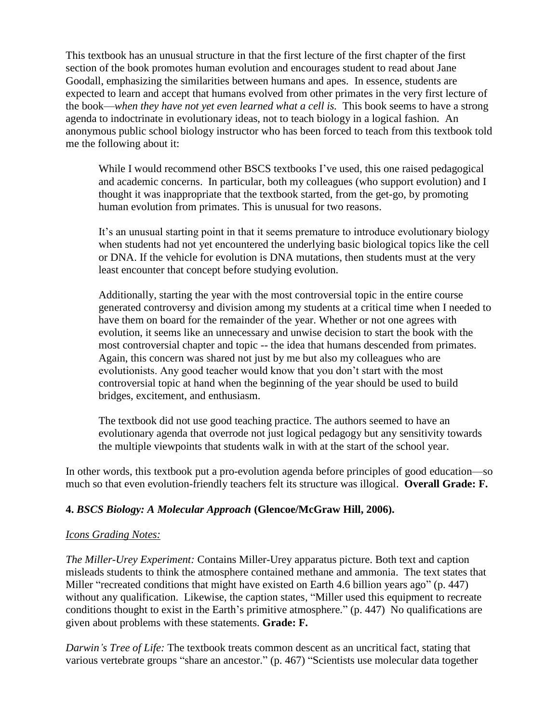This textbook has an unusual structure in that the first lecture of the first chapter of the first section of the book promotes human evolution and encourages student to read about Jane Goodall, emphasizing the similarities between humans and apes. In essence, students are expected to learn and accept that humans evolved from other primates in the very first lecture of the book—*when they have not yet even learned what a cell is.* This book seems to have a strong agenda to indoctrinate in evolutionary ideas, not to teach biology in a logical fashion. An anonymous public school biology instructor who has been forced to teach from this textbook told me the following about it:

While I would recommend other BSCS textbooks I've used, this one raised pedagogical and academic concerns. In particular, both my colleagues (who support evolution) and I thought it was inappropriate that the textbook started, from the get-go, by promoting human evolution from primates. This is unusual for two reasons.

It's an unusual starting point in that it seems premature to introduce evolutionary biology when students had not yet encountered the underlying basic biological topics like the cell or DNA. If the vehicle for evolution is DNA mutations, then students must at the very least encounter that concept before studying evolution.

Additionally, starting the year with the most controversial topic in the entire course generated controversy and division among my students at a critical time when I needed to have them on board for the remainder of the year. Whether or not one agrees with evolution, it seems like an unnecessary and unwise decision to start the book with the most controversial chapter and topic -- the idea that humans descended from primates. Again, this concern was shared not just by me but also my colleagues who are evolutionists. Any good teacher would know that you don't start with the most controversial topic at hand when the beginning of the year should be used to build bridges, excitement, and enthusiasm.

The textbook did not use good teaching practice. The authors seemed to have an evolutionary agenda that overrode not just logical pedagogy but any sensitivity towards the multiple viewpoints that students walk in with at the start of the school year.

In other words, this textbook put a pro-evolution agenda before principles of good education—so much so that even evolution-friendly teachers felt its structure was illogical. **Overall Grade: F.**

## **4.** *BSCS Biology: A Molecular Approach* **(Glencoe/McGraw Hill, 2006).**

#### *Icons Grading Notes:*

*The Miller-Urey Experiment:* Contains Miller-Urey apparatus picture. Both text and caption misleads students to think the atmosphere contained methane and ammonia. The text states that Miller "recreated conditions that might have existed on Earth 4.6 billion years ago" (p.  $447$ ) without any qualification. Likewise, the caption states, "Miller used this equipment to recreate conditions thought to exist in the Earth's primitive atmosphere."  $(p. 447)$  No qualifications are given about problems with these statements. **Grade: F.**

*Darwin's Tree of Life:* The textbook treats common descent as an uncritical fact, stating that various vertebrate groups "share an ancestor." (p. 467) "Scientists use molecular data together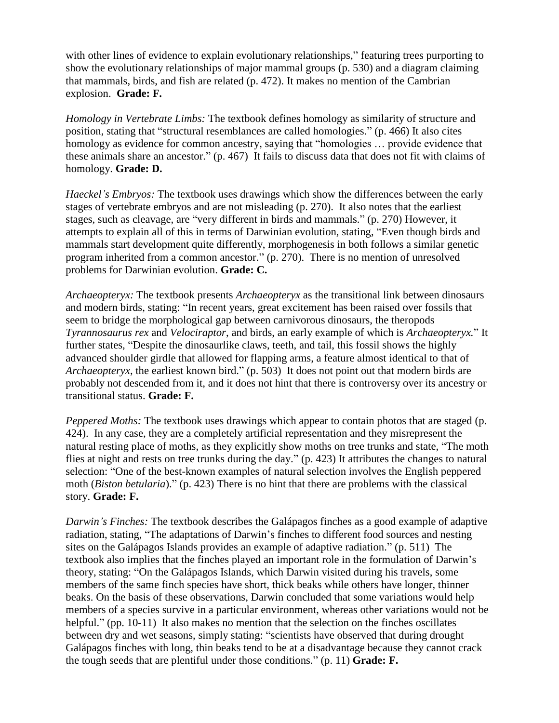with other lines of evidence to explain evolutionary relationships," featuring trees purporting to show the evolutionary relationships of major mammal groups (p. 530) and a diagram claiming that mammals, birds, and fish are related (p. 472). It makes no mention of the Cambrian explosion. **Grade: F.**

*Homology in Vertebrate Limbs:* The textbook defines homology as similarity of structure and position, stating that "structural resemblances are called homologies." (p. 466) It also cites homology as evidence for common ancestry, saying that "homologies ... provide evidence that these animals share an ancestor." (p. 467) It fails to discuss data that does not fit with claims of homology. **Grade: D.**

*Haeckel's Embryos:* The textbook uses drawings which show the differences between the early stages of vertebrate embryos and are not misleading (p. 270). It also notes that the earliest stages, such as cleavage, are "very different in birds and mammals." (p. 270) However, it attempts to explain all of this in terms of Darwinian evolution, stating, "Even though birds and mammals start development quite differently, morphogenesis in both follows a similar genetic program inherited from a common ancestor." (p. 270). There is no mention of unresolved problems for Darwinian evolution. **Grade: C.**

*Archaeopteryx:* The textbook presents *Archaeopteryx* as the transitional link between dinosaurs and modern birds, stating: "In recent years, great excitement has been raised over fossils that seem to bridge the morphological gap between carnivorous dinosaurs, the theropods *Tyrannosaurus rex* and *Velociraptor*, and birds, an early example of which is *Archaeopteryx.*‖ It further states, "Despite the dinosaurlike claws, teeth, and tail, this fossil shows the highly advanced shoulder girdle that allowed for flapping arms, a feature almost identical to that of *Archaeopteryx*, the earliest known bird." (p. 503) It does not point out that modern birds are probably not descended from it, and it does not hint that there is controversy over its ancestry or transitional status. **Grade: F.**

*Peppered Moths:* The textbook uses drawings which appear to contain photos that are staged (p. 424). In any case, they are a completely artificial representation and they misrepresent the natural resting place of moths, as they explicitly show moths on tree trunks and state, "The moth flies at night and rests on tree trunks during the day." (p. 423) It attributes the changes to natural selection: "One of the best-known examples of natural selection involves the English peppered moth *(Biston betularia)*." (p. 423) There is no hint that there are problems with the classical story. **Grade: F.**

*Darwin's Finches:* The textbook describes the Galápagos finches as a good example of adaptive radiation, stating, "The adaptations of Darwin's finches to different food sources and nesting sites on the Galápagos Islands provides an example of adaptive radiation." (p. 511) The textbook also implies that the finches played an important role in the formulation of Darwin's theory, stating: "On the Galápagos Islands, which Darwin visited during his travels, some members of the same finch species have short, thick beaks while others have longer, thinner beaks. On the basis of these observations, Darwin concluded that some variations would help members of a species survive in a particular environment, whereas other variations would not be helpful." (pp.  $10-11$ ) It also makes no mention that the selection on the finches oscillates between dry and wet seasons, simply stating: "scientists have observed that during drought Galápagos finches with long, thin beaks tend to be at a disadvantage because they cannot crack the tough seeds that are plentiful under those conditions."  $(p. 11)$  **Grade: F.**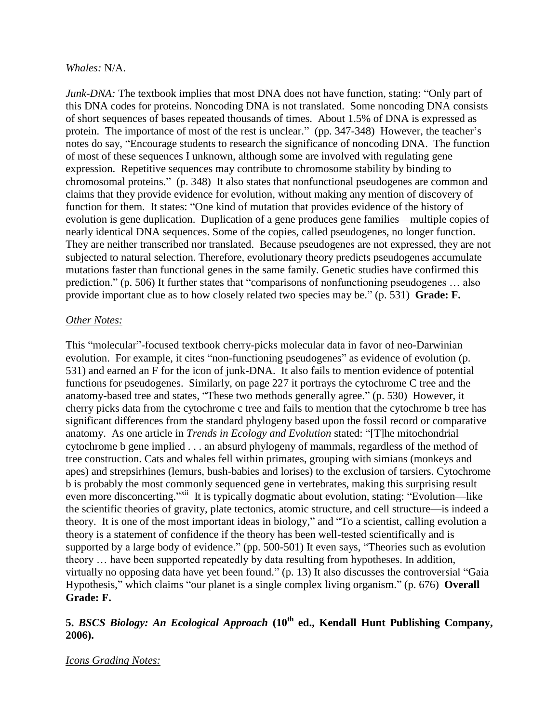#### *Whales:* N/A.

*Junk-DNA:* The textbook implies that most DNA does not have function, stating: "Only part of this DNA codes for proteins. Noncoding DNA is not translated. Some noncoding DNA consists of short sequences of bases repeated thousands of times. About 1.5% of DNA is expressed as protein. The importance of most of the rest is unclear." (pp. 347-348) However, the teacher's notes do say, "Encourage students to research the significance of noncoding DNA. The function of most of these sequences I unknown, although some are involved with regulating gene expression. Repetitive sequences may contribute to chromosome stability by binding to chromosomal proteins.‖ (p. 348) It also states that nonfunctional pseudogenes are common and claims that they provide evidence for evolution, without making any mention of discovery of function for them. It states: "One kind of mutation that provides evidence of the history of evolution is gene duplication. Duplication of a gene produces gene families—multiple copies of nearly identical DNA sequences. Some of the copies, called pseudogenes, no longer function. They are neither transcribed nor translated. Because pseudogenes are not expressed, they are not subjected to natural selection. Therefore, evolutionary theory predicts pseudogenes accumulate mutations faster than functional genes in the same family. Genetic studies have confirmed this prediction." (p. 506) It further states that "comparisons of nonfunctioning pseudogenes ... also provide important clue as to how closely related two species may be." (p. 531) **Grade: F.** 

#### *Other Notes:*

This "molecular"-focused textbook cherry-picks molecular data in favor of neo-Darwinian evolution. For example, it cites "non-functioning pseudogenes" as evidence of evolution (p. 531) and earned an F for the icon of junk-DNA. It also fails to mention evidence of potential functions for pseudogenes. Similarly, on page 227 it portrays the cytochrome C tree and the anatomy-based tree and states, "These two methods generally agree." (p. 530) However, it cherry picks data from the cytochrome c tree and fails to mention that the cytochrome b tree has significant differences from the standard phylogeny based upon the fossil record or comparative anatomy. As one article in *Trends in Ecology and Evolution* stated: "[T]he mitochondrial cytochrome b gene implied . . . an absurd phylogeny of mammals, regardless of the method of tree construction. Cats and whales fell within primates, grouping with simians (monkeys and apes) and strepsirhines (lemurs, bush-babies and lorises) to the exclusion of tarsiers. Cytochrome b is probably the most commonly sequenced gene in vertebrates, making this surprising result even more disconcerting."<sup>xii</sup> It is typically dogmatic about evolution, stating: "Evolution—like the scientific theories of gravity, plate tectonics, atomic structure, and cell structure—is indeed a theory. It is one of the most important ideas in biology," and "To a scientist, calling evolution a theory is a statement of confidence if the theory has been well-tested scientifically and is supported by a large body of evidence." (pp. 500-501) It even says, "Theories such as evolution theory … have been supported repeatedly by data resulting from hypotheses. In addition, virtually no opposing data have yet been found." (p. 13) It also discusses the controversial "Gaia Hypothesis," which claims "our planet is a single complex living organism." (p. 676) **Overall Grade: F.**

## **5.** *BSCS Biology: An Ecological Approach* **(10th ed., Kendall Hunt Publishing Company, 2006).**

#### *Icons Grading Notes:*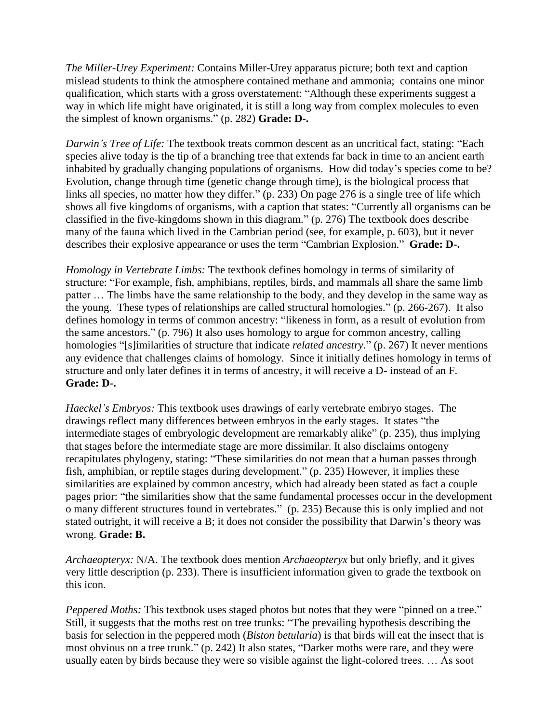*The Miller-Urey Experiment:* Contains Miller-Urey apparatus picture; both text and caption mislead students to think the atmosphere contained methane and ammonia; contains one minor qualification, which starts with a gross overstatement: "Although these experiments suggest a way in which life might have originated, it is still a long way from complex molecules to even the simplest of known organisms." (p. 282) **Grade: D-.** 

*Darwin's Tree of Life:* The textbook treats common descent as an uncritical fact, stating: "Each species alive today is the tip of a branching tree that extends far back in time to an ancient earth inhabited by gradually changing populations of organisms. How did today's species come to be? Evolution, change through time (genetic change through time), is the biological process that links all species, no matter how they differ."  $(p. 233)$  On page 276 is a single tree of life which shows all five kingdoms of organisms, with a caption that states: "Currently all organisms can be classified in the five-kingdoms shown in this diagram."  $(p. 276)$  The textbook does describe many of the fauna which lived in the Cambrian period (see, for example, p. 603), but it never describes their explosive appearance or uses the term "Cambrian Explosion." **Grade: D-.** 

*Homology in Vertebrate Limbs:* The textbook defines homology in terms of similarity of structure: "For example, fish, amphibians, reptiles, birds, and mammals all share the same limb patter … The limbs have the same relationship to the body, and they develop in the same way as the young. These types of relationships are called structural homologies."  $(p. 266-267)$ . It also defines homology in terms of common ancestry: "likeness in form, as a result of evolution from the same ancestors." (p. 796) It also uses homology to argue for common ancestry, calling homologies "[s]imilarities of structure that indicate *related ancestry*." (p. 267) It never mentions any evidence that challenges claims of homology. Since it initially defines homology in terms of structure and only later defines it in terms of ancestry, it will receive a D- instead of an F. **Grade: D-.**

*Haeckel's Embryos:* This textbook uses drawings of early vertebrate embryo stages. The drawings reflect many differences between embryos in the early stages. It states "the intermediate stages of embryologic development are remarkably alike" (p. 235), thus implying that stages before the intermediate stage are more dissimilar. It also disclaims ontogeny recapitulates phylogeny, stating: "These similarities do not mean that a human passes through fish, amphibian, or reptile stages during development." (p. 235) However, it implies these similarities are explained by common ancestry, which had already been stated as fact a couple pages prior: "the similarities show that the same fundamental processes occur in the development o many different structures found in vertebrates." (p. 235) Because this is only implied and not stated outright, it will receive a B; it does not consider the possibility that Darwin's theory was wrong. **Grade: B.**

*Archaeopteryx:* N/A. The textbook does mention *Archaeopteryx* but only briefly, and it gives very little description (p. 233). There is insufficient information given to grade the textbook on this icon.

*Peppered Moths:* This textbook uses staged photos but notes that they were "pinned on a tree." Still, it suggests that the moths rest on tree trunks: "The prevailing hypothesis describing the basis for selection in the peppered moth (*Biston betularia*) is that birds will eat the insect that is most obvious on a tree trunk." (p. 242) It also states, "Darker moths were rare, and they were usually eaten by birds because they were so visible against the light-colored trees. … As soot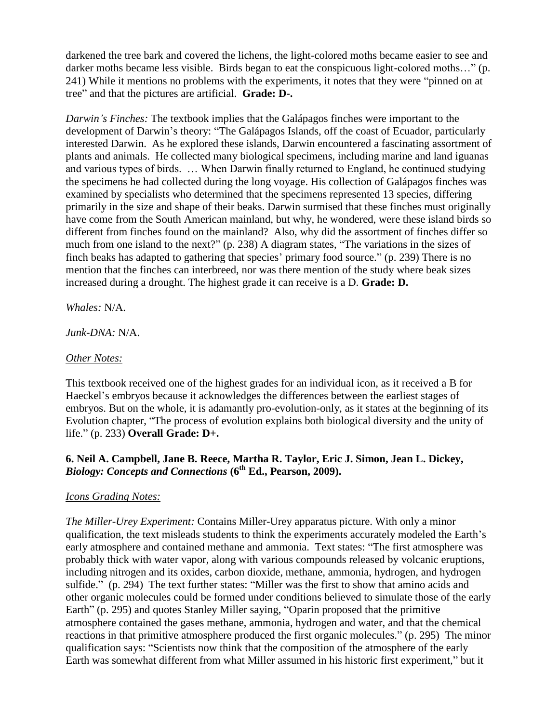darkened the tree bark and covered the lichens, the light-colored moths became easier to see and darker moths became less visible. Birds began to eat the conspicuous light-colored moths..." (p. 241) While it mentions no problems with the experiments, it notes that they were "pinned on at tree" and that the pictures are artificial. **Grade: D-.** 

*Darwin's Finches:* The textbook implies that the Galápagos finches were important to the development of Darwin's theory: "The Galápagos Islands, off the coast of Ecuador, particularly interested Darwin. As he explored these islands, Darwin encountered a fascinating assortment of plants and animals. He collected many biological specimens, including marine and land iguanas and various types of birds. … When Darwin finally returned to England, he continued studying the specimens he had collected during the long voyage. His collection of Galápagos finches was examined by specialists who determined that the specimens represented 13 species, differing primarily in the size and shape of their beaks. Darwin surmised that these finches must originally have come from the South American mainland, but why, he wondered, were these island birds so different from finches found on the mainland? Also, why did the assortment of finches differ so much from one island to the next?"  $(p. 238)$  A diagram states, "The variations in the sizes of finch beaks has adapted to gathering that species' primary food source." (p. 239) There is no mention that the finches can interbreed, nor was there mention of the study where beak sizes increased during a drought. The highest grade it can receive is a D. **Grade: D.**

*Whales:* N/A.

*Junk-DNA:* N/A.

#### *Other Notes:*

This textbook received one of the highest grades for an individual icon, as it received a B for Haeckel's embryos because it acknowledges the differences between the earliest stages of embryos. But on the whole, it is adamantly pro-evolution-only, as it states at the beginning of its Evolution chapter, "The process of evolution explains both biological diversity and the unity of life." (p. 233) **Overall Grade: D+.** 

#### **6. Neil A. Campbell, Jane B. Reece, Martha R. Taylor, Eric J. Simon, Jean L. Dickey,**  *Biology: Concepts and Connections* **(6th Ed., Pearson, 2009).**

#### *Icons Grading Notes:*

*The Miller-Urey Experiment:* Contains Miller-Urey apparatus picture. With only a minor qualification, the text misleads students to think the experiments accurately modeled the Earth's early atmosphere and contained methane and ammonia. Text states: "The first atmosphere was probably thick with water vapor, along with various compounds released by volcanic eruptions, including nitrogen and its oxides, carbon dioxide, methane, ammonia, hydrogen, and hydrogen sulfide." (p. 294) The text further states: "Miller was the first to show that amino acids and other organic molecules could be formed under conditions believed to simulate those of the early Earth" (p. 295) and quotes Stanley Miller saying, "Oparin proposed that the primitive atmosphere contained the gases methane, ammonia, hydrogen and water, and that the chemical reactions in that primitive atmosphere produced the first organic molecules." (p. 295) The minor qualification says: "Scientists now think that the composition of the atmosphere of the early Earth was somewhat different from what Miller assumed in his historic first experiment," but it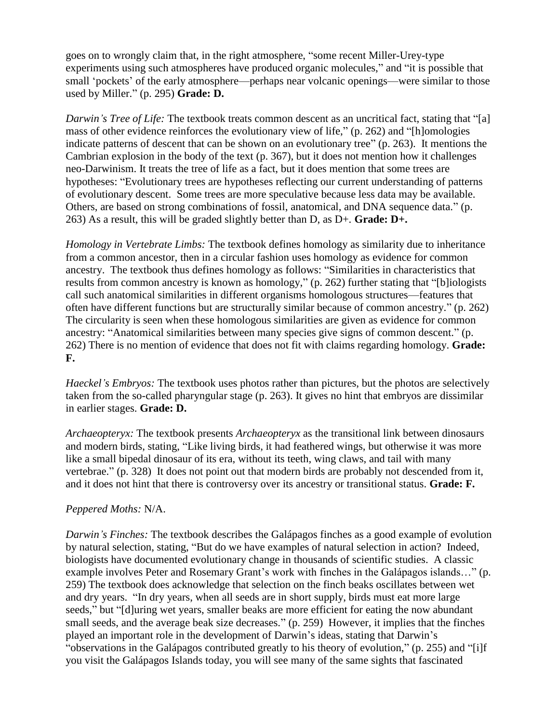goes on to wrongly claim that, in the right atmosphere, "some recent Miller-Urey-type experiments using such atmospheres have produced organic molecules," and "it is possible that small 'pockets' of the early atmosphere—perhaps near volcanic openings—were similar to those used by Miller." (p. 295) **Grade: D.** 

*Darwin's Tree of Life:* The textbook treats common descent as an uncritical fact, stating that "[a] mass of other evidence reinforces the evolutionary view of life,"  $(p. 262)$  and "[h]omologies indicate patterns of descent that can be shown on an evolutionary tree"  $(p. 263)$ . It mentions the Cambrian explosion in the body of the text (p. 367), but it does not mention how it challenges neo-Darwinism. It treats the tree of life as a fact, but it does mention that some trees are hypotheses: "Evolutionary trees are hypotheses reflecting our current understanding of patterns of evolutionary descent. Some trees are more speculative because less data may be available. Others, are based on strong combinations of fossil, anatomical, and DNA sequence data." (p. 263) As a result, this will be graded slightly better than D, as D+. **Grade: D+.**

*Homology in Vertebrate Limbs:* The textbook defines homology as similarity due to inheritance from a common ancestor, then in a circular fashion uses homology as evidence for common ancestry. The textbook thus defines homology as follows: "Similarities in characteristics that results from common ancestry is known as homology," (p. 262) further stating that "[b]iologists call such anatomical similarities in different organisms homologous structures—features that often have different functions but are structurally similar because of common ancestry." (p. 262) The circularity is seen when these homologous similarities are given as evidence for common ancestry: "Anatomical similarities between many species give signs of common descent." (p. 262) There is no mention of evidence that does not fit with claims regarding homology. **Grade: F.**

*Haeckel's Embryos:* The textbook uses photos rather than pictures, but the photos are selectively taken from the so-called pharyngular stage (p. 263). It gives no hint that embryos are dissimilar in earlier stages. **Grade: D.**

*Archaeopteryx:* The textbook presents *Archaeopteryx* as the transitional link between dinosaurs and modern birds, stating, "Like living birds, it had feathered wings, but otherwise it was more like a small bipedal dinosaur of its era, without its teeth, wing claws, and tail with many vertebrae." (p. 328) It does not point out that modern birds are probably not descended from it, and it does not hint that there is controversy over its ancestry or transitional status. **Grade: F.**

## *Peppered Moths:* N/A.

*Darwin's Finches:* The textbook describes the Galápagos finches as a good example of evolution by natural selection, stating, "But do we have examples of natural selection in action? Indeed, biologists have documented evolutionary change in thousands of scientific studies. A classic example involves Peter and Rosemary Grant's work with finches in the Galápagos islands..." (p. 259) The textbook does acknowledge that selection on the finch beaks oscillates between wet and dry years. "In dry years, when all seeds are in short supply, birds must eat more large seeds," but "[d]uring wet years, smaller beaks are more efficient for eating the now abundant small seeds, and the average beak size decreases." (p. 259) However, it implies that the finches played an important role in the development of Darwin's ideas, stating that Darwin's "observations in the Galápagos contributed greatly to his theory of evolution," (p. 255) and "[i]f you visit the Galápagos Islands today, you will see many of the same sights that fascinated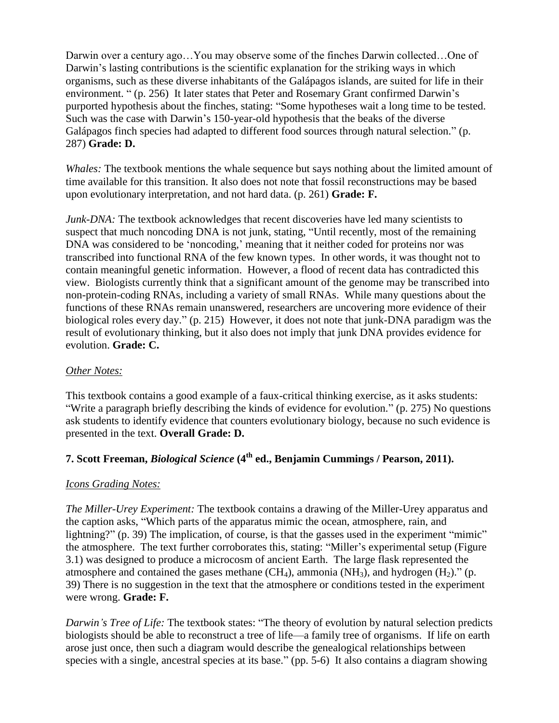Darwin over a century ago…You may observe some of the finches Darwin collected…One of Darwin's lasting contributions is the scientific explanation for the striking ways in which organisms, such as these diverse inhabitants of the Galápagos islands, are suited for life in their environment. " (p. 256) It later states that Peter and Rosemary Grant confirmed Darwin's purported hypothesis about the finches, stating: "Some hypotheses wait a long time to be tested. Such was the case with Darwin's 150-year-old hypothesis that the beaks of the diverse Galápagos finch species had adapted to different food sources through natural selection." (p. 287) **Grade: D.**

*Whales:* The textbook mentions the whale sequence but says nothing about the limited amount of time available for this transition. It also does not note that fossil reconstructions may be based upon evolutionary interpretation, and not hard data. (p. 261) **Grade: F.**

*Junk-DNA*: The textbook acknowledges that recent discoveries have led many scientists to suspect that much noncoding DNA is not junk, stating, "Until recently, most of the remaining DNA was considered to be 'noncoding,' meaning that it neither coded for proteins nor was transcribed into functional RNA of the few known types. In other words, it was thought not to contain meaningful genetic information. However, a flood of recent data has contradicted this view. Biologists currently think that a significant amount of the genome may be transcribed into non-protein-coding RNAs, including a variety of small RNAs. While many questions about the functions of these RNAs remain unanswered, researchers are uncovering more evidence of their biological roles every day." (p. 215) However, it does not note that junk-DNA paradigm was the result of evolutionary thinking, but it also does not imply that junk DNA provides evidence for evolution. **Grade: C.**

## *Other Notes:*

This textbook contains a good example of a faux-critical thinking exercise, as it asks students: "Write a paragraph briefly describing the kinds of evidence for evolution." (p. 275) No questions ask students to identify evidence that counters evolutionary biology, because no such evidence is presented in the text. **Overall Grade: D.**

# **7. Scott Freeman,** *Biological Science* **(4th ed., Benjamin Cummings / Pearson, 2011).**

## *Icons Grading Notes:*

*The Miller-Urey Experiment:* The textbook contains a drawing of the Miller-Urey apparatus and the caption asks, "Which parts of the apparatus mimic the ocean, atmosphere, rain, and lightning?" (p. 39) The implication, of course, is that the gasses used in the experiment "mimic" the atmosphere. The text further corroborates this, stating: "Miller's experimental setup (Figure 3.1) was designed to produce a microcosm of ancient Earth. The large flask represented the atmosphere and contained the gases methane  $(CH_4)$ , ammonia  $(NH_3)$ , and hydrogen  $(H_2)$ ." (p. 39) There is no suggestion in the text that the atmosphere or conditions tested in the experiment were wrong. **Grade: F.**

*Darwin's Tree of Life:* The textbook states: "The theory of evolution by natural selection predicts biologists should be able to reconstruct a tree of life—a family tree of organisms. If life on earth arose just once, then such a diagram would describe the genealogical relationships between species with a single, ancestral species at its base." (pp. 5-6) It also contains a diagram showing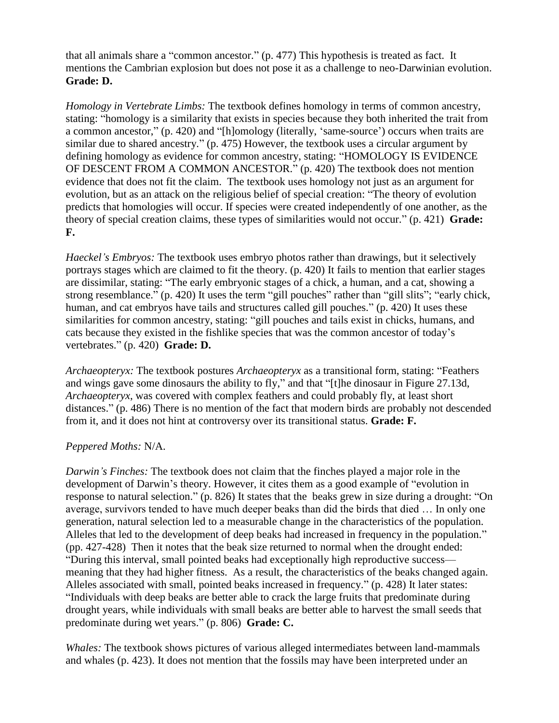that all animals share a "common ancestor."  $(p. 477)$  This hypothesis is treated as fact. It mentions the Cambrian explosion but does not pose it as a challenge to neo-Darwinian evolution. **Grade: D.**

*Homology in Vertebrate Limbs:* The textbook defines homology in terms of common ancestry, stating: "homology is a similarity that exists in species because they both inherited the trait from a common ancestor," (p. 420) and "[h]omology (literally, 'same-source') occurs when traits are similar due to shared ancestry." (p. 475) However, the textbook uses a circular argument by defining homology as evidence for common ancestry, stating: "HOMOLOGY IS EVIDENCE OF DESCENT FROM A COMMON ANCESTOR." (p. 420) The textbook does not mention evidence that does not fit the claim. The textbook uses homology not just as an argument for evolution, but as an attack on the religious belief of special creation: "The theory of evolution predicts that homologies will occur. If species were created independently of one another, as the theory of special creation claims, these types of similarities would not occur." (p. 421) **Grade: F.**

*Haeckel's Embryos:* The textbook uses embryo photos rather than drawings, but it selectively portrays stages which are claimed to fit the theory. (p. 420) It fails to mention that earlier stages are dissimilar, stating: "The early embryonic stages of a chick, a human, and a cat, showing a strong resemblance." (p. 420) It uses the term "gill pouches" rather than "gill slits"; "early chick, human, and cat embryos have tails and structures called gill pouches." (p. 420) It uses these similarities for common ancestry, stating: "gill pouches and tails exist in chicks, humans, and cats because they existed in the fishlike species that was the common ancestor of today's vertebrates.‖ (p. 420) **Grade: D.**

*Archaeopteryx:* The textbook postures *Archaeopteryx* as a transitional form, stating: "Feathers and wings gave some dinosaurs the ability to fly," and that "[t]he dinosaur in Figure 27.13d, *Archaeopteryx*, was covered with complex feathers and could probably fly, at least short distances." (p. 486) There is no mention of the fact that modern birds are probably not descended from it, and it does not hint at controversy over its transitional status. **Grade: F.**

#### *Peppered Moths:* N/A.

*Darwin's Finches:* The textbook does not claim that the finches played a major role in the development of Darwin's theory. However, it cites them as a good example of "evolution in response to natural selection." (p. 826) It states that the beaks grew in size during a drought: "On average, survivors tended to have much deeper beaks than did the birds that died … In only one generation, natural selection led to a measurable change in the characteristics of the population. Alleles that led to the development of deep beaks had increased in frequency in the population." (pp. 427-428) Then it notes that the beak size returned to normal when the drought ended: ―During this interval, small pointed beaks had exceptionally high reproductive success meaning that they had higher fitness. As a result, the characteristics of the beaks changed again. Alleles associated with small, pointed beaks increased in frequency." (p. 428) It later states: ―Individuals with deep beaks are better able to crack the large fruits that predominate during drought years, while individuals with small beaks are better able to harvest the small seeds that predominate during wet years.‖ (p. 806) **Grade: C.**

*Whales:* The textbook shows pictures of various alleged intermediates between land-mammals and whales (p. 423). It does not mention that the fossils may have been interpreted under an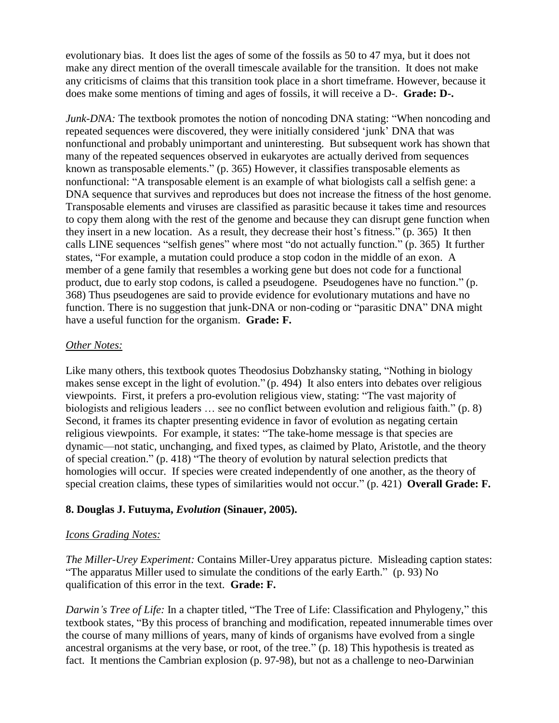evolutionary bias. It does list the ages of some of the fossils as 50 to 47 mya, but it does not make any direct mention of the overall timescale available for the transition. It does not make any criticisms of claims that this transition took place in a short timeframe. However, because it does make some mentions of timing and ages of fossils, it will receive a D-. **Grade: D-.**

*Junk-DNA*: The textbook promotes the notion of noncoding DNA stating: "When noncoding and repeated sequences were discovered, they were initially considered 'junk' DNA that was nonfunctional and probably unimportant and uninteresting. But subsequent work has shown that many of the repeated sequences observed in eukaryotes are actually derived from sequences known as transposable elements." (p. 365) However, it classifies transposable elements as nonfunctional: "A transposable element is an example of what biologists call a selfish gene: a DNA sequence that survives and reproduces but does not increase the fitness of the host genome. Transposable elements and viruses are classified as parasitic because it takes time and resources to copy them along with the rest of the genome and because they can disrupt gene function when they insert in a new location. As a result, they decrease their host's fitness." (p. 365) It then calls LINE sequences "selfish genes" where most "do not actually function." (p. 365) It further states, "For example, a mutation could produce a stop codon in the middle of an exon. A member of a gene family that resembles a working gene but does not code for a functional product, due to early stop codons, is called a pseudogene. Pseudogenes have no function." (p. 368) Thus pseudogenes are said to provide evidence for evolutionary mutations and have no function. There is no suggestion that junk-DNA or non-coding or "parasitic DNA" DNA might have a useful function for the organism. **Grade: F.**

#### *Other Notes:*

Like many others, this textbook quotes Theodosius Dobzhansky stating, "Nothing in biology makes sense except in the light of evolution."  $(p. 494)$  It also enters into debates over religious viewpoints. First, it prefers a pro-evolution religious view, stating: "The vast majority of biologists and religious leaders  $\ldots$  see no conflict between evolution and religious faith." (p. 8) Second, it frames its chapter presenting evidence in favor of evolution as negating certain religious viewpoints. For example, it states: "The take-home message is that species are dynamic—not static, unchanging, and fixed types, as claimed by Plato, Aristotle, and the theory of special creation." (p. 418) "The theory of evolution by natural selection predicts that homologies will occur. If species were created independently of one another, as the theory of special creation claims, these types of similarities would not occur." (p. 421) **Overall Grade: F.** 

## **8. Douglas J. Futuyma,** *Evolution* **(Sinauer, 2005).**

#### *Icons Grading Notes:*

*The Miller-Urey Experiment:* Contains Miller-Urey apparatus picture. Misleading caption states: "The apparatus Miller used to simulate the conditions of the early Earth." (p. 93) No qualification of this error in the text. **Grade: F.**

*Darwin's Tree of Life:* In a chapter titled, "The Tree of Life: Classification and Phylogeny," this textbook states, "By this process of branching and modification, repeated innumerable times over the course of many millions of years, many of kinds of organisms have evolved from a single ancestral organisms at the very base, or root, of the tree." (p. 18) This hypothesis is treated as fact. It mentions the Cambrian explosion (p. 97-98), but not as a challenge to neo-Darwinian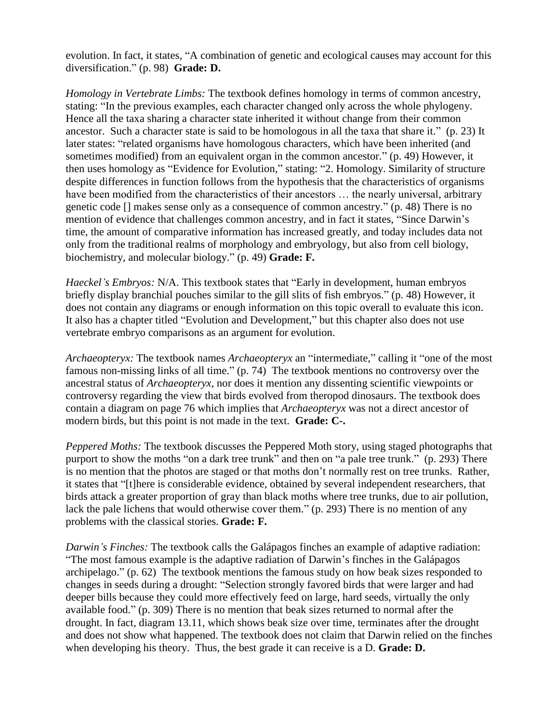evolution. In fact, it states, "A combination of genetic and ecological causes may account for this diversification.‖ (p. 98) **Grade: D.**

*Homology in Vertebrate Limbs:* The textbook defines homology in terms of common ancestry, stating: "In the previous examples, each character changed only across the whole phylogeny. Hence all the taxa sharing a character state inherited it without change from their common ancestor. Such a character state is said to be homologous in all the taxa that share it." (p. 23) It later states: "related organisms have homologous characters, which have been inherited (and sometimes modified) from an equivalent organ in the common ancestor." (p. 49) However, it then uses homology as "Evidence for Evolution," stating: "2. Homology. Similarity of structure despite differences in function follows from the hypothesis that the characteristics of organisms have been modified from the characteristics of their ancestors ... the nearly universal, arbitrary genetic code  $\Box$  makes sense only as a consequence of common ancestry." (p. 48) There is no mention of evidence that challenges common ancestry, and in fact it states, "Since Darwin's time, the amount of comparative information has increased greatly, and today includes data not only from the traditional realms of morphology and embryology, but also from cell biology, biochemistry, and molecular biology.‖ (p. 49) **Grade: F.**

*Haeckel's Embryos:* N/A. This textbook states that "Early in development, human embryos briefly display branchial pouches similar to the gill slits of fish embryos." (p. 48) However, it does not contain any diagrams or enough information on this topic overall to evaluate this icon. It also has a chapter titled "Evolution and Development," but this chapter also does not use vertebrate embryo comparisons as an argument for evolution.

*Archaeopteryx:* The textbook names *Archaeopteryx* an "intermediate," calling it "one of the most famous non-missing links of all time." (p. 74) The textbook mentions no controversy over the ancestral status of *Archaeopteryx*, nor does it mention any dissenting scientific viewpoints or controversy regarding the view that birds evolved from theropod dinosaurs. The textbook does contain a diagram on page 76 which implies that *Archaeopteryx* was not a direct ancestor of modern birds, but this point is not made in the text. **Grade: C-.**

*Peppered Moths:* The textbook discusses the Peppered Moth story, using staged photographs that purport to show the moths "on a dark tree trunk" and then on "a pale tree trunk." (p. 293) There is no mention that the photos are staged or that moths don't normally rest on tree trunks. Rather, it states that "[t]here is considerable evidence, obtained by several independent researchers, that birds attack a greater proportion of gray than black moths where tree trunks, due to air pollution, lack the pale lichens that would otherwise cover them." (p. 293) There is no mention of any problems with the classical stories. **Grade: F.**

*Darwin's Finches:* The textbook calls the Galápagos finches an example of adaptive radiation: ―The most famous example is the adaptive radiation of Darwin's finches in the Galápagos archipelago." (p. 62) The textbook mentions the famous study on how beak sizes responded to changes in seeds during a drought: "Selection strongly favored birds that were larger and had deeper bills because they could more effectively feed on large, hard seeds, virtually the only available food." (p. 309) There is no mention that beak sizes returned to normal after the drought. In fact, diagram 13.11, which shows beak size over time, terminates after the drought and does not show what happened. The textbook does not claim that Darwin relied on the finches when developing his theory. Thus, the best grade it can receive is a D. **Grade: D.**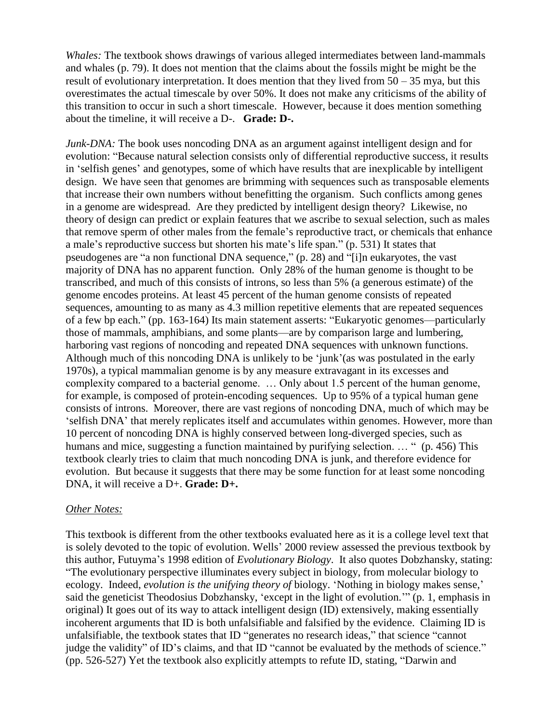*Whales:* The textbook shows drawings of various alleged intermediates between land-mammals and whales (p. 79). It does not mention that the claims about the fossils might be might be the result of evolutionary interpretation. It does mention that they lived from  $50 - 35$  mya, but this overestimates the actual timescale by over 50%. It does not make any criticisms of the ability of this transition to occur in such a short timescale. However, because it does mention something about the timeline, it will receive a D-. **Grade: D-.**

*Junk-DNA*: The book uses noncoding DNA as an argument against intelligent design and for evolution: "Because natural selection consists only of differential reproductive success, it results in ‗selfish genes' and genotypes, some of which have results that are inexplicable by intelligent design. We have seen that genomes are brimming with sequences such as transposable elements that increase their own numbers without benefitting the organism. Such conflicts among genes in a genome are widespread. Are they predicted by intelligent design theory? Likewise, no theory of design can predict or explain features that we ascribe to sexual selection, such as males that remove sperm of other males from the female's reproductive tract, or chemicals that enhance a male's reproductive success but shorten his mate's life span." (p. 531) It states that pseudogenes are "a non functional DNA sequence,"  $(p, 28)$  and "[i]n eukaryotes, the vast majority of DNA has no apparent function. Only 28% of the human genome is thought to be transcribed, and much of this consists of introns, so less than 5% (a generous estimate) of the genome encodes proteins. At least 45 percent of the human genome consists of repeated sequences, amounting to as many as 4.3 million repetitive elements that are repeated sequences of a few bp each." (pp. 163-164) Its main statement asserts: "Eukaryotic genomes—particularly those of mammals, amphibians, and some plants—are by comparison large and lumbering, harboring vast regions of noncoding and repeated DNA sequences with unknown functions. Although much of this noncoding DNA is unlikely to be 'junk'(as was postulated in the early 1970s), a typical mammalian genome is by any measure extravagant in its excesses and complexity compared to a bacterial genome. … Only about 1.5 percent of the human genome, for example, is composed of protein-encoding sequences. Up to 95% of a typical human gene consists of introns. Moreover, there are vast regions of noncoding DNA, much of which may be ‗selfish DNA' that merely replicates itself and accumulates within genomes. However, more than 10 percent of noncoding DNA is highly conserved between long-diverged species, such as humans and mice, suggesting a function maintained by purifying selection.  $\ldots$  " (p. 456) This textbook clearly tries to claim that much noncoding DNA is junk, and therefore evidence for evolution. But because it suggests that there may be some function for at least some noncoding DNA, it will receive a D+. **Grade: D+.**

#### *Other Notes:*

This textbook is different from the other textbooks evaluated here as it is a college level text that is solely devoted to the topic of evolution. Wells' 2000 review assessed the previous textbook by this author, Futuyma's 1998 edition of *Evolutionary Biology*. It also quotes Dobzhansky, stating: ―The evolutionary perspective illuminates every subject in biology, from molecular biology to ecology. Indeed, *evolution is the unifying theory of biology*. 'Nothing in biology makes sense,' said the geneticist Theodosius Dobzhansky, 'except in the light of evolution.'" (p. 1, emphasis in original) It goes out of its way to attack intelligent design (ID) extensively, making essentially incoherent arguments that ID is both unfalsifiable and falsified by the evidence. Claiming ID is unfalsifiable, the textbook states that ID "generates no research ideas," that science "cannot judge the validity" of ID's claims, and that ID "cannot be evaluated by the methods of science." (pp.  $526-527$ ) Yet the textbook also explicitly attempts to refute ID, stating, "Darwin and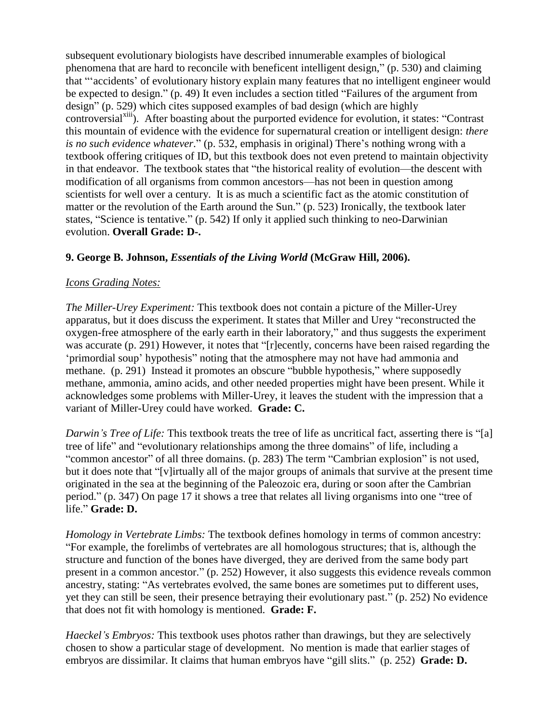subsequent evolutionary biologists have described innumerable examples of biological phenomena that are hard to reconcile with beneficent intelligent design," (p. 530) and claiming that "accidents' of evolutionary history explain many features that no intelligent engineer would be expected to design." (p. 49) It even includes a section titled "Failures of the argument from design" (p. 529) which cites supposed examples of bad design (which are highly controversial<sup>xiii</sup>). After boasting about the purported evidence for evolution, it states: "Contrast this mountain of evidence with the evidence for supernatural creation or intelligent design: *there is no such evidence whatever.*" (p. 532, emphasis in original) There's nothing wrong with a textbook offering critiques of ID, but this textbook does not even pretend to maintain objectivity in that endeavor. The textbook states that "the historical reality of evolution—the descent with modification of all organisms from common ancestors—has not been in question among scientists for well over a century. It is as much a scientific fact as the atomic constitution of matter or the revolution of the Earth around the Sun." (p. 523) Ironically, the textbook later states, "Science is tentative." (p. 542) If only it applied such thinking to neo-Darwinian evolution. **Overall Grade: D-.**

#### **9. George B. Johnson,** *Essentials of the Living World* **(McGraw Hill, 2006).**

#### *Icons Grading Notes:*

*The Miller-Urey Experiment:* This textbook does not contain a picture of the Miller-Urey apparatus, but it does discuss the experiment. It states that Miller and Urey "reconstructed the oxygen-free atmosphere of the early earth in their laboratory," and thus suggests the experiment was accurate  $(p. 291)$  However, it notes that "[r]ecently, concerns have been raised regarding the ‗primordial soup' hypothesis‖ noting that the atmosphere may not have had ammonia and methane. (p. 291) Instead it promotes an obscure "bubble hypothesis," where supposedly methane, ammonia, amino acids, and other needed properties might have been present. While it acknowledges some problems with Miller-Urey, it leaves the student with the impression that a variant of Miller-Urey could have worked. **Grade: C.**

*Darwin's Tree of Life:* This textbook treats the tree of life as uncritical fact, asserting there is "[a] tree of life" and "evolutionary relationships among the three domains" of life, including a "common ancestor" of all three domains. (p. 283) The term "Cambrian explosion" is not used, but it does note that "[v]irtually all of the major groups of animals that survive at the present time originated in the sea at the beginning of the Paleozoic era, during or soon after the Cambrian period." (p. 347) On page 17 it shows a tree that relates all living organisms into one "tree of life." **Grade: D.** 

*Homology in Vertebrate Limbs:* The textbook defines homology in terms of common ancestry: ―For example, the forelimbs of vertebrates are all homologous structures; that is, although the structure and function of the bones have diverged, they are derived from the same body part present in a common ancestor." (p. 252) However, it also suggests this evidence reveals common ancestry, stating: "As vertebrates evolved, the same bones are sometimes put to different uses, yet they can still be seen, their presence betraying their evolutionary past." (p. 252) No evidence that does not fit with homology is mentioned. **Grade: F.**

*Haeckel's Embryos:* This textbook uses photos rather than drawings, but they are selectively chosen to show a particular stage of development. No mention is made that earlier stages of embryos are dissimilar. It claims that human embryos have "gill slits." (p. 252) **Grade: D.**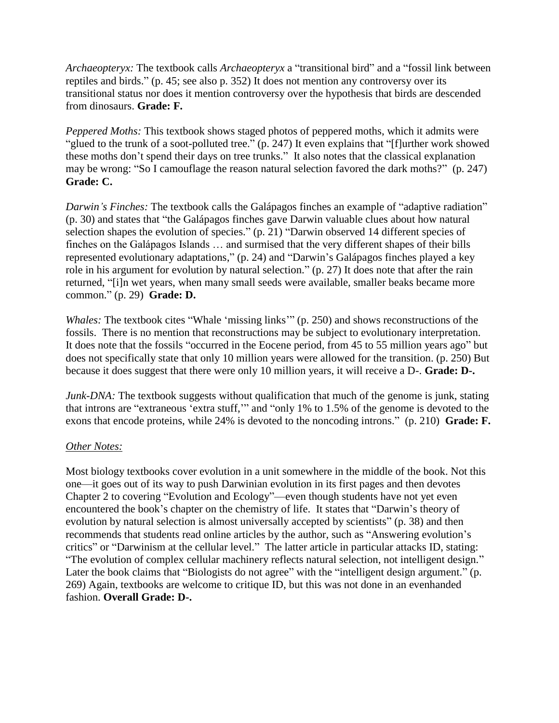*Archaeopteryx:* The textbook calls *Archaeopteryx* a "transitional bird" and a "fossil link between reptiles and birds." (p. 45; see also p. 352) It does not mention any controversy over its transitional status nor does it mention controversy over the hypothesis that birds are descended from dinosaurs. **Grade: F.**

*Peppered Moths:* This textbook shows staged photos of peppered moths, which it admits were "glued to the trunk of a soot-polluted tree."  $(p. 247)$  It even explains that "[f]urther work showed these moths don't spend their days on tree trunks." It also notes that the classical explanation may be wrong: "So I camouflage the reason natural selection favored the dark moths?" (p. 247) **Grade: C.**

*Darwin's Finches:* The textbook calls the Galápagos finches an example of "adaptive radiation" (p. 30) and states that "the Galápagos finches gave Darwin valuable clues about how natural selection shapes the evolution of species." (p. 21) "Darwin observed 14 different species of finches on the Galápagos Islands … and surmised that the very different shapes of their bills represented evolutionary adaptations," (p. 24) and "Darwin's Galápagos finches played a key role in his argument for evolution by natural selection." (p. 27) It does note that after the rain returned, "[i]n wet years, when many small seeds were available, smaller beaks became more common.‖ (p. 29) **Grade: D.**

*Whales:* The textbook cites "Whale 'missing links" (p. 250) and shows reconstructions of the fossils. There is no mention that reconstructions may be subject to evolutionary interpretation. It does note that the fossils "occurred in the Eocene period, from 45 to 55 million years ago" but does not specifically state that only 10 million years were allowed for the transition. (p. 250) But because it does suggest that there were only 10 million years, it will receive a D-. **Grade: D-.**

*Junk-DNA*: The textbook suggests without qualification that much of the genome is junk, stating that introns are "extraneous 'extra stuff," and "only 1% to 1.5% of the genome is devoted to the exons that encode proteins, while 24% is devoted to the noncoding introns." (p. 210) **Grade: F.** 

#### *Other Notes:*

Most biology textbooks cover evolution in a unit somewhere in the middle of the book. Not this one—it goes out of its way to push Darwinian evolution in its first pages and then devotes Chapter 2 to covering "Evolution and Ecology"—even though students have not yet even encountered the book's chapter on the chemistry of life. It states that "Darwin's theory of evolution by natural selection is almost universally accepted by scientists" (p. 38) and then recommends that students read online articles by the author, such as "Answering evolution's critics" or "Darwinism at the cellular level." The latter article in particular attacks ID, stating: "The evolution of complex cellular machinery reflects natural selection, not intelligent design." Later the book claims that "Biologists do not agree" with the "intelligent design argument." (p. 269) Again, textbooks are welcome to critique ID, but this was not done in an evenhanded fashion. **Overall Grade: D-.**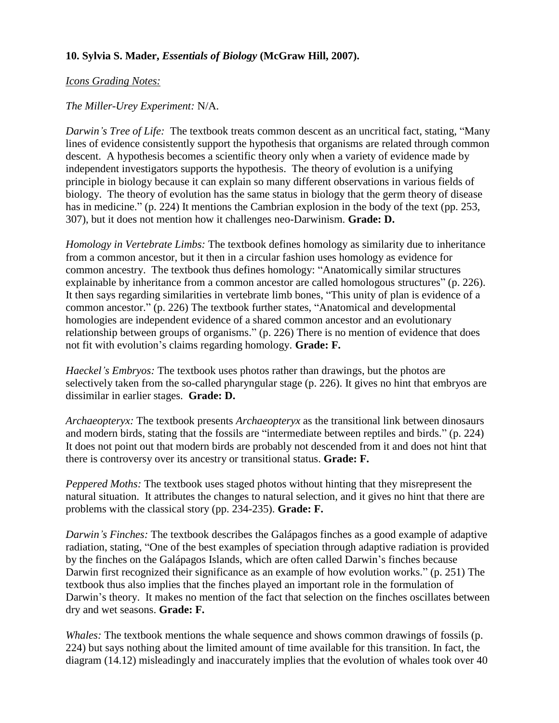## **10. Sylvia S. Mader,** *Essentials of Biology* **(McGraw Hill, 2007).**

#### *Icons Grading Notes:*

## *The Miller-Urey Experiment:* N/A.

*Darwin's Tree of Life:* The textbook treats common descent as an uncritical fact, stating, "Many lines of evidence consistently support the hypothesis that organisms are related through common descent. A hypothesis becomes a scientific theory only when a variety of evidence made by independent investigators supports the hypothesis. The theory of evolution is a unifying principle in biology because it can explain so many different observations in various fields of biology. The theory of evolution has the same status in biology that the germ theory of disease has in medicine." (p. 224) It mentions the Cambrian explosion in the body of the text (pp. 253, 307), but it does not mention how it challenges neo-Darwinism. **Grade: D.**

*Homology in Vertebrate Limbs:* The textbook defines homology as similarity due to inheritance from a common ancestor, but it then in a circular fashion uses homology as evidence for common ancestry. The textbook thus defines homology: "Anatomically similar structures explainable by inheritance from a common ancestor are called homologous structures" (p. 226). It then says regarding similarities in vertebrate limb bones, "This unity of plan is evidence of a common ancestor." (p. 226) The textbook further states, "Anatomical and developmental homologies are independent evidence of a shared common ancestor and an evolutionary relationship between groups of organisms." (p. 226) There is no mention of evidence that does not fit with evolution's claims regarding homology. **Grade: F.**

*Haeckel's Embryos:* The textbook uses photos rather than drawings, but the photos are selectively taken from the so-called pharyngular stage (p. 226). It gives no hint that embryos are dissimilar in earlier stages. **Grade: D.**

*Archaeopteryx:* The textbook presents *Archaeopteryx* as the transitional link between dinosaurs and modern birds, stating that the fossils are "intermediate between reptiles and birds." (p. 224) It does not point out that modern birds are probably not descended from it and does not hint that there is controversy over its ancestry or transitional status. **Grade: F.**

*Peppered Moths:* The textbook uses staged photos without hinting that they misrepresent the natural situation. It attributes the changes to natural selection, and it gives no hint that there are problems with the classical story (pp. 234-235). **Grade: F.**

*Darwin's Finches:* The textbook describes the Galápagos finches as a good example of adaptive radiation, stating, "One of the best examples of speciation through adaptive radiation is provided by the finches on the Galápagos Islands, which are often called Darwin's finches because Darwin first recognized their significance as an example of how evolution works." (p. 251) The textbook thus also implies that the finches played an important role in the formulation of Darwin's theory. It makes no mention of the fact that selection on the finches oscillates between dry and wet seasons. **Grade: F.**

*Whales:* The textbook mentions the whale sequence and shows common drawings of fossils (p. 224) but says nothing about the limited amount of time available for this transition. In fact, the diagram (14.12) misleadingly and inaccurately implies that the evolution of whales took over 40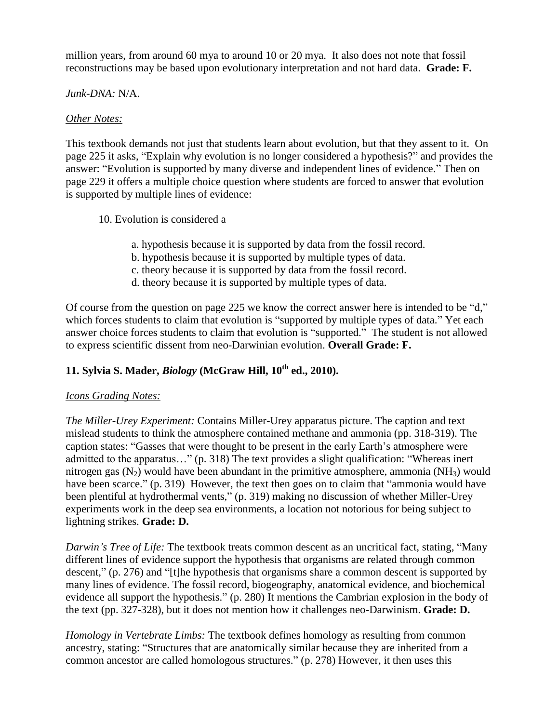million years, from around 60 mya to around 10 or 20 mya. It also does not note that fossil reconstructions may be based upon evolutionary interpretation and not hard data. **Grade: F.**

#### *Junk-DNA:* N/A.

#### *Other Notes:*

This textbook demands not just that students learn about evolution, but that they assent to it. On page 225 it asks, "Explain why evolution is no longer considered a hypothesis?" and provides the answer: "Evolution is supported by many diverse and independent lines of evidence." Then on page 229 it offers a multiple choice question where students are forced to answer that evolution is supported by multiple lines of evidence:

- 10. Evolution is considered a
	- a. hypothesis because it is supported by data from the fossil record.
	- b. hypothesis because it is supported by multiple types of data.
	- c. theory because it is supported by data from the fossil record.
	- d. theory because it is supported by multiple types of data.

Of course from the question on page 225 we know the correct answer here is intended to be "d," which forces students to claim that evolution is "supported by multiple types of data." Yet each answer choice forces students to claim that evolution is "supported." The student is not allowed to express scientific dissent from neo-Darwinian evolution. **Overall Grade: F.**

## **11. Sylvia S. Mader,** *Biology* **(McGraw Hill, 10th ed., 2010).**

## *Icons Grading Notes:*

*The Miller-Urey Experiment:* Contains Miller-Urey apparatus picture. The caption and text mislead students to think the atmosphere contained methane and ammonia (pp. 318-319). The caption states: ―Gasses that were thought to be present in the early Earth's atmosphere were admitted to the apparatus…" (p. 318) The text provides a slight qualification: "Whereas inert nitrogen gas  $(N_2)$  would have been abundant in the primitive atmosphere, ammonia  $(NH_3)$  would have been scarce." (p. 319) However, the text then goes on to claim that "ammonia would have been plentiful at hydrothermal vents," (p. 319) making no discussion of whether Miller-Urey experiments work in the deep sea environments, a location not notorious for being subject to lightning strikes. **Grade: D.**

*Darwin's Tree of Life:* The textbook treats common descent as an uncritical fact, stating, "Many different lines of evidence support the hypothesis that organisms are related through common descent," (p. 276) and "[t]he hypothesis that organisms share a common descent is supported by many lines of evidence. The fossil record, biogeography, anatomical evidence, and biochemical evidence all support the hypothesis." (p. 280) It mentions the Cambrian explosion in the body of the text (pp. 327-328), but it does not mention how it challenges neo-Darwinism. **Grade: D.**

*Homology in Vertebrate Limbs:* The textbook defines homology as resulting from common ancestry, stating: "Structures that are anatomically similar because they are inherited from a common ancestor are called homologous structures." (p. 278) However, it then uses this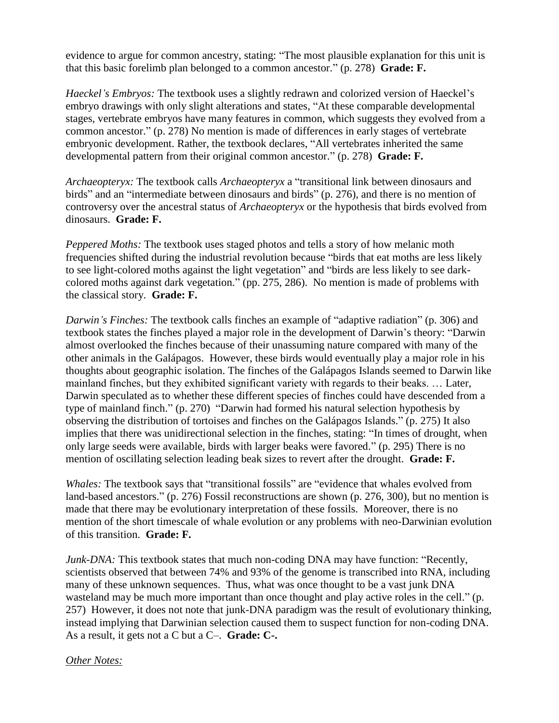evidence to argue for common ancestry, stating: "The most plausible explanation for this unit is that this basic forelimb plan belonged to a common ancestor." (p. 278) **Grade: F.** 

*Haeckel's Embryos:* The textbook uses a slightly redrawn and colorized version of Haeckel's embryo drawings with only slight alterations and states, "At these comparable developmental stages, vertebrate embryos have many features in common, which suggests they evolved from a common ancestor." (p. 278) No mention is made of differences in early stages of vertebrate embryonic development. Rather, the textbook declares, "All vertebrates inherited the same developmental pattern from their original common ancestor.‖ (p. 278) **Grade: F.**

*Archaeopteryx:* The textbook calls *Archaeopteryx* a "transitional link between dinosaurs and birds" and an "intermediate between dinosaurs and birds" (p. 276), and there is no mention of controversy over the ancestral status of *Archaeopteryx* or the hypothesis that birds evolved from dinosaurs. **Grade: F.**

*Peppered Moths:* The textbook uses staged photos and tells a story of how melanic moth frequencies shifted during the industrial revolution because "birds that eat moths are less likely to see light-colored moths against the light vegetation" and "birds are less likely to see darkcolored moths against dark vegetation." (pp. 275, 286). No mention is made of problems with the classical story. **Grade: F.**

*Darwin's Finches:* The textbook calls finches an example of "adaptive radiation" (p. 306) and textbook states the finches played a major role in the development of Darwin's theory: "Darwin" almost overlooked the finches because of their unassuming nature compared with many of the other animals in the Galápagos. However, these birds would eventually play a major role in his thoughts about geographic isolation. The finches of the Galápagos Islands seemed to Darwin like mainland finches, but they exhibited significant variety with regards to their beaks. … Later, Darwin speculated as to whether these different species of finches could have descended from a type of mainland finch." (p. 270) "Darwin had formed his natural selection hypothesis by observing the distribution of tortoises and finches on the Galápagos Islands.‖ (p. 275) It also implies that there was unidirectional selection in the finches, stating: "In times of drought, when only large seeds were available, birds with larger beaks were favored." (p. 295) There is no mention of oscillating selection leading beak sizes to revert after the drought. **Grade: F.**

*Whales:* The textbook says that "transitional fossils" are "evidence that whales evolved from land-based ancestors." (p. 276) Fossil reconstructions are shown (p. 276, 300), but no mention is made that there may be evolutionary interpretation of these fossils. Moreover, there is no mention of the short timescale of whale evolution or any problems with neo-Darwinian evolution of this transition. **Grade: F.**

*Junk-DNA:* This textbook states that much non-coding DNA may have function: "Recently, scientists observed that between 74% and 93% of the genome is transcribed into RNA, including many of these unknown sequences. Thus, what was once thought to be a vast junk DNA wasteland may be much more important than once thought and play active roles in the cell." (p. 257) However, it does not note that junk-DNA paradigm was the result of evolutionary thinking, instead implying that Darwinian selection caused them to suspect function for non-coding DNA. As a result, it gets not a C but a C–. **Grade: C-.**

#### *Other Notes:*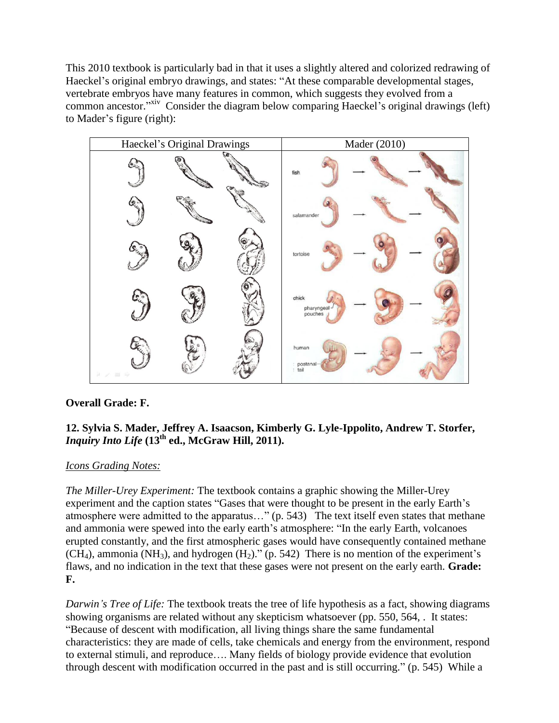This 2010 textbook is particularly bad in that it uses a slightly altered and colorized redrawing of Haeckel's original embryo drawings, and states: "At these comparable developmental stages, vertebrate embryos have many features in common, which suggests they evolved from a common ancestor."<sup>xiv</sup> Consider the diagram below comparing Haeckel's original drawings (left) to Mader's figure (right):



## **Overall Grade: F.**

## **12. Sylvia S. Mader, Jeffrey A. Isaacson, Kimberly G. Lyle-Ippolito, Andrew T. Storfer,**  *Inquiry Into Life* **(13th ed., McGraw Hill, 2011).**

## *Icons Grading Notes:*

*The Miller-Urey Experiment:* The textbook contains a graphic showing the Miller-Urey experiment and the caption states "Gases that were thought to be present in the early Earth's atmosphere were admitted to the apparatus..." (p. 543) The text itself even states that methane and ammonia were spewed into the early earth's atmosphere: "In the early Earth, volcanoes" erupted constantly, and the first atmospheric gases would have consequently contained methane  $(CH<sub>4</sub>)$ , ammonia (NH<sub>3</sub>), and hydrogen  $(H<sub>2</sub>)$ ." (p. 542) There is no mention of the experiment's flaws, and no indication in the text that these gases were not present on the early earth. **Grade: F.**

*Darwin's Tree of Life:* The textbook treats the tree of life hypothesis as a fact, showing diagrams showing organisms are related without any skepticism whatsoever (pp. 550, 564, . It states: ―Because of descent with modification, all living things share the same fundamental characteristics: they are made of cells, take chemicals and energy from the environment, respond to external stimuli, and reproduce…. Many fields of biology provide evidence that evolution through descent with modification occurred in the past and is still occurring." (p. 545) While a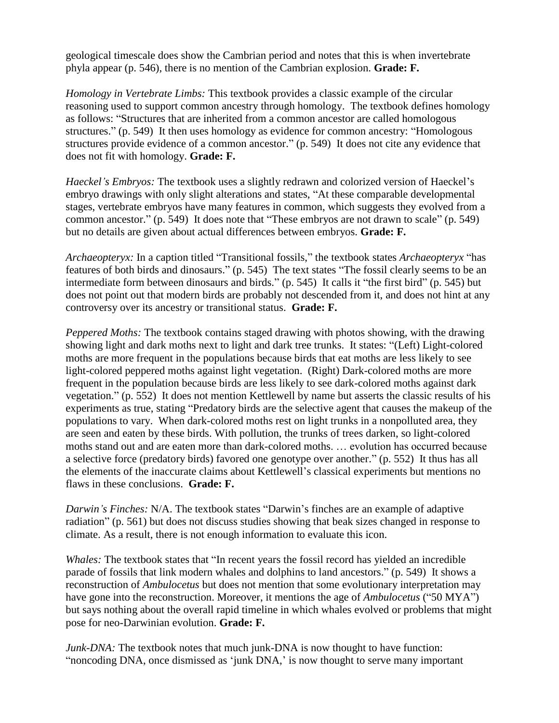geological timescale does show the Cambrian period and notes that this is when invertebrate phyla appear (p. 546), there is no mention of the Cambrian explosion. **Grade: F.**

*Homology in Vertebrate Limbs:* This textbook provides a classic example of the circular reasoning used to support common ancestry through homology. The textbook defines homology as follows: "Structures that are inherited from a common ancestor are called homologous structures." (p. 549) It then uses homology as evidence for common ancestry: "Homologous structures provide evidence of a common ancestor." (p. 549) It does not cite any evidence that does not fit with homology. **Grade: F.**

*Haeckel's Embryos:* The textbook uses a slightly redrawn and colorized version of Haeckel's embryo drawings with only slight alterations and states, "At these comparable developmental stages, vertebrate embryos have many features in common, which suggests they evolved from a common ancestor." (p. 549) It does note that "These embryos are not drawn to scale" (p. 549) but no details are given about actual differences between embryos. **Grade: F.**

*Archaeopteryx:* In a caption titled "Transitional fossils," the textbook states *Archaeopteryx* "has features of both birds and dinosaurs." (p. 545) The text states "The fossil clearly seems to be an intermediate form between dinosaurs and birds."  $(p. 545)$  It calls it "the first bird"  $(p. 545)$  but does not point out that modern birds are probably not descended from it, and does not hint at any controversy over its ancestry or transitional status. **Grade: F.**

*Peppered Moths:* The textbook contains staged drawing with photos showing, with the drawing showing light and dark moths next to light and dark tree trunks. It states: "(Left) Light-colored moths are more frequent in the populations because birds that eat moths are less likely to see light-colored peppered moths against light vegetation. (Right) Dark-colored moths are more frequent in the population because birds are less likely to see dark-colored moths against dark vegetation." (p. 552) It does not mention Kettlewell by name but asserts the classic results of his experiments as true, stating "Predatory birds are the selective agent that causes the makeup of the populations to vary. When dark-colored moths rest on light trunks in a nonpolluted area, they are seen and eaten by these birds. With pollution, the trunks of trees darken, so light-colored moths stand out and are eaten more than dark-colored moths. … evolution has occurred because a selective force (predatory birds) favored one genotype over another." (p. 552) It thus has all the elements of the inaccurate claims about Kettlewell's classical experiments but mentions no flaws in these conclusions. **Grade: F.**

*Darwin's Finches:* N/A. The textbook states "Darwin's finches are an example of adaptive radiation" (p. 561) but does not discuss studies showing that beak sizes changed in response to climate. As a result, there is not enough information to evaluate this icon.

*Whales:* The textbook states that "In recent years the fossil record has yielded an incredible parade of fossils that link modern whales and dolphins to land ancestors." (p. 549) It shows a reconstruction of *Ambulocetus* but does not mention that some evolutionary interpretation may have gone into the reconstruction. Moreover, it mentions the age of *Ambulocetus* ("50 MYA") but says nothing about the overall rapid timeline in which whales evolved or problems that might pose for neo-Darwinian evolution. **Grade: F.**

*Junk-DNA*: The textbook notes that much junk-DNA is now thought to have function: "noncoding DNA, once dismissed as 'junk DNA,' is now thought to serve many important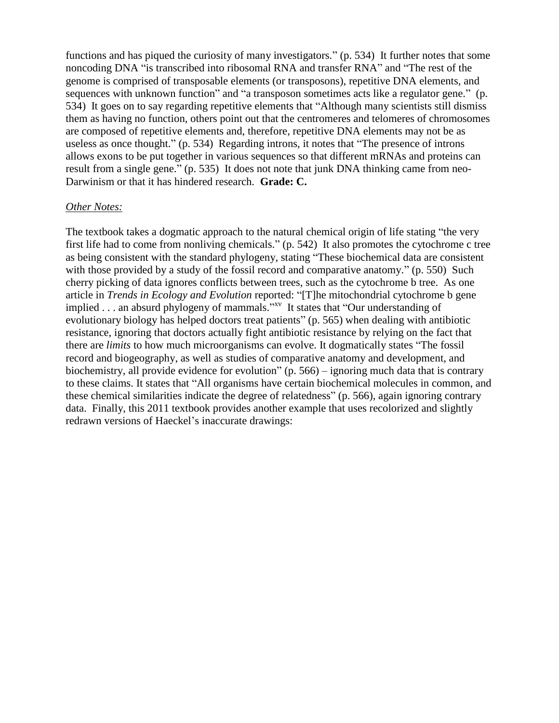functions and has piqued the curiosity of many investigators." (p. 534) It further notes that some noncoding DNA "is transcribed into ribosomal RNA and transfer RNA" and "The rest of the genome is comprised of transposable elements (or transposons), repetitive DNA elements, and sequences with unknown function" and "a transposon sometimes acts like a regulator gene." (p. 534) It goes on to say regarding repetitive elements that "Although many scientists still dismiss them as having no function, others point out that the centromeres and telomeres of chromosomes are composed of repetitive elements and, therefore, repetitive DNA elements may not be as useless as once thought." (p. 534) Regarding introns, it notes that "The presence of introns allows exons to be put together in various sequences so that different mRNAs and proteins can result from a single gene." (p. 535) It does not note that junk DNA thinking came from neo-Darwinism or that it has hindered research. **Grade: C.**

#### *Other Notes:*

The textbook takes a dogmatic approach to the natural chemical origin of life stating "the very first life had to come from nonliving chemicals." (p. 542) It also promotes the cytochrome c tree as being consistent with the standard phylogeny, stating "These biochemical data are consistent with those provided by a study of the fossil record and comparative anatomy." (p. 550) Such cherry picking of data ignores conflicts between trees, such as the cytochrome b tree. As one article in *Trends in Ecology and Evolution* reported: "[T]he mitochondrial cytochrome b gene implied . . . an absurd phylogeny of mammals." $x_v$  It states that "Our understanding of evolutionary biology has helped doctors treat patients" (p. 565) when dealing with antibiotic resistance, ignoring that doctors actually fight antibiotic resistance by relying on the fact that there are *limits* to how much microorganisms can evolve. It dogmatically states "The fossil" record and biogeography, as well as studies of comparative anatomy and development, and biochemistry, all provide evidence for evolution"  $(p. 566)$  – ignoring much data that is contrary to these claims. It states that "All organisms have certain biochemical molecules in common, and these chemical similarities indicate the degree of relatedness" (p. 566), again ignoring contrary data. Finally, this 2011 textbook provides another example that uses recolorized and slightly redrawn versions of Haeckel's inaccurate drawings: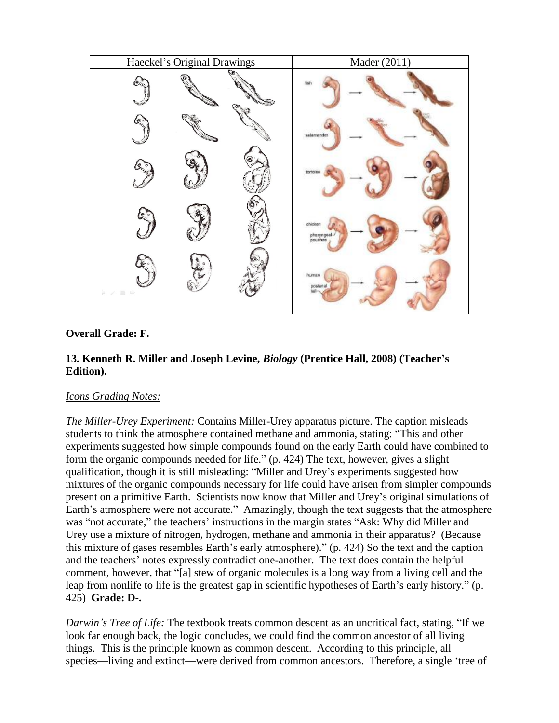

## **Overall Grade: F.**

## **13. Kenneth R. Miller and Joseph Levine,** *Biology* **(Prentice Hall, 2008) (Teacher's Edition).**

## *Icons Grading Notes:*

*The Miller-Urey Experiment:* Contains Miller-Urey apparatus picture. The caption misleads students to think the atmosphere contained methane and ammonia, stating: "This and other experiments suggested how simple compounds found on the early Earth could have combined to form the organic compounds needed for life."  $(p. 424)$  The text, however, gives a slight qualification, though it is still misleading: "Miller and Urey's experiments suggested how mixtures of the organic compounds necessary for life could have arisen from simpler compounds present on a primitive Earth. Scientists now know that Miller and Urey's original simulations of Earth's atmosphere were not accurate." Amazingly, though the text suggests that the atmosphere was "not accurate," the teachers' instructions in the margin states "Ask: Why did Miller and Urey use a mixture of nitrogen, hydrogen, methane and ammonia in their apparatus? (Because this mixture of gases resembles Earth's early atmosphere)." (p. 424) So the text and the caption and the teachers' notes expressly contradict one-another. The text does contain the helpful comment, however, that "[a] stew of organic molecules is a long way from a living cell and the leap from nonlife to life is the greatest gap in scientific hypotheses of Earth's early history." (p. 425) **Grade: D-.**

*Darwin's Tree of Life:* The textbook treats common descent as an uncritical fact, stating, "If we look far enough back, the logic concludes, we could find the common ancestor of all living things. This is the principle known as common descent. According to this principle, all species—living and extinct—were derived from common ancestors. Therefore, a single 'tree of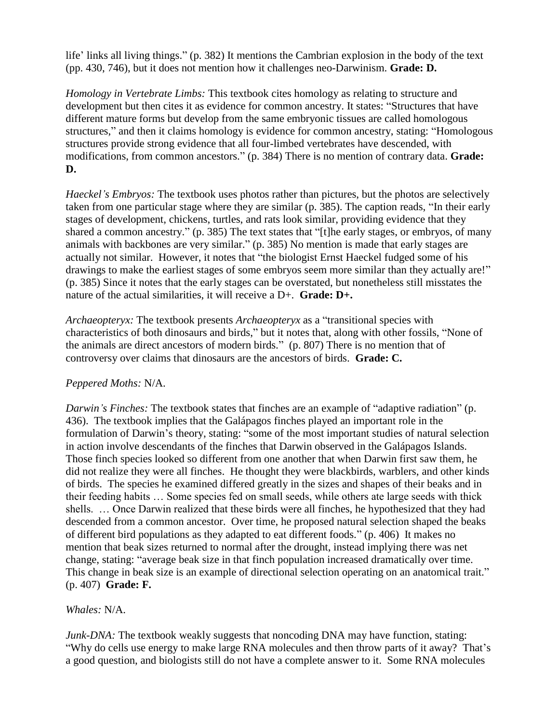life' links all living things." (p. 382) It mentions the Cambrian explosion in the body of the text (pp. 430, 746), but it does not mention how it challenges neo-Darwinism. **Grade: D.**

*Homology in Vertebrate Limbs:* This textbook cites homology as relating to structure and development but then cites it as evidence for common ancestry. It states: "Structures that have different mature forms but develop from the same embryonic tissues are called homologous structures," and then it claims homology is evidence for common ancestry, stating: "Homologous structures provide strong evidence that all four-limbed vertebrates have descended, with modifications, from common ancestors." (p. 384) There is no mention of contrary data. **Grade: D.**

*Haeckel's Embryos:* The textbook uses photos rather than pictures, but the photos are selectively taken from one particular stage where they are similar (p. 385). The caption reads, "In their early stages of development, chickens, turtles, and rats look similar, providing evidence that they shared a common ancestry." (p. 385) The text states that "[t]he early stages, or embryos, of many animals with backbones are very similar." (p. 385) No mention is made that early stages are actually not similar. However, it notes that "the biologist Ernst Haeckel fudged some of his drawings to make the earliest stages of some embryos seem more similar than they actually are!" (p. 385) Since it notes that the early stages can be overstated, but nonetheless still misstates the nature of the actual similarities, it will receive a D+. **Grade: D+.**

*Archaeopteryx:* The textbook presents *Archaeopteryx* as a "transitional species with characteristics of both dinosaurs and birds," but it notes that, along with other fossils, "None of the animals are direct ancestors of modern birds." (p. 807) There is no mention that of controversy over claims that dinosaurs are the ancestors of birds. **Grade: C.**

## *Peppered Moths:* N/A.

*Darwin's Finches:* The textbook states that finches are an example of "adaptive radiation" (p. 436). The textbook implies that the Galápagos finches played an important role in the formulation of Darwin's theory, stating: "some of the most important studies of natural selection in action involve descendants of the finches that Darwin observed in the Galápagos Islands. Those finch species looked so different from one another that when Darwin first saw them, he did not realize they were all finches. He thought they were blackbirds, warblers, and other kinds of birds. The species he examined differed greatly in the sizes and shapes of their beaks and in their feeding habits … Some species fed on small seeds, while others ate large seeds with thick shells. … Once Darwin realized that these birds were all finches, he hypothesized that they had descended from a common ancestor. Over time, he proposed natural selection shaped the beaks of different bird populations as they adapted to eat different foods." (p. 406) It makes no mention that beak sizes returned to normal after the drought, instead implying there was net change, stating: "average beak size in that finch population increased dramatically over time. This change in beak size is an example of directional selection operating on an anatomical trait." (p. 407) **Grade: F.**

## *Whales:* N/A.

*Junk-DNA*: The textbook weakly suggests that noncoding DNA may have function, stating: "Why do cells use energy to make large RNA molecules and then throw parts of it away? That's a good question, and biologists still do not have a complete answer to it. Some RNA molecules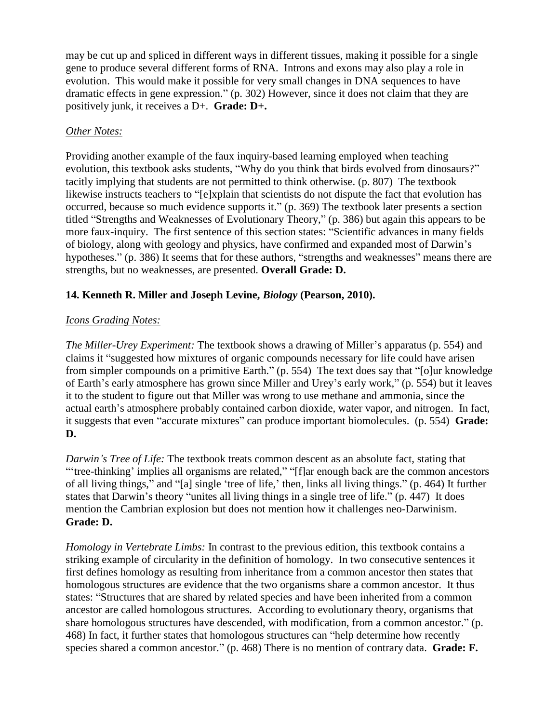may be cut up and spliced in different ways in different tissues, making it possible for a single gene to produce several different forms of RNA. Introns and exons may also play a role in evolution. This would make it possible for very small changes in DNA sequences to have dramatic effects in gene expression." (p. 302) However, since it does not claim that they are positively junk, it receives a D+. **Grade: D+.**

#### *Other Notes:*

Providing another example of the faux inquiry-based learning employed when teaching evolution, this textbook asks students, "Why do you think that birds evolved from dinosaurs?" tacitly implying that students are not permitted to think otherwise. (p. 807) The textbook likewise instructs teachers to "[e]xplain that scientists do not dispute the fact that evolution has occurred, because so much evidence supports it." (p. 369) The textbook later presents a section titled "Strengths and Weaknesses of Evolutionary Theory," (p. 386) but again this appears to be more faux-inquiry. The first sentence of this section states: "Scientific advances in many fields of biology, along with geology and physics, have confirmed and expanded most of Darwin's hypotheses." (p. 386) It seems that for these authors, "strengths and weaknesses" means there are strengths, but no weaknesses, are presented. **Overall Grade: D.**

## **14. Kenneth R. Miller and Joseph Levine,** *Biology* **(Pearson, 2010).**

#### *Icons Grading Notes:*

*The Miller-Urey Experiment:* The textbook shows a drawing of Miller's apparatus (p. 554) and claims it "suggested how mixtures of organic compounds necessary for life could have arisen from simpler compounds on a primitive Earth." (p. 554) The text does say that "[o]ur knowledge of Earth's early atmosphere has grown since Miller and Urey's early work," (p. 554) but it leaves it to the student to figure out that Miller was wrong to use methane and ammonia, since the actual earth's atmosphere probably contained carbon dioxide, water vapor, and nitrogen. In fact, it suggests that even "accurate mixtures" can produce important biomolecules. (p. 554) **Grade: D.**

*Darwin's Tree of Life:* The textbook treats common descent as an absolute fact, stating that "tree-thinking' implies all organisms are related," "[f]ar enough back are the common ancestors of all living things," and "[a] single 'tree of life,' then, links all living things." (p. 464) It further states that Darwin's theory "unites all living things in a single tree of life." (p. 447) It does mention the Cambrian explosion but does not mention how it challenges neo-Darwinism. **Grade: D.**

*Homology in Vertebrate Limbs:* In contrast to the previous edition, this textbook contains a striking example of circularity in the definition of homology. In two consecutive sentences it first defines homology as resulting from inheritance from a common ancestor then states that homologous structures are evidence that the two organisms share a common ancestor. It thus states: "Structures that are shared by related species and have been inherited from a common ancestor are called homologous structures. According to evolutionary theory, organisms that share homologous structures have descended, with modification, from a common ancestor." (p. 468) In fact, it further states that homologous structures can "help determine how recently species shared a common ancestor." (p. 468) There is no mention of contrary data. **Grade: F.**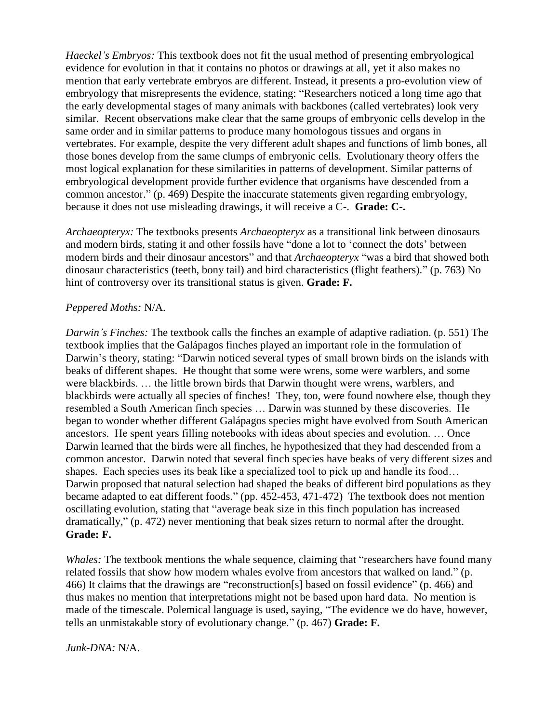*Haeckel's Embryos:* This textbook does not fit the usual method of presenting embryological evidence for evolution in that it contains no photos or drawings at all, yet it also makes no mention that early vertebrate embryos are different. Instead, it presents a pro-evolution view of embryology that misrepresents the evidence, stating: "Researchers noticed a long time ago that the early developmental stages of many animals with backbones (called vertebrates) look very similar. Recent observations make clear that the same groups of embryonic cells develop in the same order and in similar patterns to produce many homologous tissues and organs in vertebrates. For example, despite the very different adult shapes and functions of limb bones, all those bones develop from the same clumps of embryonic cells. Evolutionary theory offers the most logical explanation for these similarities in patterns of development. Similar patterns of embryological development provide further evidence that organisms have descended from a common ancestor." (p. 469) Despite the inaccurate statements given regarding embryology, because it does not use misleading drawings, it will receive a C-. **Grade: C-.**

*Archaeopteryx:* The textbooks presents *Archaeopteryx* as a transitional link between dinosaurs and modern birds, stating it and other fossils have "done a lot to 'connect the dots' between modern birds and their dinosaur ancestors" and that *Archaeopteryx* "was a bird that showed both dinosaur characteristics (teeth, bony tail) and bird characteristics (flight feathers)." (p. 763) No hint of controversy over its transitional status is given. **Grade: F.**

#### *Peppered Moths:* N/A.

*Darwin's Finches:* The textbook calls the finches an example of adaptive radiation. (p. 551) The textbook implies that the Galápagos finches played an important role in the formulation of Darwin's theory, stating: "Darwin noticed several types of small brown birds on the islands with beaks of different shapes. He thought that some were wrens, some were warblers, and some were blackbirds. … the little brown birds that Darwin thought were wrens, warblers, and blackbirds were actually all species of finches! They, too, were found nowhere else, though they resembled a South American finch species … Darwin was stunned by these discoveries. He began to wonder whether different Galápagos species might have evolved from South American ancestors. He spent years filling notebooks with ideas about species and evolution. … Once Darwin learned that the birds were all finches, he hypothesized that they had descended from a common ancestor. Darwin noted that several finch species have beaks of very different sizes and shapes. Each species uses its beak like a specialized tool to pick up and handle its food… Darwin proposed that natural selection had shaped the beaks of different bird populations as they became adapted to eat different foods." (pp. 452-453, 471-472) The textbook does not mention oscillating evolution, stating that "average beak size in this finch population has increased dramatically," (p. 472) never mentioning that beak sizes return to normal after the drought. **Grade: F.**

*Whales:* The textbook mentions the whale sequence, claiming that "researchers have found many related fossils that show how modern whales evolve from ancestors that walked on land." (p. 466) It claims that the drawings are "reconstruction[s] based on fossil evidence" (p. 466) and thus makes no mention that interpretations might not be based upon hard data. No mention is made of the timescale. Polemical language is used, saying, "The evidence we do have, however, tells an unmistakable story of evolutionary change." (p. 467) Grade: F.

*Junk-DNA:* N/A.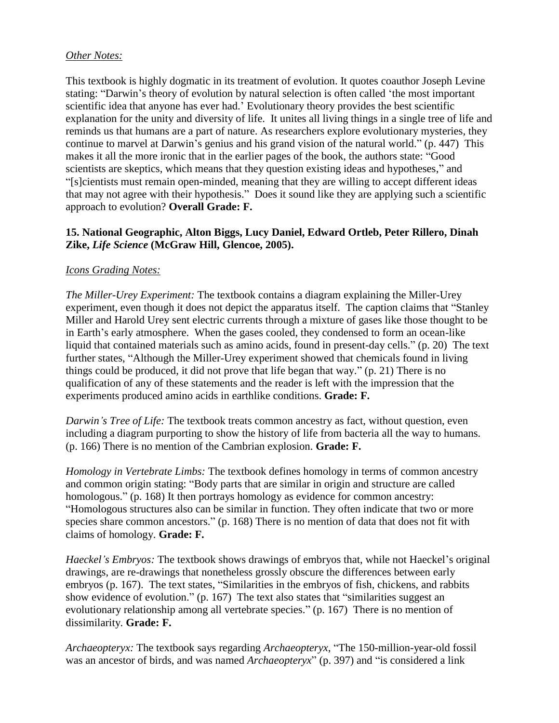#### *Other Notes:*

This textbook is highly dogmatic in its treatment of evolution. It quotes coauthor Joseph Levine stating: "Darwin's theory of evolution by natural selection is often called 'the most important scientific idea that anyone has ever had.' Evolutionary theory provides the best scientific explanation for the unity and diversity of life. It unites all living things in a single tree of life and reminds us that humans are a part of nature. As researchers explore evolutionary mysteries, they continue to marvel at Darwin's genius and his grand vision of the natural world." (p. 447) This makes it all the more ironic that in the earlier pages of the book, the authors state: "Good scientists are skeptics, which means that they question existing ideas and hypotheses," and ―[s]cientists must remain open-minded, meaning that they are willing to accept different ideas that may not agree with their hypothesis." Does it sound like they are applying such a scientific approach to evolution? **Overall Grade: F.**

## **15. National Geographic, Alton Biggs, Lucy Daniel, Edward Ortleb, Peter Rillero, Dinah Zike,** *Life Science* **(McGraw Hill, Glencoe, 2005).**

## *Icons Grading Notes:*

*The Miller-Urey Experiment:* The textbook contains a diagram explaining the Miller-Urey experiment, even though it does not depict the apparatus itself. The caption claims that "Stanley" Miller and Harold Urey sent electric currents through a mixture of gases like those thought to be in Earth's early atmosphere. When the gases cooled, they condensed to form an ocean-like liquid that contained materials such as amino acids, found in present-day cells." (p. 20) The text further states, "Although the Miller-Urey experiment showed that chemicals found in living things could be produced, it did not prove that life began that way."  $(p. 21)$  There is no qualification of any of these statements and the reader is left with the impression that the experiments produced amino acids in earthlike conditions. **Grade: F.**

*Darwin's Tree of Life:* The textbook treats common ancestry as fact, without question, even including a diagram purporting to show the history of life from bacteria all the way to humans. (p. 166) There is no mention of the Cambrian explosion. **Grade: F.**

*Homology in Vertebrate Limbs:* The textbook defines homology in terms of common ancestry and common origin stating: "Body parts that are similar in origin and structure are called homologous." (p. 168) It then portrays homology as evidence for common ancestry: ―Homologous structures also can be similar in function. They often indicate that two or more species share common ancestors."  $(p. 168)$  There is no mention of data that does not fit with claims of homology. **Grade: F.**

*Haeckel's Embryos:* The textbook shows drawings of embryos that, while not Haeckel's original drawings, are re-drawings that nonetheless grossly obscure the differences between early embryos (p. 167). The text states, "Similarities in the embryos of fish, chickens, and rabbits show evidence of evolution." (p. 167) The text also states that "similarities suggest an evolutionary relationship among all vertebrate species." (p. 167) There is no mention of dissimilarity. **Grade: F.**

*Archaeopteryx:* The textbook says regarding *Archaeopteryx*, "The 150-million-year-old fossil was an ancestor of birds, and was named *Archaeopteryx*" (p. 397) and "is considered a link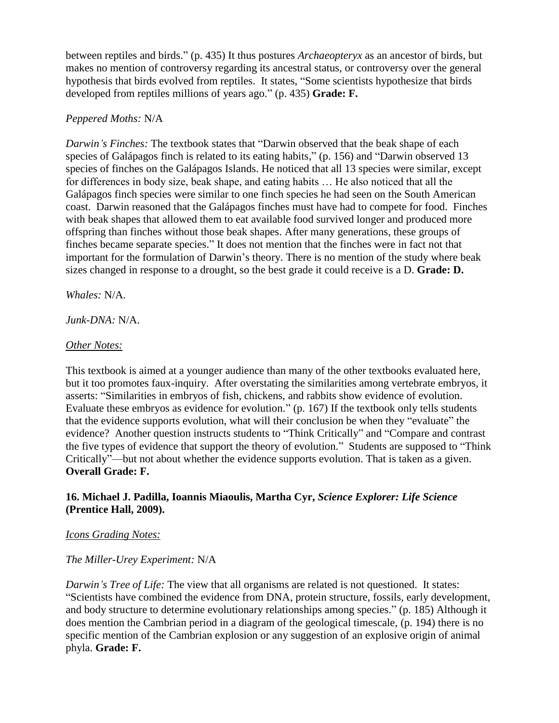between reptiles and birds.‖ (p. 435) It thus postures *Archaeopteryx* as an ancestor of birds, but makes no mention of controversy regarding its ancestral status, or controversy over the general hypothesis that birds evolved from reptiles. It states, "Some scientists hypothesize that birds developed from reptiles millions of years ago." (p. 435) **Grade: F.** 

#### *Peppered Moths:* N/A

*Darwin's Finches:* The textbook states that "Darwin observed that the beak shape of each species of Galápagos finch is related to its eating habits,"  $(p. 156)$  and "Darwin observed 13 species of finches on the Galápagos Islands. He noticed that all 13 species were similar, except for differences in body size, beak shape, and eating habits … He also noticed that all the Galápagos finch species were similar to one finch species he had seen on the South American coast. Darwin reasoned that the Galápagos finches must have had to compete for food. Finches with beak shapes that allowed them to eat available food survived longer and produced more offspring than finches without those beak shapes. After many generations, these groups of finches became separate species." It does not mention that the finches were in fact not that important for the formulation of Darwin's theory. There is no mention of the study where beak sizes changed in response to a drought, so the best grade it could receive is a D. **Grade: D.**

*Whales:* N/A.

*Junk-DNA:* N/A.

#### *Other Notes:*

This textbook is aimed at a younger audience than many of the other textbooks evaluated here, but it too promotes faux-inquiry. After overstating the similarities among vertebrate embryos, it asserts: "Similarities in embryos of fish, chickens, and rabbits show evidence of evolution. Evaluate these embryos as evidence for evolution."  $(p. 167)$  If the textbook only tells students that the evidence supports evolution, what will their conclusion be when they "evaluate" the evidence? Another question instructs students to "Think Critically" and "Compare and contrast the five types of evidence that support the theory of evolution." Students are supposed to "Think" Critically"—but not about whether the evidence supports evolution. That is taken as a given. **Overall Grade: F.**

## **16. Michael J. Padilla, Ioannis Miaoulis, Martha Cyr,** *Science Explorer: Life Science*  **(Prentice Hall, 2009).**

#### *Icons Grading Notes:*

## *The Miller-Urey Experiment:* N/A

*Darwin's Tree of Life:* The view that all organisms are related is not questioned. It states: ―Scientists have combined the evidence from DNA, protein structure, fossils, early development, and body structure to determine evolutionary relationships among species." (p. 185) Although it does mention the Cambrian period in a diagram of the geological timescale, (p. 194) there is no specific mention of the Cambrian explosion or any suggestion of an explosive origin of animal phyla. **Grade: F.**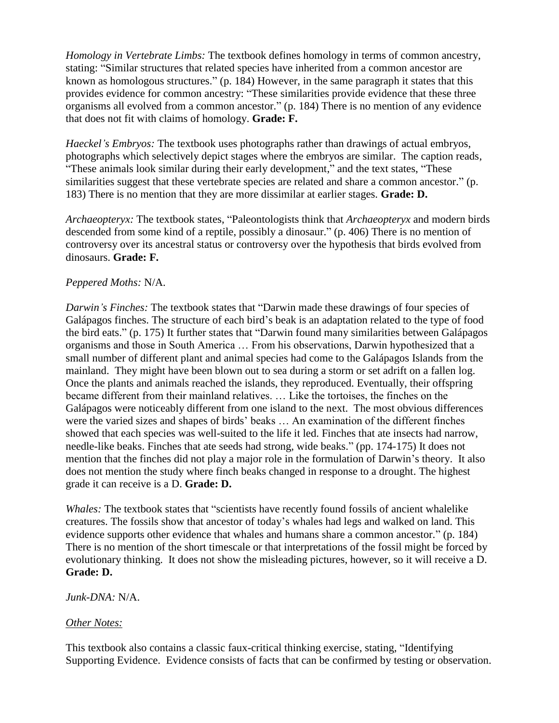*Homology in Vertebrate Limbs:* The textbook defines homology in terms of common ancestry, stating: "Similar structures that related species have inherited from a common ancestor are known as homologous structures."  $(p. 184)$  However, in the same paragraph it states that this provides evidence for common ancestry: "These similarities provide evidence that these three organisms all evolved from a common ancestor." (p. 184) There is no mention of any evidence that does not fit with claims of homology. **Grade: F.**

*Haeckel's Embryos:* The textbook uses photographs rather than drawings of actual embryos, photographs which selectively depict stages where the embryos are similar. The caption reads, "These animals look similar during their early development," and the text states, "These similarities suggest that these vertebrate species are related and share a common ancestor." (p. 183) There is no mention that they are more dissimilar at earlier stages. **Grade: D.**

Archaeopteryx: The textbook states, "Paleontologists think that *Archaeopteryx* and modern birds descended from some kind of a reptile, possibly a dinosaur." (p. 406) There is no mention of controversy over its ancestral status or controversy over the hypothesis that birds evolved from dinosaurs. **Grade: F.**

## *Peppered Moths:* N/A.

*Darwin's Finches:* The textbook states that "Darwin made these drawings of four species of Galápagos finches. The structure of each bird's beak is an adaptation related to the type of food the bird eats." (p. 175) It further states that "Darwin found many similarities between Galápagos organisms and those in South America … From his observations, Darwin hypothesized that a small number of different plant and animal species had come to the Galápagos Islands from the mainland. They might have been blown out to sea during a storm or set adrift on a fallen log. Once the plants and animals reached the islands, they reproduced. Eventually, their offspring became different from their mainland relatives. … Like the tortoises, the finches on the Galápagos were noticeably different from one island to the next. The most obvious differences were the varied sizes and shapes of birds' beaks … An examination of the different finches showed that each species was well-suited to the life it led. Finches that ate insects had narrow, needle-like beaks. Finches that ate seeds had strong, wide beaks." (pp. 174-175) It does not mention that the finches did not play a major role in the formulation of Darwin's theory. It also does not mention the study where finch beaks changed in response to a drought. The highest grade it can receive is a D. **Grade: D.**

*Whales:* The textbook states that "scientists have recently found fossils of ancient whalelike creatures. The fossils show that ancestor of today's whales had legs and walked on land. This evidence supports other evidence that whales and humans share a common ancestor." (p. 184) There is no mention of the short timescale or that interpretations of the fossil might be forced by evolutionary thinking. It does not show the misleading pictures, however, so it will receive a D. **Grade: D.**

#### *Junk-DNA:* N/A.

#### *Other Notes:*

This textbook also contains a classic faux-critical thinking exercise, stating, "Identifying Supporting Evidence. Evidence consists of facts that can be confirmed by testing or observation.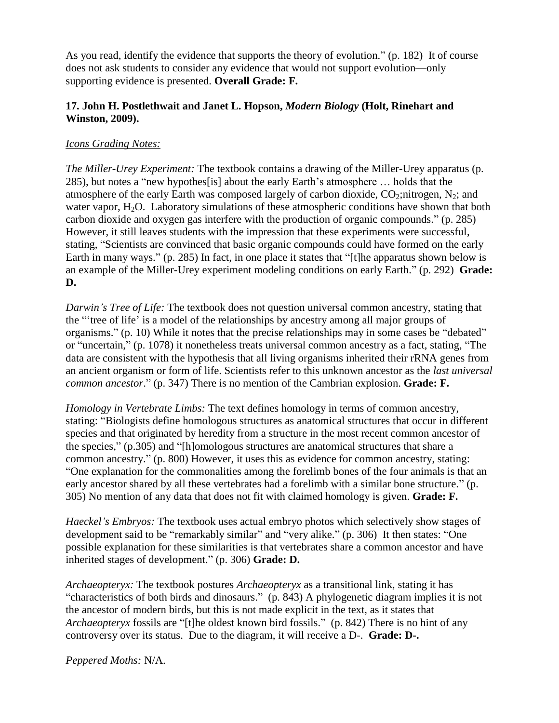As you read, identify the evidence that supports the theory of evolution." (p. 182) It of course does not ask students to consider any evidence that would not support evolution—only supporting evidence is presented. **Overall Grade: F.**

## **17. John H. Postlethwait and Janet L. Hopson,** *Modern Biology* **(Holt, Rinehart and Winston, 2009).**

## *Icons Grading Notes:*

*The Miller-Urey Experiment:* The textbook contains a drawing of the Miller-Urey apparatus (p. 285), but notes a "new hypothes<sup>[is]</sup> about the early Earth's atmosphere ... holds that the atmosphere of the early Earth was composed largely of carbon dioxide,  $CO_2$ ;nitrogen, N<sub>2</sub>; and water vapor,  $H_2O$ . Laboratory simulations of these atmospheric conditions have shown that both carbon dioxide and oxygen gas interfere with the production of organic compounds." (p. 285) However, it still leaves students with the impression that these experiments were successful, stating, "Scientists are convinced that basic organic compounds could have formed on the early Earth in many ways." (p. 285) In fact, in one place it states that "[t]he apparatus shown below is an example of the Miller-Urey experiment modeling conditions on early Earth." (p. 292) **Grade: D.**

*Darwin's Tree of Life:* The textbook does not question universal common ancestry, stating that the "tree of life" is a model of the relationships by ancestry among all major groups of organisms." (p. 10) While it notes that the precise relationships may in some cases be "debated" or "uncertain," (p. 1078) it nonetheless treats universal common ancestry as a fact, stating, "The data are consistent with the hypothesis that all living organisms inherited their rRNA genes from an ancient organism or form of life. Scientists refer to this unknown ancestor as the *last universal common ancestor.*" (p. 347) There is no mention of the Cambrian explosion. **Grade: F.** 

*Homology in Vertebrate Limbs:* The text defines homology in terms of common ancestry, stating: "Biologists define homologous structures as anatomical structures that occur in different species and that originated by heredity from a structure in the most recent common ancestor of the species,"  $(p.305)$  and "[h]omologous structures are anatomical structures that share a common ancestry." (p. 800) However, it uses this as evidence for common ancestry, stating: ―One explanation for the commonalities among the forelimb bones of the four animals is that an early ancestor shared by all these vertebrates had a forelimb with a similar bone structure." (p. 305) No mention of any data that does not fit with claimed homology is given. **Grade: F.**

*Haeckel's Embryos:* The textbook uses actual embryo photos which selectively show stages of development said to be "remarkably similar" and "very alike." (p. 306) It then states: "One possible explanation for these similarities is that vertebrates share a common ancestor and have inherited stages of development." (p. 306) **Grade: D.** 

*Archaeopteryx:* The textbook postures *Archaeopteryx* as a transitional link, stating it has "characteristics of both birds and dinosaurs." (p. 843) A phylogenetic diagram implies it is not the ancestor of modern birds, but this is not made explicit in the text, as it states that *Archaeopteryx* fossils are "[t]he oldest known bird fossils." (p. 842) There is no hint of any controversy over its status. Due to the diagram, it will receive a D-. **Grade: D-.**

*Peppered Moths:* N/A.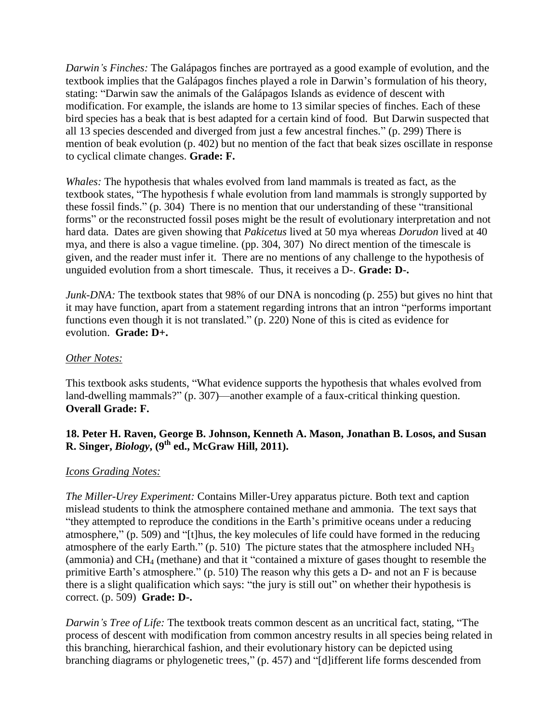*Darwin's Finches:* The Galápagos finches are portrayed as a good example of evolution, and the textbook implies that the Galápagos finches played a role in Darwin's formulation of his theory, stating: "Darwin saw the animals of the Galápagos Islands as evidence of descent with modification. For example, the islands are home to 13 similar species of finches. Each of these bird species has a beak that is best adapted for a certain kind of food. But Darwin suspected that all 13 species descended and diverged from just a few ancestral finches." (p. 299) There is mention of beak evolution (p. 402) but no mention of the fact that beak sizes oscillate in response to cyclical climate changes. **Grade: F.**

*Whales:* The hypothesis that whales evolved from land mammals is treated as fact, as the textbook states, "The hypothesis f whale evolution from land mammals is strongly supported by these fossil finds." (p. 304) There is no mention that our understanding of these "transitional forms" or the reconstructed fossil poses might be the result of evolutionary interpretation and not hard data. Dates are given showing that *Pakicetus* lived at 50 mya whereas *Dorudon* lived at 40 mya, and there is also a vague timeline. (pp. 304, 307) No direct mention of the timescale is given, and the reader must infer it. There are no mentions of any challenge to the hypothesis of unguided evolution from a short timescale. Thus, it receives a D-. **Grade: D-.**

*Junk-DNA:* The textbook states that 98% of our DNA is noncoding (p. 255) but gives no hint that it may have function, apart from a statement regarding introns that an intron "performs important" functions even though it is not translated."  $(p. 220)$  None of this is cited as evidence for evolution. **Grade: D+.**

#### *Other Notes:*

This textbook asks students, "What evidence supports the hypothesis that whales evolved from land-dwelling mammals?" (p. 307)—another example of a faux-critical thinking question. **Overall Grade: F.**

## **18. Peter H. Raven, George B. Johnson, Kenneth A. Mason, Jonathan B. Losos, and Susan R. Singer,** *Biology***, (9th ed., McGraw Hill, 2011).**

## *Icons Grading Notes:*

*The Miller-Urey Experiment:* Contains Miller-Urey apparatus picture. Both text and caption mislead students to think the atmosphere contained methane and ammonia. The text says that "they attempted to reproduce the conditions in the Earth's primitive oceans under a reducing atmosphere," (p. 509) and " $[t]$ hus, the key molecules of life could have formed in the reducing atmosphere of the early Earth." (p. 510) The picture states that the atmosphere included  $NH<sub>3</sub>$ (ammonia) and  $CH_4$  (methane) and that it "contained a mixture of gases thought to resemble the primitive Earth's atmosphere."  $(p. 510)$  The reason why this gets a D- and not an F is because there is a slight qualification which says: "the jury is still out" on whether their hypothesis is correct. (p. 509) **Grade: D-.**

*Darwin's Tree of Life:* The textbook treats common descent as an uncritical fact, stating, "The process of descent with modification from common ancestry results in all species being related in this branching, hierarchical fashion, and their evolutionary history can be depicted using branching diagrams or phylogenetic trees," (p. 457) and "[d]ifferent life forms descended from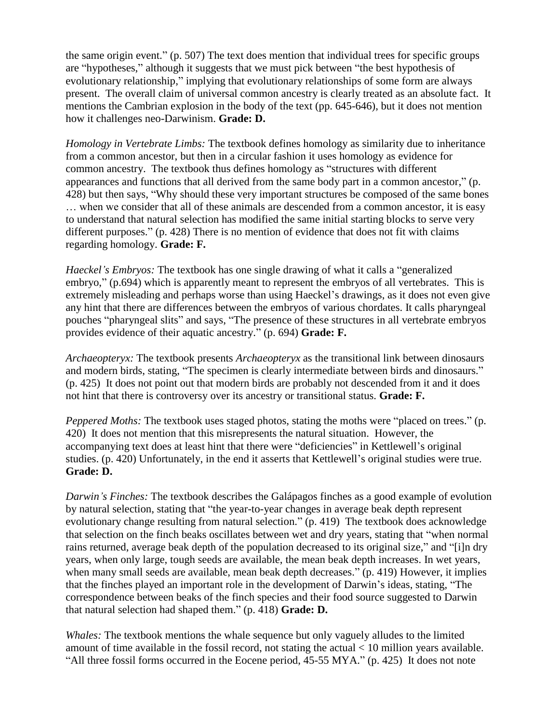the same origin event."  $(p. 507)$  The text does mention that individual trees for specific groups are "hypotheses," although it suggests that we must pick between "the best hypothesis of evolutionary relationship," implying that evolutionary relationships of some form are always present. The overall claim of universal common ancestry is clearly treated as an absolute fact. It mentions the Cambrian explosion in the body of the text (pp. 645-646), but it does not mention how it challenges neo-Darwinism. **Grade: D.**

*Homology in Vertebrate Limbs:* The textbook defines homology as similarity due to inheritance from a common ancestor, but then in a circular fashion it uses homology as evidence for common ancestry. The textbook thus defines homology as "structures with different appearances and functions that all derived from the same body part in a common ancestor," (p. 428) but then says, "Why should these very important structures be composed of the same bones … when we consider that all of these animals are descended from a common ancestor, it is easy to understand that natural selection has modified the same initial starting blocks to serve very different purposes."  $(p. 428)$  There is no mention of evidence that does not fit with claims regarding homology. **Grade: F.**

*Haeckel's Embryos:* The textbook has one single drawing of what it calls a "generalized" embryo," (p.694) which is apparently meant to represent the embryos of all vertebrates. This is extremely misleading and perhaps worse than using Haeckel's drawings, as it does not even give any hint that there are differences between the embryos of various chordates. It calls pharyngeal pouches "pharyngeal slits" and says, "The presence of these structures in all vertebrate embryos provides evidence of their aquatic ancestry." (p. 694) **Grade: F.** 

*Archaeopteryx:* The textbook presents *Archaeopteryx* as the transitional link between dinosaurs and modern birds, stating, "The specimen is clearly intermediate between birds and dinosaurs." (p. 425) It does not point out that modern birds are probably not descended from it and it does not hint that there is controversy over its ancestry or transitional status. **Grade: F.**

*Peppered Moths:* The textbook uses staged photos, stating the moths were "placed on trees." (p. 420) It does not mention that this misrepresents the natural situation. However, the accompanying text does at least hint that there were "deficiencies" in Kettlewell's original studies. (p. 420) Unfortunately, in the end it asserts that Kettlewell's original studies were true. **Grade: D.**

*Darwin's Finches:* The textbook describes the Galápagos finches as a good example of evolution by natural selection, stating that "the year-to-year changes in average beak depth represent evolutionary change resulting from natural selection." (p. 419) The textbook does acknowledge that selection on the finch beaks oscillates between wet and dry years, stating that "when normal" rains returned, average beak depth of the population decreased to its original size," and "[i]n dry years, when only large, tough seeds are available, the mean beak depth increases. In wet years, when many small seeds are available, mean beak depth decreases." (p. 419) However, it implies that the finches played an important role in the development of Darwin's ideas, stating, "The correspondence between beaks of the finch species and their food source suggested to Darwin that natural selection had shaped them." (p. 418) **Grade: D.** 

*Whales:* The textbook mentions the whale sequence but only vaguely alludes to the limited amount of time available in the fossil record, not stating the actual < 10 million years available. "All three fossil forms occurred in the Eocene period, 45-55 MYA." (p. 425) It does not note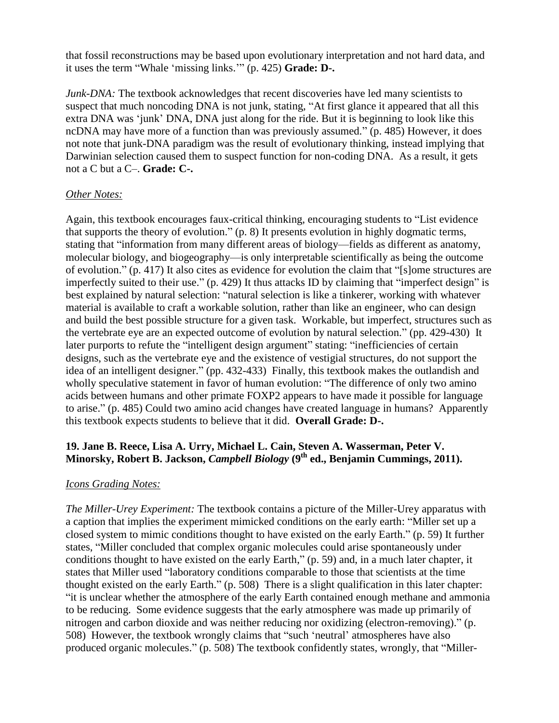that fossil reconstructions may be based upon evolutionary interpretation and not hard data, and it uses the term "Whale 'missing links." (p. 425) **Grade: D-.** 

*Junk-DNA*: The textbook acknowledges that recent discoveries have led many scientists to suspect that much noncoding DNA is not junk, stating, "At first glance it appeared that all this extra DNA was 'junk' DNA, DNA just along for the ride. But it is beginning to look like this ncDNA may have more of a function than was previously assumed." (p. 485) However, it does not note that junk-DNA paradigm was the result of evolutionary thinking, instead implying that Darwinian selection caused them to suspect function for non-coding DNA. As a result, it gets not a C but a C–. **Grade: C-.**

#### *Other Notes:*

Again, this textbook encourages faux-critical thinking, encouraging students to "List evidence" that supports the theory of evolution."  $(p, 8)$  It presents evolution in highly dogmatic terms, stating that "information from many different areas of biology—fields as different as anatomy, molecular biology, and biogeography—is only interpretable scientifically as being the outcome of evolution." (p. 417) It also cites as evidence for evolution the claim that "[s]ome structures are imperfectly suited to their use." (p. 429) It thus attacks ID by claiming that "imperfect design" is best explained by natural selection: "natural selection is like a tinkerer, working with whatever material is available to craft a workable solution, rather than like an engineer, who can design and build the best possible structure for a given task. Workable, but imperfect, structures such as the vertebrate eye are an expected outcome of evolution by natural selection." (pp. 429-430) It later purports to refute the "intelligent design argument" stating: "inefficiencies of certain designs, such as the vertebrate eye and the existence of vestigial structures, do not support the idea of an intelligent designer." (pp. 432-433) Finally, this textbook makes the outlandish and wholly speculative statement in favor of human evolution: "The difference of only two amino acids between humans and other primate FOXP2 appears to have made it possible for language to arise." (p. 485) Could two amino acid changes have created language in humans? Apparently this textbook expects students to believe that it did. **Overall Grade: D-.**

## **19. Jane B. Reece, Lisa A. Urry, Michael L. Cain, Steven A. Wasserman, Peter V. Minorsky, Robert B. Jackson,** *Campbell Biology* **(9th ed., Benjamin Cummings, 2011).**

## *Icons Grading Notes:*

*The Miller-Urey Experiment:* The textbook contains a picture of the Miller-Urey apparatus with a caption that implies the experiment mimicked conditions on the early earth: "Miller set up a closed system to mimic conditions thought to have existed on the early Earth." (p. 59) It further states, "Miller concluded that complex organic molecules could arise spontaneously under conditions thought to have existed on the early Earth," (p. 59) and, in a much later chapter, it states that Miller used "laboratory conditions comparable to those that scientists at the time thought existed on the early Earth."  $(p. 508)$  There is a slight qualification in this later chapter: "it is unclear whether the atmosphere of the early Earth contained enough methane and ammonia to be reducing. Some evidence suggests that the early atmosphere was made up primarily of nitrogen and carbon dioxide and was neither reducing nor oxidizing (electron-removing)." (p. 508) However, the textbook wrongly claims that "such 'neutral' atmospheres have also produced organic molecules." (p. 508) The textbook confidently states, wrongly, that "Miller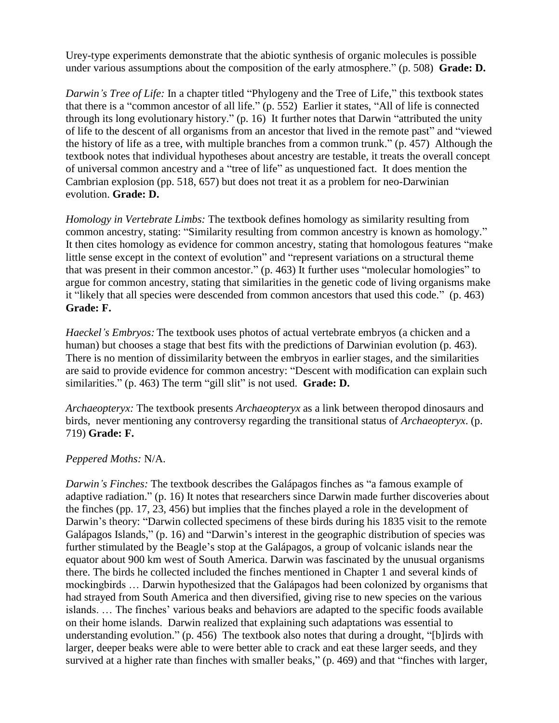Urey-type experiments demonstrate that the abiotic synthesis of organic molecules is possible under various assumptions about the composition of the early atmosphere." (p. 508) **Grade: D.** 

*Darwin's Tree of Life:* In a chapter titled "Phylogeny and the Tree of Life," this textbook states that there is a "common ancestor of all life." (p. 552) Earlier it states, "All of life is connected through its long evolutionary history."  $(p. 16)$  It further notes that Darwin "attributed the unity of life to the descent of all organisms from an ancestor that lived in the remote past" and "viewed the history of life as a tree, with multiple branches from a common trunk." (p. 457) Although the textbook notes that individual hypotheses about ancestry are testable, it treats the overall concept of universal common ancestry and a "tree of life" as unquestioned fact. It does mention the Cambrian explosion (pp. 518, 657) but does not treat it as a problem for neo-Darwinian evolution. **Grade: D.**

*Homology in Vertebrate Limbs:* The textbook defines homology as similarity resulting from common ancestry, stating: "Similarity resulting from common ancestry is known as homology." It then cites homology as evidence for common ancestry, stating that homologous features "make little sense except in the context of evolution" and "represent variations on a structural theme that was present in their common ancestor."  $(p. 463)$  It further uses "molecular homologies" to argue for common ancestry, stating that similarities in the genetic code of living organisms make it "likely that all species were descended from common ancestors that used this code." (p. 463) **Grade: F.**

*Haeckel's Embryos:* The textbook uses photos of actual vertebrate embryos (a chicken and a human) but chooses a stage that best fits with the predictions of Darwinian evolution (p. 463). There is no mention of dissimilarity between the embryos in earlier stages, and the similarities are said to provide evidence for common ancestry: "Descent with modification can explain such similarities." (p. 463) The term "gill slit" is not used. **Grade: D.** 

*Archaeopteryx:* The textbook presents *Archaeopteryx* as a link between theropod dinosaurs and birds, never mentioning any controversy regarding the transitional status of *Archaeopteryx*. (p. 719) **Grade: F.**

## *Peppered Moths:* N/A.

*Darwin's Finches:* The textbook describes the Galápagos finches as "a famous example of adaptive radiation." (p. 16) It notes that researchers since Darwin made further discoveries about the finches (pp. 17, 23, 456) but implies that the finches played a role in the development of Darwin's theory: "Darwin collected specimens of these birds during his 1835 visit to the remote Galápagos Islands," (p. 16) and "Darwin's interest in the geographic distribution of species was further stimulated by the Beagle's stop at the Galápagos, a group of volcanic islands near the equator about 900 km west of South America. Darwin was fascinated by the unusual organisms there. The birds he collected included the finches mentioned in Chapter 1 and several kinds of mockingbirds … Darwin hypothesized that the Galápagos had been colonized by organisms that had strayed from South America and then diversified, giving rise to new species on the various islands. … The finches' various beaks and behaviors are adapted to the specific foods available on their home islands. Darwin realized that explaining such adaptations was essential to understanding evolution." (p. 456) The textbook also notes that during a drought, "[b]irds with larger, deeper beaks were able to were better able to crack and eat these larger seeds, and they survived at a higher rate than finches with smaller beaks," (p. 469) and that "finches with larger,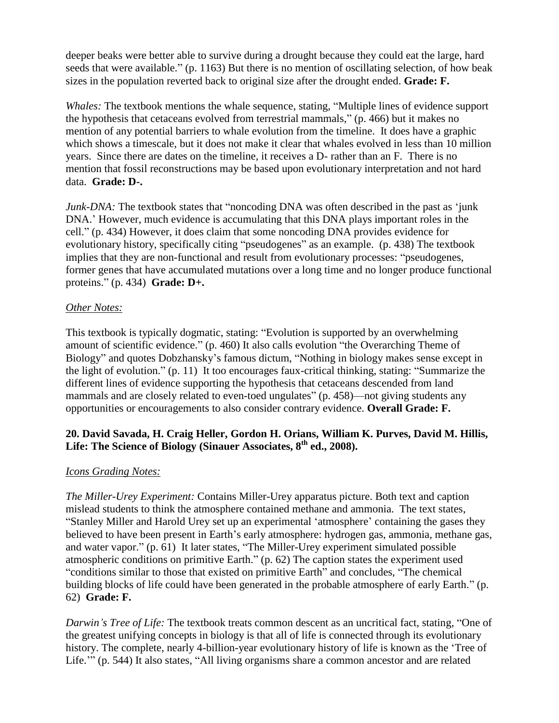deeper beaks were better able to survive during a drought because they could eat the large, hard seeds that were available." (p. 1163) But there is no mention of oscillating selection, of how beak sizes in the population reverted back to original size after the drought ended. **Grade: F.**

*Whales:* The textbook mentions the whale sequence, stating, "Multiple lines of evidence support the hypothesis that cetaceans evolved from terrestrial mammals," (p. 466) but it makes no mention of any potential barriers to whale evolution from the timeline. It does have a graphic which shows a timescale, but it does not make it clear that whales evolved in less than 10 million years. Since there are dates on the timeline, it receives a D- rather than an F. There is no mention that fossil reconstructions may be based upon evolutionary interpretation and not hard data. **Grade: D-.**

*Junk-DNA*: The textbook states that "noncoding DNA was often described in the past as 'junk DNA.' However, much evidence is accumulating that this DNA plays important roles in the cell.‖ (p. 434) However, it does claim that some noncoding DNA provides evidence for evolutionary history, specifically citing "pseudogenes" as an example. (p. 438) The textbook implies that they are non-functional and result from evolutionary processes: "pseudogenes, former genes that have accumulated mutations over a long time and no longer produce functional proteins.‖ (p. 434) **Grade: D+.**

## *Other Notes:*

This textbook is typically dogmatic, stating: "Evolution is supported by an overwhelming amount of scientific evidence." (p. 460) It also calls evolution "the Overarching Theme of Biology" and quotes Dobzhansky's famous dictum, "Nothing in biology makes sense except in the light of evolution."  $(p. 11)$  It too encourages faux-critical thinking, stating: "Summarize the different lines of evidence supporting the hypothesis that cetaceans descended from land mammals and are closely related to even-toed ungulates" (p. 458)—not giving students any opportunities or encouragements to also consider contrary evidence. **Overall Grade: F.**

## **20. David Savada, H. Craig Heller, Gordon H. Orians, William K. Purves, David M. Hillis, Life: The Science of Biology (Sinauer Associates, 8th ed., 2008).**

## *Icons Grading Notes:*

*The Miller-Urey Experiment:* Contains Miller-Urey apparatus picture. Both text and caption mislead students to think the atmosphere contained methane and ammonia. The text states, "Stanley Miller and Harold Urey set up an experimental 'atmosphere' containing the gases they believed to have been present in Earth's early atmosphere: hydrogen gas, ammonia, methane gas, and water vapor." (p. 61) It later states, "The Miller-Urey experiment simulated possible atmospheric conditions on primitive Earth." (p. 62) The caption states the experiment used "conditions similar to those that existed on primitive Earth" and concludes, "The chemical building blocks of life could have been generated in the probable atmosphere of early Earth." (p. 62) **Grade: F.**

*Darwin's Tree of Life:* The textbook treats common descent as an uncritical fact, stating, "One of the greatest unifying concepts in biology is that all of life is connected through its evolutionary history. The complete, nearly 4-billion-year evolutionary history of life is known as the 'Tree of Life."" (p. 544) It also states, "All living organisms share a common ancestor and are related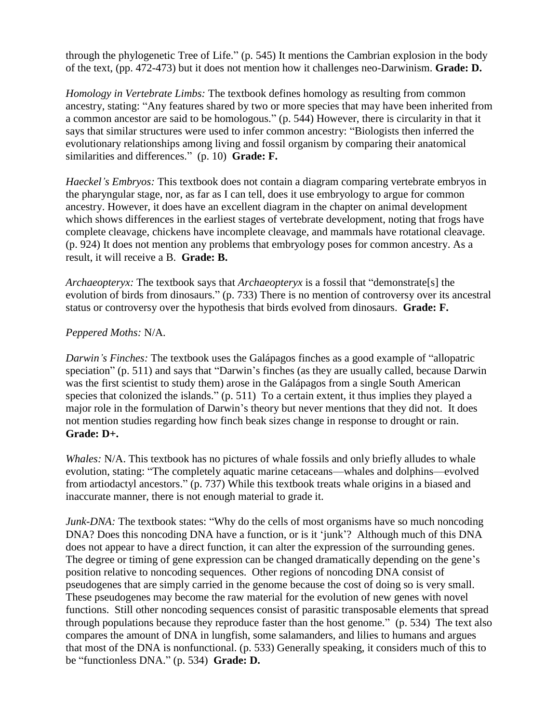through the phylogenetic Tree of Life."  $(p. 545)$  It mentions the Cambrian explosion in the body of the text, (pp. 472-473) but it does not mention how it challenges neo-Darwinism. **Grade: D.**

*Homology in Vertebrate Limbs:* The textbook defines homology as resulting from common ancestry, stating: "Any features shared by two or more species that may have been inherited from a common ancestor are said to be homologous." (p. 544) However, there is circularity in that it says that similar structures were used to infer common ancestry: "Biologists then inferred the evolutionary relationships among living and fossil organism by comparing their anatomical similarities and differences." (p. 10) **Grade: F.** 

*Haeckel's Embryos:* This textbook does not contain a diagram comparing vertebrate embryos in the pharyngular stage, nor, as far as I can tell, does it use embryology to argue for common ancestry. However, it does have an excellent diagram in the chapter on animal development which shows differences in the earliest stages of vertebrate development, noting that frogs have complete cleavage, chickens have incomplete cleavage, and mammals have rotational cleavage. (p. 924) It does not mention any problems that embryology poses for common ancestry. As a result, it will receive a B. **Grade: B.**

*Archaeopteryx:* The textbook says that *Archaeopteryx* is a fossil that "demonstrate[s] the evolution of birds from dinosaurs." (p. 733) There is no mention of controversy over its ancestral status or controversy over the hypothesis that birds evolved from dinosaurs. **Grade: F.**

## *Peppered Moths:* N/A.

*Darwin's Finches:* The textbook uses the Galápagos finches as a good example of "allopatric" speciation" (p. 511) and says that "Darwin's finches (as they are usually called, because Darwin was the first scientist to study them) arose in the Galápagos from a single South American species that colonized the islands." (p. 511) To a certain extent, it thus implies they played a major role in the formulation of Darwin's theory but never mentions that they did not. It does not mention studies regarding how finch beak sizes change in response to drought or rain. **Grade: D+.**

*Whales:* N/A. This textbook has no pictures of whale fossils and only briefly alludes to whale evolution, stating: "The completely aquatic marine cetaceans—whales and dolphins—evolved from artiodactyl ancestors." (p. 737) While this textbook treats whale origins in a biased and inaccurate manner, there is not enough material to grade it.

*Junk-DNA:* The textbook states: "Why do the cells of most organisms have so much noncoding DNA? Does this noncoding DNA have a function, or is it 'junk'? Although much of this DNA does not appear to have a direct function, it can alter the expression of the surrounding genes. The degree or timing of gene expression can be changed dramatically depending on the gene's position relative to noncoding sequences. Other regions of noncoding DNA consist of pseudogenes that are simply carried in the genome because the cost of doing so is very small. These pseudogenes may become the raw material for the evolution of new genes with novel functions. Still other noncoding sequences consist of parasitic transposable elements that spread through populations because they reproduce faster than the host genome." (p. 534) The text also compares the amount of DNA in lungfish, some salamanders, and lilies to humans and argues that most of the DNA is nonfunctional. (p. 533) Generally speaking, it considers much of this to be "functionless DNA." (p. 534) **Grade: D.**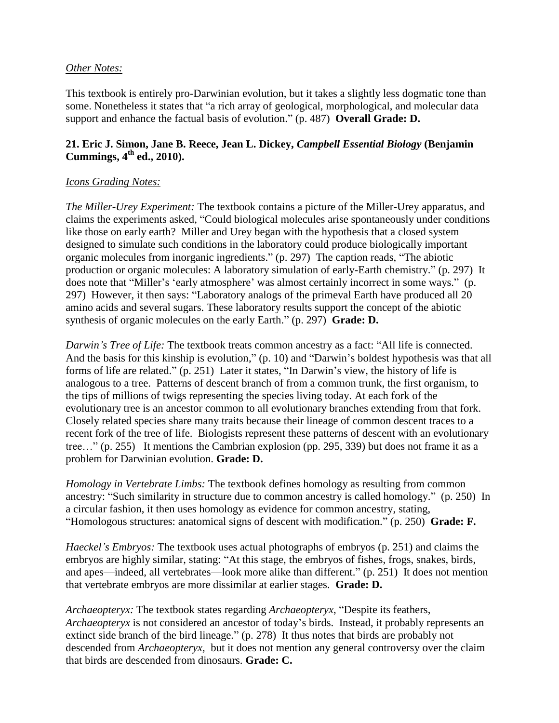#### *Other Notes:*

This textbook is entirely pro-Darwinian evolution, but it takes a slightly less dogmatic tone than some. Nonetheless it states that "a rich array of geological, morphological, and molecular data support and enhance the factual basis of evolution." (p. 487) **Overall Grade: D.** 

## **21. Eric J. Simon, Jane B. Reece, Jean L. Dickey,** *Campbell Essential Biology* **(Benjamin Cummings, 4th ed., 2010).**

#### *Icons Grading Notes:*

*The Miller-Urey Experiment:* The textbook contains a picture of the Miller-Urey apparatus, and claims the experiments asked, "Could biological molecules arise spontaneously under conditions like those on early earth? Miller and Urey began with the hypothesis that a closed system designed to simulate such conditions in the laboratory could produce biologically important organic molecules from inorganic ingredients."  $(p. 297)$  The caption reads, "The abiotic production or organic molecules: A laboratory simulation of early-Earth chemistry." (p. 297) It does note that "Miller's 'early atmosphere' was almost certainly incorrect in some ways." (p. 297) However, it then says: "Laboratory analogs of the primeval Earth have produced all 20 amino acids and several sugars. These laboratory results support the concept of the abiotic synthesis of organic molecules on the early Earth." (p. 297) **Grade: D.** 

*Darwin's Tree of Life:* The textbook treats common ancestry as a fact: "All life is connected. And the basis for this kinship is evolution,"  $(p. 10)$  and "Darwin's boldest hypothesis was that all forms of life are related."  $(p. 251)$  Later it states, "In Darwin's view, the history of life is analogous to a tree. Patterns of descent branch of from a common trunk, the first organism, to the tips of millions of twigs representing the species living today. At each fork of the evolutionary tree is an ancestor common to all evolutionary branches extending from that fork. Closely related species share many traits because their lineage of common descent traces to a recent fork of the tree of life. Biologists represent these patterns of descent with an evolutionary tree..." (p. 255) It mentions the Cambrian explosion (pp. 295, 339) but does not frame it as a problem for Darwinian evolution. **Grade: D.**

*Homology in Vertebrate Limbs:* The textbook defines homology as resulting from common ancestry: "Such similarity in structure due to common ancestry is called homology." (p. 250) In a circular fashion, it then uses homology as evidence for common ancestry, stating, ―Homologous structures: anatomical signs of descent with modification.‖ (p. 250) **Grade: F.**

*Haeckel's Embryos:* The textbook uses actual photographs of embryos (p. 251) and claims the embryos are highly similar, stating: "At this stage, the embryos of fishes, frogs, snakes, birds, and apes—indeed, all vertebrates—look more alike than different." (p. 251) It does not mention that vertebrate embryos are more dissimilar at earlier stages. **Grade: D.**

*Archaeopteryx:* The textbook states regarding *Archaeopteryx*, "Despite its feathers, *Archaeopteryx* is not considered an ancestor of today's birds. Instead, it probably represents an extinct side branch of the bird lineage." (p. 278) It thus notes that birds are probably not descended from *Archaeopteryx,* but it does not mention any general controversy over the claim that birds are descended from dinosaurs. **Grade: C.**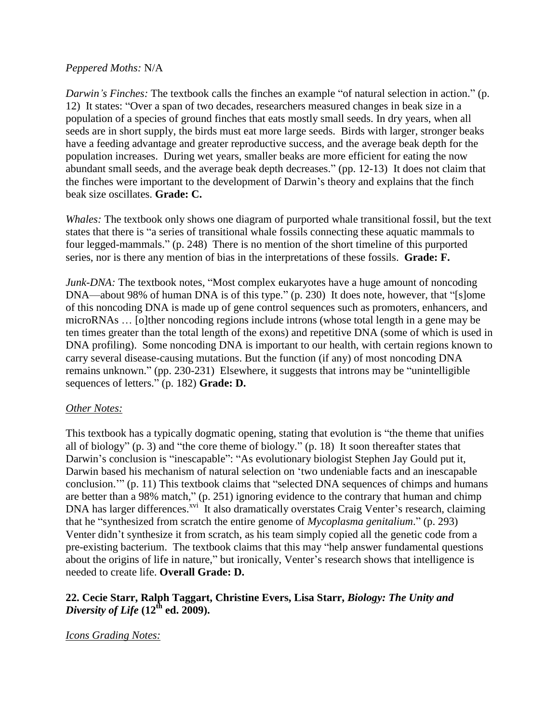#### *Peppered Moths:* N/A

*Darwin's Finches:* The textbook calls the finches an example "of natural selection in action." (p. 12) It states: "Over a span of two decades, researchers measured changes in beak size in a population of a species of ground finches that eats mostly small seeds. In dry years, when all seeds are in short supply, the birds must eat more large seeds. Birds with larger, stronger beaks have a feeding advantage and greater reproductive success, and the average beak depth for the population increases. During wet years, smaller beaks are more efficient for eating the now abundant small seeds, and the average beak depth decreases." (pp. 12-13) It does not claim that the finches were important to the development of Darwin's theory and explains that the finch beak size oscillates. **Grade: C.**

*Whales:* The textbook only shows one diagram of purported whale transitional fossil, but the text states that there is "a series of transitional whale fossils connecting these aquatic mammals to four legged-mammals." (p. 248) There is no mention of the short timeline of this purported series, nor is there any mention of bias in the interpretations of these fossils. **Grade: F.**

*Junk-DNA*: The textbook notes, "Most complex eukaryotes have a huge amount of noncoding DNA—about 98% of human DNA is of this type." (p. 230) It does note, however, that "[s]ome of this noncoding DNA is made up of gene control sequences such as promoters, enhancers, and microRNAs … [o]ther noncoding regions include introns (whose total length in a gene may be ten times greater than the total length of the exons) and repetitive DNA (some of which is used in DNA profiling). Some noncoding DNA is important to our health, with certain regions known to carry several disease-causing mutations. But the function (if any) of most noncoding DNA remains unknown." (pp. 230-231) Elsewhere, it suggests that introns may be "unintelligible sequences of letters." (p. 182) **Grade: D.** 

#### *Other Notes:*

This textbook has a typically dogmatic opening, stating that evolution is "the theme that unifies all of biology" (p. 3) and "the core theme of biology." (p. 18) It soon thereafter states that Darwin's conclusion is "inescapable": "As evolutionary biologist Stephen Jay Gould put it, Darwin based his mechanism of natural selection on 'two undeniable facts and an inescapable conclusion."  $(p, 11)$  This textbook claims that "selected DNA sequences of chimps and humans are better than a 98% match," (p. 251) ignoring evidence to the contrary that human and chimp DNA has larger differences.<sup>xvi</sup> It also dramatically overstates Craig Venter's research, claiming that he "synthesized from scratch the entire genome of *Mycoplasma genitalium*." (p. 293) Venter didn't synthesize it from scratch, as his team simply copied all the genetic code from a pre-existing bacterium. The textbook claims that this may "help answer fundamental questions about the origins of life in nature," but ironically, Venter's research shows that intelligence is needed to create life. **Overall Grade: D.**

#### **22. Cecie Starr, Ralph Taggart, Christine Evers, Lisa Starr,** *Biology: The Unity and Diversity of Life* **(12th ed. 2009).**

*Icons Grading Notes:*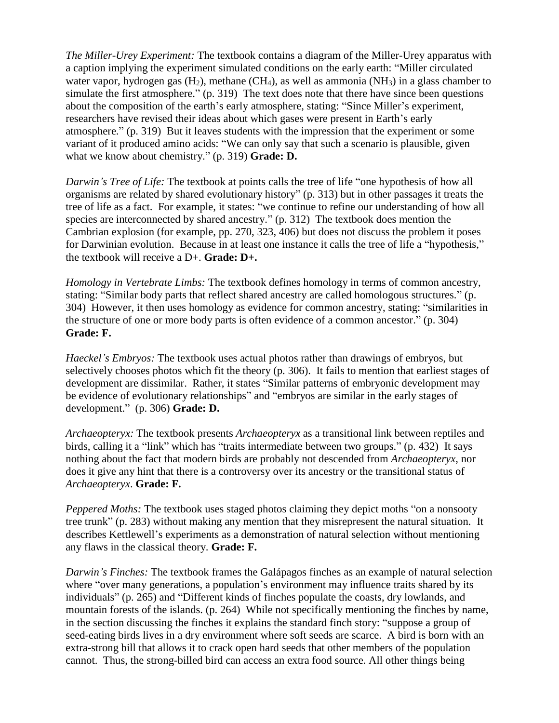*The Miller-Urey Experiment:* The textbook contains a diagram of the Miller-Urey apparatus with a caption implying the experiment simulated conditions on the early earth: "Miller circulated water vapor, hydrogen gas  $(H_2)$ , methane  $(CH_4)$ , as well as ammonia  $(NH_3)$  in a glass chamber to simulate the first atmosphere."  $(p. 319)$  The text does note that there have since been questions about the composition of the earth's early atmosphere, stating: "Since Miller's experiment, researchers have revised their ideas about which gases were present in Earth's early atmosphere." (p. 319) But it leaves students with the impression that the experiment or some variant of it produced amino acids: "We can only say that such a scenario is plausible, given what we know about chemistry." (p. 319) **Grade: D.** 

*Darwin's Tree of Life:* The textbook at points calls the tree of life "one hypothesis of how all organisms are related by shared evolutionary history" (p. 313) but in other passages it treats the tree of life as a fact. For example, it states: "we continue to refine our understanding of how all species are interconnected by shared ancestry." (p. 312) The textbook does mention the Cambrian explosion (for example, pp. 270, 323, 406) but does not discuss the problem it poses for Darwinian evolution. Because in at least one instance it calls the tree of life a "hypothesis," the textbook will receive a D+. **Grade: D+.**

*Homology in Vertebrate Limbs:* The textbook defines homology in terms of common ancestry, stating: "Similar body parts that reflect shared ancestry are called homologous structures." (p. 304) However, it then uses homology as evidence for common ancestry, stating: "similarities in the structure of one or more body parts is often evidence of a common ancestor." (p. 304) **Grade: F.**

*Haeckel's Embryos:* The textbook uses actual photos rather than drawings of embryos, but selectively chooses photos which fit the theory (p. 306). It fails to mention that earliest stages of development are dissimilar. Rather, it states "Similar patterns of embryonic development may be evidence of evolutionary relationships" and "embryos are similar in the early stages of development.‖ (p. 306) **Grade: D.**

*Archaeopteryx:* The textbook presents *Archaeopteryx* as a transitional link between reptiles and birds, calling it a "link" which has "traits intermediate between two groups." (p. 432) It says nothing about the fact that modern birds are probably not descended from *Archaeopteryx*, nor does it give any hint that there is a controversy over its ancestry or the transitional status of *Archaeopteryx*. **Grade: F.**

*Peppered Moths:* The textbook uses staged photos claiming they depict moths "on a nonsooty" tree trunk" (p. 283) without making any mention that they misrepresent the natural situation. It describes Kettlewell's experiments as a demonstration of natural selection without mentioning any flaws in the classical theory. **Grade: F.**

*Darwin's Finches:* The textbook frames the Galápagos finches as an example of natural selection where "over many generations, a population's environment may influence traits shared by its individuals" (p. 265) and "Different kinds of finches populate the coasts, dry lowlands, and mountain forests of the islands. (p. 264) While not specifically mentioning the finches by name, in the section discussing the finches it explains the standard finch story: "suppose a group of seed-eating birds lives in a dry environment where soft seeds are scarce. A bird is born with an extra-strong bill that allows it to crack open hard seeds that other members of the population cannot. Thus, the strong-billed bird can access an extra food source. All other things being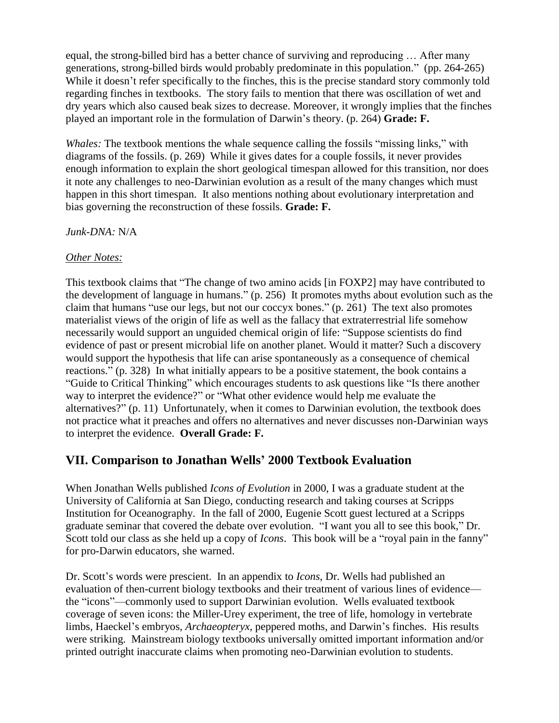equal, the strong-billed bird has a better chance of surviving and reproducing … After many generations, strong-billed birds would probably predominate in this population." (pp. 264-265) While it doesn't refer specifically to the finches, this is the precise standard story commonly told regarding finches in textbooks. The story fails to mention that there was oscillation of wet and dry years which also caused beak sizes to decrease. Moreover, it wrongly implies that the finches played an important role in the formulation of Darwin's theory. (p. 264) **Grade: F.**

*Whales:* The textbook mentions the whale sequence calling the fossils "missing links," with diagrams of the fossils. (p. 269) While it gives dates for a couple fossils, it never provides enough information to explain the short geological timespan allowed for this transition, nor does it note any challenges to neo-Darwinian evolution as a result of the many changes which must happen in this short timespan. It also mentions nothing about evolutionary interpretation and bias governing the reconstruction of these fossils. **Grade: F.**

*Junk-DNA:* N/A

## *Other Notes:*

This textbook claims that "The change of two amino acids [in FOXP2] may have contributed to the development of language in humans." (p. 256) It promotes myths about evolution such as the claim that humans "use our legs, but not our coccyx bones."  $(p. 261)$  The text also promotes materialist views of the origin of life as well as the fallacy that extraterrestrial life somehow necessarily would support an unguided chemical origin of life: "Suppose scientists do find evidence of past or present microbial life on another planet. Would it matter? Such a discovery would support the hypothesis that life can arise spontaneously as a consequence of chemical reactions." (p. 328) In what initially appears to be a positive statement, the book contains a "Guide to Critical Thinking" which encourages students to ask questions like "Is there another way to interpret the evidence?" or "What other evidence would help me evaluate the alternatives?" (p. 11) Unfortunately, when it comes to Darwinian evolution, the textbook does not practice what it preaches and offers no alternatives and never discusses non-Darwinian ways to interpret the evidence. **Overall Grade: F.**

# **VII. Comparison to Jonathan Wells' 2000 Textbook Evaluation**

When Jonathan Wells published *Icons of Evolution* in 2000, I was a graduate student at the University of California at San Diego, conducting research and taking courses at Scripps Institution for Oceanography. In the fall of 2000, Eugenie Scott guest lectured at a Scripps graduate seminar that covered the debate over evolution. "I want you all to see this book," Dr. Scott told our class as she held up a copy of *Icons*. This book will be a "royal pain in the fanny" for pro-Darwin educators, she warned.

Dr. Scott's words were prescient. In an appendix to *Icons*, Dr. Wells had published an evaluation of then-current biology textbooks and their treatment of various lines of evidence the "icons"—commonly used to support Darwinian evolution. Wells evaluated textbook coverage of seven icons: the Miller-Urey experiment, the tree of life, homology in vertebrate limbs, Haeckel's embryos, *Archaeopteryx*, peppered moths, and Darwin's finches. His results were striking. Mainstream biology textbooks universally omitted important information and/or printed outright inaccurate claims when promoting neo-Darwinian evolution to students.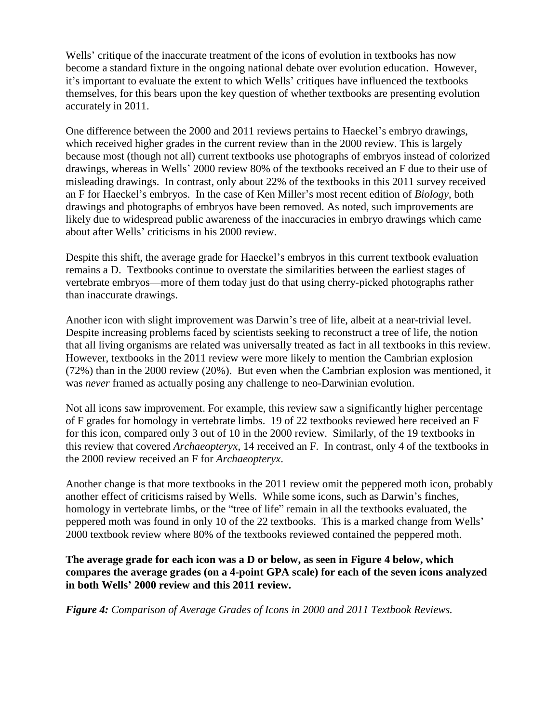Wells' critique of the inaccurate treatment of the icons of evolution in textbooks has now become a standard fixture in the ongoing national debate over evolution education. However, it's important to evaluate the extent to which Wells' critiques have influenced the textbooks themselves, for this bears upon the key question of whether textbooks are presenting evolution accurately in 2011.

One difference between the 2000 and 2011 reviews pertains to Haeckel's embryo drawings, which received higher grades in the current review than in the 2000 review. This is largely because most (though not all) current textbooks use photographs of embryos instead of colorized drawings, whereas in Wells' 2000 review 80% of the textbooks received an F due to their use of misleading drawings. In contrast, only about 22% of the textbooks in this 2011 survey received an F for Haeckel's embryos. In the case of Ken Miller's most recent edition of *Biology*, both drawings and photographs of embryos have been removed. As noted, such improvements are likely due to widespread public awareness of the inaccuracies in embryo drawings which came about after Wells' criticisms in his 2000 review.

Despite this shift, the average grade for Haeckel's embryos in this current textbook evaluation remains a D. Textbooks continue to overstate the similarities between the earliest stages of vertebrate embryos—more of them today just do that using cherry-picked photographs rather than inaccurate drawings.

Another icon with slight improvement was Darwin's tree of life, albeit at a near-trivial level. Despite increasing problems faced by scientists seeking to reconstruct a tree of life, the notion that all living organisms are related was universally treated as fact in all textbooks in this review. However, textbooks in the 2011 review were more likely to mention the Cambrian explosion (72%) than in the 2000 review (20%). But even when the Cambrian explosion was mentioned, it was *never* framed as actually posing any challenge to neo-Darwinian evolution.

Not all icons saw improvement. For example, this review saw a significantly higher percentage of F grades for homology in vertebrate limbs. 19 of 22 textbooks reviewed here received an F for this icon, compared only 3 out of 10 in the 2000 review. Similarly, of the 19 textbooks in this review that covered *Archaeopteryx*, 14 received an F. In contrast, only 4 of the textbooks in the 2000 review received an F for *Archaeopteryx*.

Another change is that more textbooks in the 2011 review omit the peppered moth icon, probably another effect of criticisms raised by Wells. While some icons, such as Darwin's finches, homology in vertebrate limbs, or the "tree of life" remain in all the textbooks evaluated, the peppered moth was found in only 10 of the 22 textbooks. This is a marked change from Wells' 2000 textbook review where 80% of the textbooks reviewed contained the peppered moth.

**The average grade for each icon was a D or below, as seen in Figure 4 below, which compares the average grades (on a 4-point GPA scale) for each of the seven icons analyzed in both Wells' 2000 review and this 2011 review.** 

*Figure 4: Comparison of Average Grades of Icons in 2000 and 2011 Textbook Reviews.*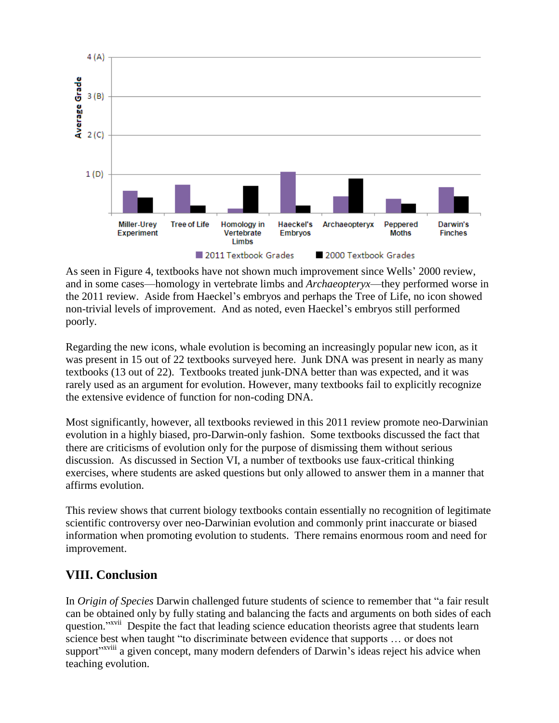

As seen in Figure 4, textbooks have not shown much improvement since Wells' 2000 review, and in some cases—homology in vertebrate limbs and *Archaeopteryx*—they performed worse in the 2011 review. Aside from Haeckel's embryos and perhaps the Tree of Life, no icon showed non-trivial levels of improvement. And as noted, even Haeckel's embryos still performed poorly.

Regarding the new icons, whale evolution is becoming an increasingly popular new icon, as it was present in 15 out of 22 textbooks surveyed here. Junk DNA was present in nearly as many textbooks (13 out of 22). Textbooks treated junk-DNA better than was expected, and it was rarely used as an argument for evolution. However, many textbooks fail to explicitly recognize the extensive evidence of function for non-coding DNA.

Most significantly, however, all textbooks reviewed in this 2011 review promote neo-Darwinian evolution in a highly biased, pro-Darwin-only fashion. Some textbooks discussed the fact that there are criticisms of evolution only for the purpose of dismissing them without serious discussion. As discussed in Section VI, a number of textbooks use faux-critical thinking exercises, where students are asked questions but only allowed to answer them in a manner that affirms evolution.

This review shows that current biology textbooks contain essentially no recognition of legitimate scientific controversy over neo-Darwinian evolution and commonly print inaccurate or biased information when promoting evolution to students. There remains enormous room and need for improvement.

# **VIII. Conclusion**

In *Origin of Species* Darwin challenged future students of science to remember that "a fair result" can be obtained only by fully stating and balancing the facts and arguments on both sides of each question."<sup>XVII</sup> Despite the fact that leading science education theorists agree that students learn science best when taught "to discriminate between evidence that supports ... or does not support"<sup>xviii</sup> a given concept, many modern defenders of Darwin's ideas reject his advice when teaching evolution.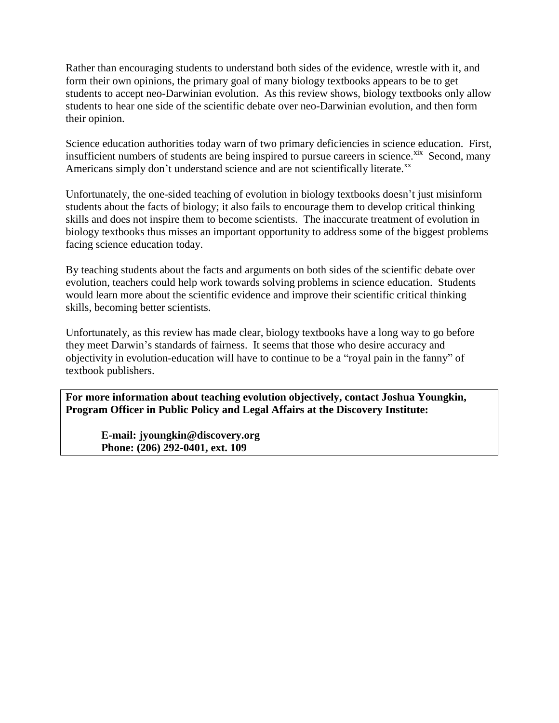Rather than encouraging students to understand both sides of the evidence, wrestle with it, and form their own opinions, the primary goal of many biology textbooks appears to be to get students to accept neo-Darwinian evolution. As this review shows, biology textbooks only allow students to hear one side of the scientific debate over neo-Darwinian evolution, and then form their opinion.

Science education authorities today warn of two primary deficiencies in science education. First, insufficient numbers of students are being inspired to pursue careers in science.<sup>xix</sup> Second, many Americans simply don't understand science and are not scientifically literate.<sup>xx</sup>

Unfortunately, the one-sided teaching of evolution in biology textbooks doesn't just misinform students about the facts of biology; it also fails to encourage them to develop critical thinking skills and does not inspire them to become scientists. The inaccurate treatment of evolution in biology textbooks thus misses an important opportunity to address some of the biggest problems facing science education today.

By teaching students about the facts and arguments on both sides of the scientific debate over evolution, teachers could help work towards solving problems in science education. Students would learn more about the scientific evidence and improve their scientific critical thinking skills, becoming better scientists.

Unfortunately, as this review has made clear, biology textbooks have a long way to go before they meet Darwin's standards of fairness. It seems that those who desire accuracy and objectivity in evolution-education will have to continue to be a "royal pain in the fanny" of textbook publishers.

**For more information about teaching evolution objectively, contact Joshua Youngkin, Program Officer in Public Policy and Legal Affairs at the Discovery Institute:** 

 **E-mail: jyoungkin@discovery.org Phone: (206) 292-0401, ext. 109**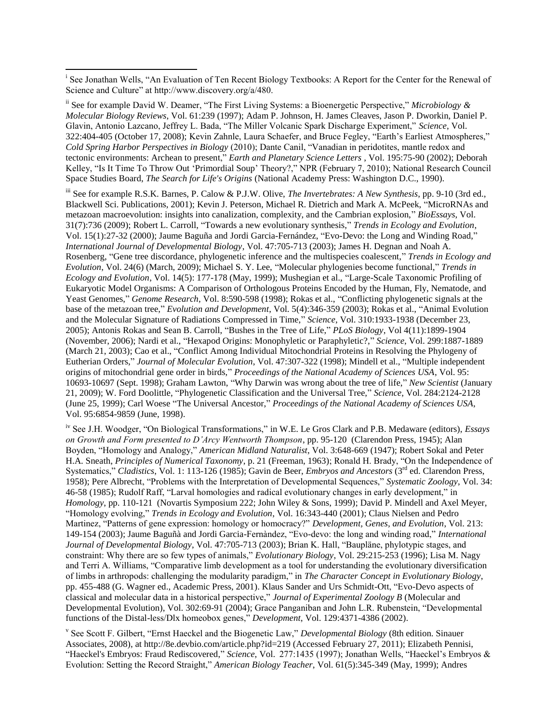l

<sup>ii</sup> See for example David W. Deamer, "The First Living Systems: a Bioenergetic Perspective," *Microbiology & Molecular Biology Reviews*, Vol. 61:239 (1997); Adam P. Johnson, H. James Cleaves, Jason P. Dworkin, Daniel P. Glavin, Antonio Lazcano, Jeffrey L. Bada, "The Miller Volcanic Spark Discharge Experiment," Science, Vol. 322:404-405 (October 17, 2008); Kevin Zahnle, Laura Schaefer, and Bruce Fegley, "Earth's Earliest Atmospheres," *Cold Spring Harbor Perspectives in Biology* (2010); Dante Canil, "Vanadian in peridotites, mantle redox and tectonic environments: Archean to present," *Earth and Planetary Science Letters* , Vol. 195:75-90 (2002); Deborah Kelley, "Is It Time To Throw Out 'Primordial Soup' Theory?," NPR (February 7, 2010); National Research Council Space Studies Board, *The Search for Life's Origins* (National Academy Press: Washington D.C., 1990).

iii See for example R.S.K. Barnes, P. Calow & P.J.W. Olive, *The Invertebrates: A New Synthesis*, pp. 9-10 (3rd ed., Blackwell Sci. Publications, 2001); Kevin J. Peterson, Michael R. Dietrich and Mark A. McPeek, "MicroRNAs and metazoan macroevolution: insights into canalization, complexity, and the Cambrian explosion," *BioEssays*, Vol. 31(7):736 (2009); Robert L. Carroll, "Towards a new evolutionary synthesis," *Trends in Ecology and Evolution*, Vol. 15(1):27-32 (2000); Jaume Baguña and Jordi Garcia-Fernández, "Evo-Devo: the Long and Winding Road," *International Journal of Developmental Biology*, Vol. 47:705-713 (2003); James H. Degnan and Noah A. Rosenberg, "Gene tree discordance, phylogenetic inference and the multispecies coalescent," *Trends in Ecology and Evolution*, Vol. 24(6) (March, 2009); Michael S. Y. Lee, "Molecular phylogenies become functional," *Trends in Ecology and Evolution*, Vol. 14(5): 177-178 (May, 1999); Mushegian et al., "Large-Scale Taxonomic Profiling of Eukaryotic Model Organisms: A Comparison of Orthologous Proteins Encoded by the Human, Fly, Nematode, and Yeast Genomes," *Genome Research*, Vol. 8:590-598 (1998); Rokas et al., "Conflicting phylogenetic signals at the base of the metazoan tree," *Evolution and Development*, Vol. 5(4):346-359 (2003); Rokas et al., "Animal Evolution and the Molecular Signature of Radiations Compressed in Time," Science, Vol. 310:1933-1938 (December 23, 2005); Antonis Rokas and Sean B. Carroll, "Bushes in the Tree of Life," *PLoS Biology*, Vol 4(11):1899-1904 (November, 2006); Nardi et al., "Hexapod Origins: Monophyletic or Paraphyletic?," Science, Vol. 299:1887-1889 (March 21, 2003); Cao et al., "Conflict Among Individual Mitochondrial Proteins in Resolving the Phylogeny of Eutherian Orders," *Journal of Molecular Evolution*, Vol. 47:307-322 (1998); Mindell et al., "Multiple independent origins of mitochondrial gene order in birds," Proceedings of the National Academy of Sciences USA, Vol. 95: 10693-10697 (Sept. 1998); Graham Lawton, "Why Darwin was wrong about the tree of life," *New Scientist* (January 21, 2009); W. Ford Doolittle, "Phylogenetic Classification and the Universal Tree," *Science*, Vol. 284:2124-2128 (June 25, 1999); Carl Woese "The Universal Ancestor," *Proceedings of the National Academy of Sciences USA*, Vol. 95:6854-9859 (June, 1998).

iv See J.H. Woodger, "On Biological Transformations," in W.E. Le Gros Clark and P.B. Medaware (editors), *Essays on Growth and Form presented to D'Arcy Wentworth Thompson*, pp. 95-120 (Clarendon Press, 1945); Alan Boyden, "Homology and Analogy," *American Midland Naturalist*, Vol. 3:648-669 (1947); Robert Sokal and Peter H.A. Sneath, *Principles of Numerical Taxonomy*, p. 21 (Freeman, 1963); Ronald H. Brady, "On the Independence of Systematics," Cladistics, Vol. 1: 113-126 (1985); Gavin de Beer, *Embryos and Ancestors* (3<sup>rd</sup> ed. Clarendon Press, 1958); Pere Albrecht, "Problems with the Interpretation of Developmental Sequences," *Systematic Zoology*, Vol. 34: 46-58 (1985); Rudolf Raff, "Larval homologies and radical evolutionary changes in early development," in *Homology*, pp. 110-121 (Novartis Symposium 222; John Wiley & Sons, 1999); David P. Mindell and Axel Meyer, ―Homology evolving,‖ *Trends in Ecology and Evolution*, Vol. 16:343-440 (2001); Claus Nielsen and Pedro Martinez, "Patterns of gene expression: homology or homocracy?" *Development, Genes, and Evolution*, Vol. 213: 149-154 (2003); Jaume Baguñà and Jordi Garcia-Fernàndez, "Evo-devo: the long and winding road," *International* Journal of Developmental Biology, Vol. 47:705-713 (2003); Brian K. Hall, "Baupläne, phylotypic stages, and constraint: Why there are so few types of animals," *Evolutionary Biology*, Vol. 29:215-253 (1996); Lisa M. Nagy and Terri A. Williams, "Comparative limb development as a tool for understanding the evolutionary diversification of limbs in arthropods: challenging the modularity paradigm,‖ in *The Character Concept in Evolutionary Biology*, pp. 455-488 (G. Wagner ed., Academic Press, 2001). Klaus Sander and Urs Schmidt-Ott, "Evo-Devo aspects of classical and molecular data in a historical perspective," Journal of Experimental Zoology B (Molecular and Developmental Evolution), Vol. 302:69-91 (2004); Grace Panganiban and John L.R. Rubenstein, "Developmental functions of the Distal-less/Dlx homeobox genes," *Development*, Vol. 129:4371-4386 (2002).

<sup>v</sup> See Scott F. Gilbert, "Ernst Haeckel and the Biogenetic Law," *Developmental Biology* (8th edition. Sinauer Associates, 2008), at http://8e.devbio.com/article.php?id=219 (Accessed February 27, 2011); Elizabeth Pennisi, "Haeckel's Embryos: Fraud Rediscovered," *Science*, Vol. 277:1435 (1997); Jonathan Wells, "Haeckel's Embryos & Evolution: Setting the Record Straight,‖ *American Biology Teacher*, Vol. 61(5):345-349 (May, 1999); Andres

<sup>&</sup>lt;sup>i</sup> See Jonathan Wells, "An Evaluation of Ten Recent Biology Textbooks: A Report for the Center for the Renewal of Science and Culture" at http://www.discovery.org/a/480.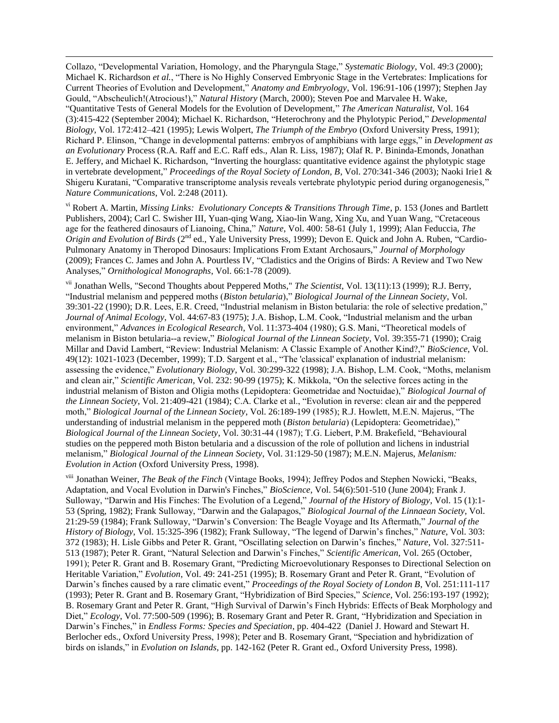Collazo, "Developmental Variation, Homology, and the Pharyngula Stage," *Systematic Biology*, Vol. 49:3 (2000); Michael K. Richardson *et al.*, "There is No Highly Conserved Embryonic Stage in the Vertebrates: Implications for Current Theories of Evolution and Development," Anatomy and Embryology, Vol. 196:91-106 (1997); Stephen Jay Gould, "Abscheulich!(Atrocious!)," *Natural History* (March, 2000); Steven Poe and Marvalee H. Wake, ―Quantitative Tests of General Models for the Evolution of Development,‖ *The American Naturalist*, Vol. 164 (3):415-422 (September 2004); Michael K. Richardson, "Heterochrony and the Phylotypic Period," *Developmental Biology*, Vol. 172:412–421 (1995); Lewis Wolpert, *The Triumph of the Embryo* (Oxford University Press, 1991); Richard P. Elinson, "Change in developmental patterns: embryos of amphibians with large eggs," in *Development as an Evolutionary* Process (R.A. Raff and E.C. Raff eds.*,* Alan R. Liss, 1987); Olaf R. P. Bininda-Emonds, Jonathan E. Jeffery, and Michael K. Richardson, "Inverting the hourglass: quantitative evidence against the phylotypic stage in vertebrate development," *Proceedings of the Royal Society of London, B*, Vol. 270:341-346 (2003); Naoki Irie1 & Shigeru Kuratani, "Comparative transcriptome analysis reveals vertebrate phylotypic period during organogenesis," *Nature Communications*, Vol. 2:248 (2011).

 $\overline{\phantom{a}}$ 

vi Robert A. Martin, *Missing Links: Evolutionary Concepts & Transitions Through Time*, p. 153 (Jones and Bartlett Publishers, 2004); Carl C. Swisher III, Yuan-qing Wang, Xiao-lin Wang, Xing Xu, and Yuan Wang, "Cretaceous age for the feathered dinosaurs of Lianoing, China," *Nature*, Vol. 400: 58-61 (July 1, 1999); Alan Feduccia, *The Origin and Evolution of Birds* (2<sup>nd</sup> ed., Yale University Press, 1999); Devon E. Quick and John A. Ruben, "Cardio-Pulmonary Anatomy in Theropod Dinosaurs: Implications From Extant Archosaurs," *Journal of Morphology* (2009); Frances C. James and John A. Pourtless IV, "Cladistics and the Origins of Birds: A Review and Two New Analyses,‖ *Ornithological Monographs*, Vol. 66:1-78 (2009).

vii Jonathan Wells, "Second Thoughts about Peppered Moths," *The Scientist*, Vol. 13(11):13 (1999); R.J. Berry, ―Industrial melanism and peppered moths (*Biston betularia*),‖ *Biological Journal of the Linnean Society*, Vol. 39:301-22 (1990); D.R. Lees, E.R. Creed, "Industrial melanism in Biston betularia: the role of selective predation," *Journal of Animal Ecology*, Vol. 44:67-83 (1975); J.A. Bishop, L.M. Cook, "Industrial melanism and the urban environment," *Advances in Ecological Research*, Vol. 11:373-404 (1980); G.S. Mani, "Theoretical models of melanism in Biston betularia--a review," *Biological Journal of the Linnean Society*, Vol. 39:355-71 (1990); Craig Millar and David Lambert, "Review: Industrial Melanism: A Classic Example of Another Kind?," *BioScience*, Vol.  $49(12)$ : 1021-1023 (December, 1999); T.D. Sargent et al., "The 'classical' explanation of industrial melanism: assessing the evidence," *Evolutionary Biology*, Vol. 30:299-322 (1998); J.A. Bishop, L.M. Cook, "Moths, melanism and clean air," *Scientific American*, Vol. 232: 90-99 (1975); K. Mikkola, "On the selective forces acting in the industrial melanism of Biston and Oligia moths (Lepidoptera: Geometridae and Noctuidae)," Biological Journal of *the Linnean Society*, Vol. 21:409-421 (1984); C.A. Clarke et al., "Evolution in reverse: clean air and the peppered moth," *Biological Journal of the Linnean Society*, Vol. 26:189-199 (1985); R.J. Howlett, M.E.N. Majerus, "The understanding of industrial melanism in the peppered moth (*Biston betularia*) (Lepidoptera: Geometridae),' *Biological Journal of the Linnean Society*, Vol. 30:31-44 (1987); T.G. Liebert, P.M. Brakefield, "Behavioural studies on the peppered moth Biston betularia and a discussion of the role of pollution and lichens in industrial melanism," *Biological Journal of the Linnean Society*, Vol. 31:129-50 (1987); M.E.N. Majerus, *Melanism*: *Evolution in Action* (Oxford University Press, 1998).

viii Jonathan Weiner, *The Beak of the Finch* (Vintage Books, 1994); Jeffrey Podos and Stephen Nowicki, "Beaks, Adaptation, and Vocal Evolution in Darwin's Finches," *BioScience*, Vol. 54(6):501-510 (June 2004); Frank J. Sulloway, "Darwin and His Finches: The Evolution of a Legend," *Journal of the History of Biology*, Vol. 15 (1):1-53 (Spring, 1982); Frank Sulloway, "Darwin and the Galapagos," Biological Journal of the Linnaean Society, Vol. 21:29-59 (1984); Frank Sulloway, "Darwin's Conversion: The Beagle Voyage and Its Aftermath," *Journal of the History of Biology*, Vol. 15:325-396 (1982); Frank Sulloway, "The legend of Darwin's finches," *Nature*, Vol. 303: 372 (1983); H. Lisle Gibbs and Peter R. Grant, "Oscillating selection on Darwin's finches," *Nature*, Vol. 327:511-513 (1987); Peter R. Grant, "Natural Selection and Darwin's Finches," Scientific American, Vol. 265 (October, 1991); Peter R. Grant and B. Rosemary Grant, "Predicting Microevolutionary Responses to Directional Selection on Heritable Variation," *Evolution*, Vol. 49: 241-251 (1995); B. Rosemary Grant and Peter R. Grant, "Evolution of Darwin's finches caused by a rare climatic event," *Proceedings of the Royal Society of London B*, Vol. 251:111-117 (1993); Peter R. Grant and B. Rosemary Grant, ―Hybridization of Bird Species,‖ *Science*, Vol. 256:193-197 (1992); B. Rosemary Grant and Peter R. Grant, "High Survival of Darwin's Finch Hybrids: Effects of Beak Morphology and Diet," *Ecology*, Vol. 77:500-509 (1996); B. Rosemary Grant and Peter R. Grant, "Hybridization and Speciation in Darwin's Finches," in *Endless Forms: Species and Speciation*, pp. 404-422 (Daniel J. Howard and Stewart H. Berlocher eds., Oxford University Press, 1998); Peter and B. Rosemary Grant, "Speciation and hybridization of birds on islands," in *Evolution on Islands*, pp. 142-162 (Peter R. Grant ed., Oxford University Press, 1998).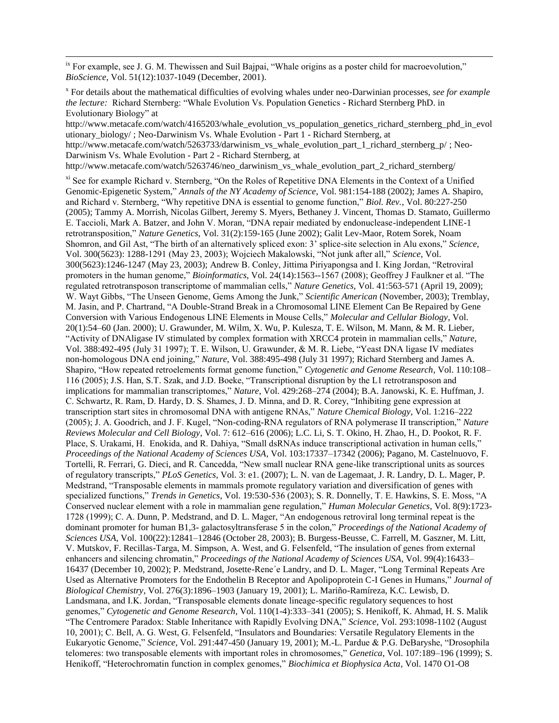$\mu$ <sup>ix</sup> For example, see J. G. M. Thewissen and Suil Bajpai, "Whale origins as a poster child for macroevolution," *BioScience*, Vol. 51(12):1037-1049 (December, 2001).

 $\overline{\phantom{a}}$ 

x For details about the mathematical difficulties of evolving whales under neo-Darwinian processes, *see for example the lecture:* Richard Sternberg: "Whale Evolution Vs. Population Genetics - Richard Sternberg PhD. in Evolutionary Biology" at

http://www.metacafe.com/watch/4165203/whale\_evolution\_vs\_population\_genetics\_richard\_sternberg\_phd\_in\_evol utionary\_biology/ ; Neo-Darwinism Vs. Whale Evolution - Part 1 - Richard Sternberg, at http://www.metacafe.com/watch/5263733/darwinism\_vs\_whale\_evolution\_part\_1\_richard\_sternberg\_p/ ; Neo-Darwinism Vs. Whale Evolution - Part 2 - Richard Sternberg, at

http://www.metacafe.com/watch/5263746/neo\_darwinism\_vs\_whale\_evolution\_part\_2\_richard\_sternberg/

xi See for example Richard v. Sternberg, "On the Roles of Repetitive DNA Elements in the Context of a Unified Genomic-Epigenetic System," *Annals of the NY Academy of Science*, Vol. 981:154-188 (2002); James A. Shapiro, and Richard v. Sternberg, "Why repetitive DNA is essential to genome function," *Biol. Rev.*, Vol. 80:227-250 (2005); Tammy A. Morrish, Nicolas Gilbert, Jeremy S. Myers, Bethaney J. Vincent, Thomas D. Stamato, Guillermo E. Taccioli, Mark A. Batzer, and John V. Moran, "DNA repair mediated by endonuclease-independent LINE-1 retrotransposition,‖ *Nature Genetics*, Vol. 31(2):159-165 (June 2002); Galit Lev-Maor, Rotem Sorek, Noam Shomron, and Gil Ast, "The birth of an alternatively spliced exon: 3' splice-site selection in Alu exons," Science, Vol. 300(5623): 1288-1291 (May 23, 2003); Wojciech Makalowski, "Not junk after all," Science, Vol. 300(5623):1246-1247 (May 23, 2003); Andrew B. Conley, Jittima Piriyapongsa and I. King Jordan, "Retroviral promoters in the human genome," *Bioinformatics*, Vol. 24(14):1563--1567 (2008); Geoffrey J Faulkner et al. "The regulated retrotransposon transcriptome of mammalian cells," *Nature Genetics*, Vol. 41:563-571 (April 19, 2009); W. Wayt Gibbs, "The Unseen Genome, Gems Among the Junk," Scientific American (November, 2003); Tremblay, M. Jasin, and P. Chartrand, "A Double-Strand Break in a Chromosomal LINE Element Can Be Repaired by Gene Conversion with Various Endogenous LINE Elements in Mouse Cells," Molecular and Cellular Biology, Vol. 20(1):54–60 (Jan. 2000); U. Grawunder, M. Wilm, X. Wu, P. Kulesza, T. E. Wilson, M. Mann, & M. R. Lieber, "Activity of DNAligase IV stimulated by complex formation with XRCC4 protein in mammalian cells," Nature, Vol. 388:492-495 (July 31 1997); T. E. Wilson, U. Grawunder, & M. R. Liebe, "Yeast DNA ligase IV mediates non-homologous DNA end joining," *Nature*, Vol. 388:495-498 (July 31 1997); Richard Sternberg and James A. Shapiro, "How repeated retroelements format genome function," *Cytogenetic and Genome Research*, Vol. 110:108– 116 (2005); J.S. Han, S.T. Szak, and J.D. Boeke, "Transcriptional disruption by the L1 retrotransposon and implications for mammalian transcriptomes," Nature, Vol. 429:268-274 (2004); B.A. Janowski, K. E. Huffman, J. C. Schwartz, R. Ram, D. Hardy, D. S. Shames, J. D. Minna, and D. R. Corey, "Inhibiting gene expression at transcription start sites in chromosomal DNA with antigene RNAs,‖ *Nature Chemical Biology*, Vol. 1:216–222 (2005); J. A. Goodrich, and J. F. Kugel, "Non-coding-RNA regulators of RNA polymerase II transcription," *Nature Reviews Molecular and Cell Biology*, Vol. 7: 612–616 (2006); L.C. Li, S. T. Okino, H. Zhao, H., D. Pookot, R. F. Place, S. Urakami, H. Enokida, and R. Dahiya, "Small dsRNAs induce transcriptional activation in human cells," *Proceedings of the National Academy of Sciences USA*, Vol. 103:17337–17342 (2006); Pagano, M. Castelnuovo, F. Tortelli, R. Ferrari, G. Dieci, and R. Cancedda, "New small nuclear RNA gene-like transcriptional units as sources of regulatory transcripts,‖ *PLoS Genetics*, Vol. 3: e1. (2007); L. N. van de Lagemaat, J. R. Landry, D. L. Mager, P. Medstrand, "Transposable elements in mammals promote regulatory variation and diversification of genes with specialized functions," *Trends in Genetics*, Vol. 19:530-536 (2003); S. R. Donnelly, T. E. Hawkins, S. E. Moss, "A Conserved nuclear element with a role in mammalian gene regulation," *Human Molecular Genetics*, Vol. 8(9):1723-1728 (1999); C. A. Dunn, P. Medstrand, and D. L. Mager, "An endogenous retroviral long terminal repeat is the dominant promoter for human B1,3- galactosyltransferase 5 in the colon," *Proceedings of the National Academy of Sciences USA*, Vol. 100(22):12841–12846 (October 28, 2003); B. Burgess-Beusse, C. Farrell, M. Gaszner, M. Litt, V. Mutskov, F. Recillas-Targa, M. Simpson, A. West, and G. Felsenfeld, "The insulation of genes from external enhancers and silencing chromatin," *Proceedings of the National Academy of Sciences USA*, Vol. 99(4):16433– 16437 (December 10, 2002); P. Medstrand, Josette-Rene'e Landry, and D. L. Mager, "Long Terminal Repeats Are Used as Alternative Promoters for the Endothelin B Receptor and Apolipoprotein C-I Genes in Humans," *Journal of Biological Chemistry*, Vol. 276(3):1896–1903 (January 19, 2001); L. Mariño-Ramíreza, K.C. Lewisb, D. Landsmana, and I.K. Jordan, "Transposable elements donate lineage-specific regulatory sequences to host genomes," *Cytogenetic and Genome Research*, Vol. 110(1-4):333-341 (2005); S. Henikoff, K. Ahmad, H. S. Malik ―The Centromere Paradox: Stable Inheritance with Rapidly Evolving DNA,‖ *Science*, Vol. 293:1098-1102 (August 10, 2001); C. Bell, A. G. West, G. Felsenfeld, "Insulators and Boundaries: Versatile Regulatory Elements in the Eukaryotic Genome," Science, Vol. 291:447-450 (January 19, 2001); M.-L. Pardue & P.G. DeBaryshe, "Drosophila telomeres: two transposable elements with important roles in chromosomes," *Genetica*, Vol. 107:189–196 (1999); S. Henikoff, "Heterochromatin function in complex genomes," *Biochimica et Biophysica Acta*, Vol. 1470 O1-O8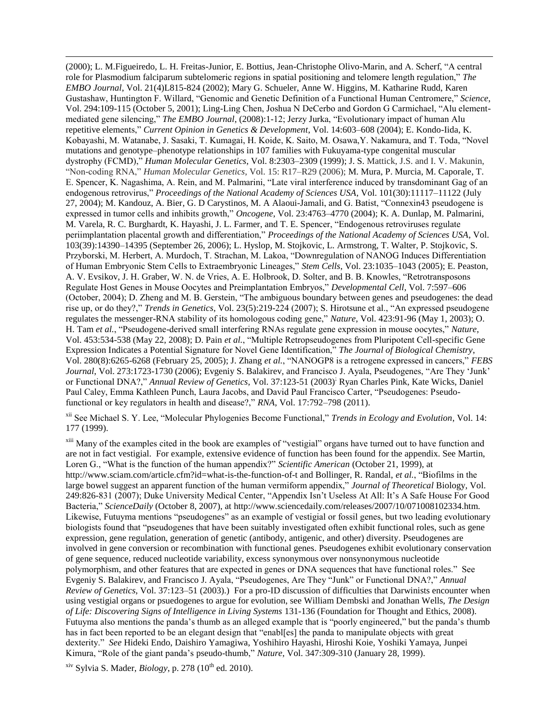(2000); L. M.Figueiredo, L. H. Freitas-Junior, E. Bottius, Jean-Christophe Olivo-Marin, and A. Scherf, "A central role for Plasmodium falciparum subtelomeric regions in spatial positioning and telomere length regulation," The *EMBO Journal*, Vol. 21(4)L815-824 (2002); Mary G. Schueler, Anne W. Higgins, M. Katharine Rudd, Karen Gustashaw, Huntington F. Willard, "Genomic and Genetic Definition of a Functional Human Centromere," Science, Vol. 294:109-115 (October 5, 2001); Ling-Ling Chen, Joshua N DeCerbo and Gordon G Carmichael, "Alu elementmediated gene silencing," *The EMBO Journal*, (2008):1-12; Jerzy Jurka, "Evolutionary impact of human Alu repetitive elements," *Current Opinion in Genetics & Development*, Vol. 14:603–608 (2004); E. Kondo-Iida, K. Kobayashi, M. Watanabe, J. Sasaki, T. Kumagai, H. Koide, K. Saito, M. Osawa, Y. Nakamura, and T. Toda, "Novel mutations and genotype–phenotype relationships in 107 families with Fukuyama-type congenital muscular dystrophy (FCMD)," *Human Molecular Genetics*, Vol. 8:2303–2309 (1999); J. S. Mattick, J.S. and I. V. Makunin, ―Non-coding RNA,‖ *Human Molecular Genetics*, Vol. 15: R17–R29 (2006); M. Mura, P. Murcia, M. Caporale, T. E. Spencer, K. Nagashima, A. Rein, and M. Palmarini, "Late viral interference induced by transdominant Gag of an endogenous retrovirus," *Proceedings of the National Academy of Sciences USA*, Vol. 101(30):11117–11122 (July 27, 2004); M. Kandouz, A. Bier, G. D Carystinos, M. A Alaoui-Jamali, and G. Batist, "Connexin43 pseudogene is expressed in tumor cells and inhibits growth," *Oncogene*, Vol. 23:4763–4770 (2004); K. A. Dunlap, M. Palmarini, M. Varela, R. C. Burghardt, K. Hayashi, J. L. Farmer, and T. E. Spencer, "Endogenous retroviruses regulate periimplantation placental growth and differentiation," *Proceedings of the National Academy of Sciences USA*, Vol. 103(39):14390–14395 (September 26, 2006); L. Hyslop, M. Stojkovic, L. Armstrong, T. Walter, P. Stojkovic, S. Przyborski, M. Herbert, A. Murdoch, T. Strachan, M. Lakoa, "Downregulation of NANOG Induces Differentiation of Human Embryonic Stem Cells to Extraembryonic Lineages," Stem Cells, Vol. 23:1035-1043 (2005); E. Peaston, A. V. Evsikov, J. H. Graber, W. N. de Vries, A. E. Holbrook, D. Solter, and B. B. Knowles, "Retrotransposons" Regulate Host Genes in Mouse Oocytes and Preimplantation Embryos," *Developmental Cell*, Vol. 7:597–606 (October, 2004); D. Zheng and M. B. Gerstein, "The ambiguous boundary between genes and pseudogenes: the dead rise up, or do they?," *Trends in Genetics*, Vol. 23(5):219-224 (2007); S. Hirotsune et al., "An expressed pseudogene regulates the messenger-RNA stability of its homologous coding gene," *Nature*, Vol. 423:91-96 (May 1, 2003); O. H. Tam *et al.*, "Pseudogene-derived small interfering RNAs regulate gene expression in mouse oocytes," *Nature*, Vol. 453:534-538 (May 22, 2008); D. Pain *et al.*, "Multiple Retropseudogenes from Pluripotent Cell-specific Gene Expression Indicates a Potential Signature for Novel Gene Identification,‖ *The Journal of Biological Chemistry*, Vol. 280(8):6265-6268 (February 25, 2005); J. Zhang *et al.*, "NANOGP8 is a retrogene expressed in cancers," *FEBS Journal*, Vol. 273:1723-1730 (2006); Evgeniy S. Balakirev, and Francisco J. Ayala, Pseudogenes, "Are They 'Junk' or Functional DNA?,‖ *Annual Review of Genetics*, Vol. 37:123-51 (2003); Ryan Charles Pink, Kate Wicks, Daniel Paul Caley, Emma Kathleen Punch, Laura Jacobs, and David Paul Francisco Carter, "Pseudogenes: Pseudofunctional or key regulators in health and disease?," *RNA*, Vol. 17:792–798 (2011).

<sup>xii</sup> See Michael S. Y. Lee, "Molecular Phylogenies Become Functional," *Trends in Ecology and Evolution*, Vol. 14: 177 (1999).

<sup>xiii</sup> Many of the examples cited in the book are examples of "vestigial" organs have turned out to have function and are not in fact vestigial. For example, extensive evidence of function has been found for the appendix. See Martin, Loren G., "What is the function of the human appendix?" *Scientific American* (October 21, 1999), at http://www.sciam.com/article.cfm?id=what-is-the-function-of-t and Bollinger, R. Randal, *et al.*, "Biofilms in the large bowel suggest an apparent function of the human vermiform appendix," *Journal of Theoretical Biology*, Vol. 249:826-831 (2007); Duke University Medical Center, "Appendix Isn't Useless At All: It's A Safe House For Good Bacteria," *ScienceDaily* (October 8, 2007), at http://www.sciencedaily.com/releases/2007/10/071008102334.htm. Likewise, Futuyma mentions "pseudogenes" as an example of vestigial or fossil genes, but two leading evolutionary biologists found that "pseudogenes that have been suitably investigated often exhibit functional roles, such as gene expression, gene regulation, generation of genetic (antibody, antigenic, and other) diversity. Pseudogenes are involved in gene conversion or recombination with functional genes. Pseudogenes exhibit evolutionary conservation of gene sequence, reduced nucleotide variability, excess synonymous over nonsynonymous nucleotide polymorphism, and other features that are expected in genes or DNA sequences that have functional roles.‖ See Evgeniy S. Balakirev, and Francisco J. Ayala, "Pseudogenes, Are They "Junk" or Functional DNA?," *Annual Review of Genetics*, Vol. 37:123–51 (2003).) For a pro-ID discussion of difficulties that Darwinists encounter when using vestigial organs or psuedogenes to argue for evolution, see William Dembski and Jonathan Wells, *The Design of Life: Discovering Signs of Intelligence in Living Systems* 131-136 (Foundation for Thought and Ethics, 2008). Futuyma also mentions the panda's thumb as an alleged example that is "poorly engineered," but the panda's thumb has in fact been reported to be an elegant design that "enabl[es] the panda to manipulate objects with great dexterity.‖ *See* Hideki Endo, Daishiro Yamagiwa, Yoshihiro Hayashi, Hiroshi Koie, Yoshiki Yamaya, Junpei Kimura, "Role of the giant panda's pseudo-thumb," *Nature*, Vol. 347:309-310 (January 28, 1999).

 $x$ iv Sylvia S. Mader, *Biology*, p. 278 (10<sup>th</sup> ed. 2010).

 $\overline{\phantom{a}}$